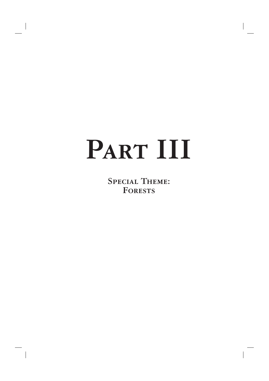# PART III

**Special Theme: Forests**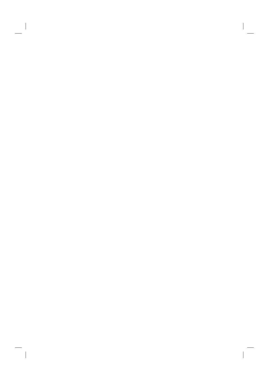$\frac{1}{\sqrt{2}} \int_{-\infty}^{\infty} \frac{1}{\sqrt{2}} \, d \mu \, d \mu$  $\frac{1}{2}$  $\begin{array}{c} - \\ | \end{array}$  $\frac{1}{\sqrt{2}}$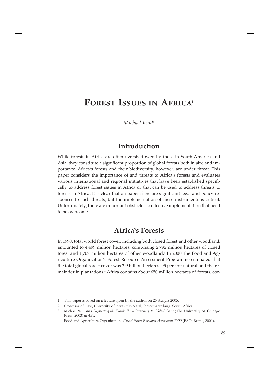# **Forest Issues in Africa<sup>1</sup>**

*Michael Kidd<sup>2</sup>*

# **Introduction**

While forests in Africa are often overshadowed by those in South America and Asia, they constitute a significant proportion of global forests both in size and importance. Africa's forests and their biodiversity, however, are under threat. This paper considers the importance of and threats to Africa's forests and evaluates various international and regional initiatives that have been established specifi cally to address forest issues in Africa or that can be used to address threats to forests in Africa. It is clear that on paper there are significant legal and policy responses to such threats, but the implementation of these instruments is critical. Unfortunately, there are important obstacles to effective implementation that need to be overcome.

# **Africa's Forests**

In 1990, total world forest cover, including both closed forest and other woodland, amounted to 4,499 million hectares, comprising 2,792 million hectares of closed forest and 1,707 million hectares of other woodland.<sup>3</sup> In 2000, the Food and Agriculture Organization's Forest Resource Assessment Programme estimated that the total global forest cover was 3.9 billion hectares, 95 percent natural and the remainder in plantations.<sup>4</sup> Africa contains about 650 million hectares of forests, cor-

<sup>1</sup> This paper is based on a lecture given by the author on 25 August 2005.

<sup>2</sup> Professor of Law, University of KwaZulu-Natal, Pietermaritzburg, South Africa.

<sup>3</sup> Michael Williams *Deforesting the Earth: From Prehistory to Global Crisis* (The University of Chicago Press, 2003) at 451.

<sup>4</sup> Food and Agriculture Organization, *Global Forest Resources Assessment 2000* (FAO: Rome, 2001).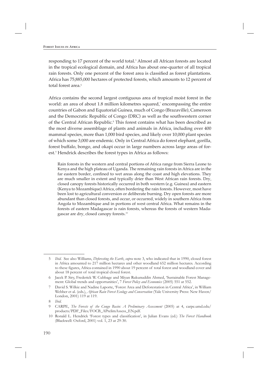responding to 17 percent of the world total.<sup>5</sup> Almost all African forests are located in the tropical ecological domain, and Africa has about one-quarter of all tropical rain forests. Only one percent of the forest area is classified as forest plantations. Africa has 75,885,000 hectares of protected forests, which amounts to 12 percent of total forest area.<sup>6</sup>

Africa contains the second largest contiguous area of tropical moist forest in the world: an area of about 1.8 million kilometres squared,<sup>7</sup> encompassing the entire countries of Gabon and Equatorial Guinea, much of Congo (Brazaville), Cameroon and the Democratic Republic of Congo (DRC) as well as the southwestern corner of the Central African Republic.<sup>8</sup> This forest contains what has been described as the most diverse assemblage of plants and animals in Africa, including over 400 mammal species, more than 1,000 bird species, and likely over 10,000 plant species of which some 3,000 are endemic. Only in Central Africa do forest elephant, gorilla, forest buffalo, bongo, and okapi occur in large numbers across large areas of forest.<sup>9</sup> Hendrick describes the forest types in Africa as follows:

Rain forests in the western and central portions of Africa range from Sierra Leone to Kenya and the high plateau of Uganda. The remaining rain forests in Africa are in the far eastern border, confined to wet areas along the coast and high elevations. They are much smaller in extent and typically drier than West African rain forests. Dry, closed canopy forests historically occurred in both western (e.g. Guinea) and eastern (Kenya to Mozambique) Africa, often bordering the rain forests. However, most have been lost to agricultural conversion or deliberate burning. Dry open forests are more abundant than closed forests, and occur, or occurred, widely in southern Africa from Angola to Mozambique and in portions of west central Africa. What remains in the forests of eastern Madagascar is rain forests, whereas the forests of western Madagascar are dry, closed canopy forests.<sup>10</sup>

<sup>5</sup> *Ibid*. See also Williams, *Deforesting the Earth*, *supra* note 3, who indicated that in 1990, closed forest in Africa amounted to 217 million hectares and other woodland 652 million hectares. According to these figures, Africa contained in 1990 about 19 percent of total forest and woodland cover and about 18 percent of total tropical closed forest.

<sup>6</sup> Jacek P. Siry, Frederick W. Cubbage and Miyan Rukunuddin Ahmed, 'Sustainable Forest Management: Global trends and opportunities', 7 *Forest Policy and Economics* (2005) 551 at 552.

<sup>7</sup> David S. Wilkie and Nadine Laporte, 'Forest Area and Deforestation in Central Africa', in William Webber et al. (eds.), *African Rain Forest Ecology and Conservation* (Yale University Press: New Haven/ London, 2001) 119 at 119.

<sup>8</sup> *Ibid*.

<sup>9</sup> CARPE, *The Forests of the Congo Basin: A Preliminary Assessment* (2005) at 4, carpe.umd.edu/ products/PDF\_Files/FOCB\_APrelimAssess\_EN.pdf.

<sup>10</sup> Ronald L. Hendrick 'Forest types and classification', in Julian Evans (ed.) *The Forest Handbook* (Blackwell: Oxford, 2001) vol. 1, 23 at 29-30.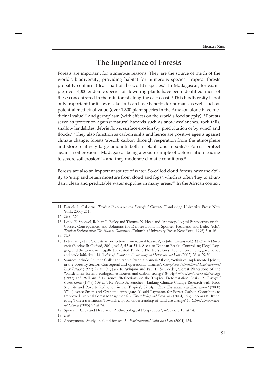# **The Importance of Forests**

Forests are important for numerous reasons. They are the source of much of the world's biodiversity, providing habitat for numerous species. Tropical forests probably contain at least half of the world's species.<sup>11</sup> In Madagascar, for example, over 8,000 endemic species of flowering plants have been identified, most of these concentrated in the rain forest along the east coast.<sup>12</sup> This biodiversity is not only important for its own sake, but can have benefits for humans as well, such as potential medicinal value (over 1,300 plant species in the Amazon alone have medicinal value)<sup>13</sup> and germplasm (with effects on the world's food supply).<sup>14</sup> Forests serve as protection against 'natural hazards such as snow avalanches, rock falls, shallow landslides, debris flows, surface erosion (by precipitation or by wind) and floods.<sup>215</sup> They also function as carbon sinks and hence are positive agents against climate change; forests 'absorb carbon through respiration from the atmosphere and store relatively large amounts both in plants and in soils.' <sup>16</sup> Forests protect against soil erosion – Madagascar being a good example of deforestation leading to severe soil erosion<sup>17</sup> – and they moderate climatic conditions.<sup>18</sup>

Forests are also an important source of water. So-called cloud forests have the ability to 'strip and retain moisture from cloud and fogs', which is often 'key to abundant, clean and predictable water supplies in many areas.' <sup>19</sup> In the African context

<sup>11</sup> Patrick L. Osborne, *Tropical Ecosystems and Ecological Concepts* (Cambridge University Press: New York, 2000) 271.

<sup>12</sup> *Ibid*., 270.

<sup>13</sup> Leslie E. Sponsel, Robert C. Bailey and Thomas N. Headland, 'Anthropological Perspectives on the Causes, Consequences and Solutions for Deforestation', in Sponsel, Headland and Bailey (eds.), *Tropical Deforestation: The Human Dimension* (Columbia University Press: New York, 1996) 3 at 16.

<sup>14</sup> *Ibid*.

<sup>15</sup> Peter Bang et al., 'Forests as protection from natural hazards', in Julian Evans (ed.) *The Forests Handbook* (Blackwell: Oxford, 2001) vol 2, 53 at 53-4. See also Duncan Brack, 'Controlling Illegal Logging and the Trade in Illegally Harvested Timber: The EU's Forest Law enforcement, governance and trade initiative', 14 *Review of European Community and International Law* (2005) 28 at 29-30.

<sup>16</sup> Sources include Philippe Cullet and Annie Patricia Kameri-Mbote, 'Activities Implemented Jointly in the Forestry Sector: Conceptual and operational fallacies', *Georgetown International Environmental Law Review* (1997) 97 at 107; Jack K. Winjum and Paul E. Schroeder, 'Forest Plantations of the World: Their Extent, ecological attributes, and carbon storage' 84 *Agricultural and Forest Meteorology* (1997) 153; William F. Laurence, 'Reflections on the Tropical Deforestation Crisis', 91 *Biological Conservation* (1999) 109 at 110; Pedro A. Sanchez, 'Linking Climate Change Research with Food Security and Poverty Reduction in the Tropics', 82 *Agriculture, Ecosystems and Environment* (2000) 371; Joyotee Smith and Grahame Applegate, 'Could Payments for Forest Carbon Contribute to Improved Tropical Forest Management?' 6 *Forest Policy and Economics* (2004) 153; Thomas K. Rudel et al., 'Forest transitions: Towards a global understanding of land use change' 15 *Global Environmental Change* (2005) 23 at 24.

<sup>17</sup> Sponsel, Bailey and Headland, 'Anthropological Perspectives', *supra* note 13, at 14.

<sup>18</sup> *Ibid*.

<sup>19</sup> Anonymous, 'Study on cloud forests' 34 *Environmental Policy and Law* (2004) 124.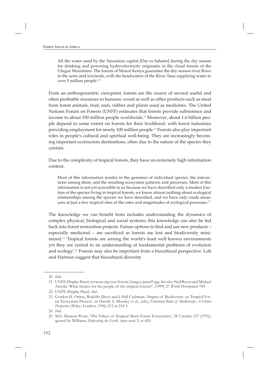All the water used by the Tanzanian capital [Dar es Salaam] during the dry season for drinking and powering hydro-electricity originates in the cloud forests of the Ulugur Mountains. The forests of Mount Kenya guarantee the dry-season river flows to the semi-arid lowlands, with the headwaters of the River Tana supplying water to over 5 million people'. 20

From an anthropocentric viewpoint, forests are the source of several useful and often profitable resources to humans: wood as well as other products such as meat from forest animals, fruit, nuts, rubber and plants used as medicines. The United Nations Forum on Forests (UNFF) estimates that forests provide subsistence and income to about 350 million people worldwide.<sup>21</sup> Moreover, about 1.6 billion people depend to some extent on forests for their livelihood, with forest industries providing employment for nearly 100 million people.<sup>22</sup> Forests also play important roles in people's cultural and spiritual well-being. They are increasingly becoming important ecotourism destinations, often due to the nature of the species they contain.

Due to the complexity of tropical forests, they have an extremely high information content.

Most of this information resides in the genomes of individual species, the interactions among them, and the resulting ecosystem patterns and processes. Most of this information is not yet accessible to us because we have described only a modest fraction of the species living in tropical forests; we know almost nothing about ecological relationships among the species we have described, and we have only crude measures at just a few tropical sites of the rates and magnitudes of ecological processes.<sup>23</sup>

The knowledge we can benefit from includes understanding the dynamics of complex physical, biological and social systems; this knowledge can also be fed back into forest restoration projects. Future options to find and use new products – especially medicinal – are sacrificed as forests are lost and biodiversity minimized.<sup>24</sup> 'Tropical forests are among the world's least well known environments yet they are central to an understanding of fundamental problems of evolution and ecology'. <sup>25</sup> Forests may also be important from a biocultural perspective. Loh and Harmon suggest that biocultural diversity

<sup>20</sup> *Ibid*.

<sup>21</sup> UNFF, Display Panel, www.un.org/esa/forests/images/panel3.jpg. See also Neil Byron and Michael Arnold, 'What futures for the people of the tropical forests?', (1999) 27 *World Development* 789.

<sup>22</sup> UNFF, Display Panel, *ibid*.

<sup>23</sup> Gordon H. Orians, Rodolfo Dirzo and J. Hall Cushman, 'Impact of Biodiversity on Tropical Forest Ecosystem Process', in Harold A. Mooney et al., (eds,) *Functional Roles of Biodiversity: A Global Perspective* (Wiley: London, 1996) 213 at 234-5.

<sup>24</sup> *Ibid*.

<sup>25</sup> M.E. Duncan Poore, 'The Values of Tropical Moist Forest Ecosystems', 28 *Unasylva* 127 (1976), quoted by Williams, *Deforesting the Earth*, *supra* note 3, at 420.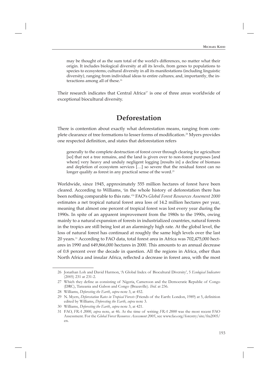may be thought of as the sum total of the world's differences, no matter what their origin. It includes biological diversity at all its levels, from genes to populations to species to ecosystems; cultural diversity in all its manifestations (including linguistic diversity), ranging from individual ideas to entire cultures; and, importantly, the interactions among all of these.<sup>26</sup>

Their research indicates that Central Africa<sup>27</sup> is one of three areas worldwide of exceptional biocultural diversity.

# **Deforestation**

There is contention about exactly what deforestation means, ranging from complete clearance of tree formations to lesser forms of modification.<sup>28</sup> Myers provides one respected definition, and states that deforestation refers

generally to the complete destruction of forest cover through clearing for agriculture [so] that not a tree remains, and the land is given over to non-forest purposes [and where] very heavy and unduly negligent logging [results in] a decline of biomass and depletion of ecosystem services […] so severe that the residual forest can no longer qualify as forest in any practical sense of the word.<sup>29</sup>

Worldwide, since 1945, approximately 555 million hectares of forest have been cleared. According to Williams, 'in the whole history of deforestation there has been nothing comparable to this rate.' <sup>30</sup> FAO's *Global Forest Resources Assement 2000* estimates a net tropical natural forest area loss of 14.2 million hectares per year, meaning that almost one percent of tropical forest was lost every year during the 1990s. In spite of an apparent improvement from the 1980s to the 1990s, owing mainly to a natural expansion of forests in industrialized countries, natural forests in the tropics are still being lost at an alarmingly high rate. At the global level, the loss of natural forest has continued at roughly the same high levels over the last 20 years.31 According to FAO data, total forest area in Africa was 702,475,000 hectares in 1990 and 649,866,000 hectares in 2000. This amounts to an annual decrease of 0.8 percent over the decade in question. All the regions in Africa, other than North Africa and insular Africa, reflected a decrease in forest area, with the most

<sup>26</sup> Jonathan Loh and David Harmon, 'A Global Index of Biocultural Diversity', 5 *Ecological Indicators* (2005) 231 at 231-2.

<sup>27</sup> Which they define as consisting of Nigeria, Cameroon and the Democratic Republic of Congo (DRC), Tanzania and Gabon and Congo (Brazaville). *Ibid*. at 236.

<sup>28</sup> Williams, *Deforesting the Earth*, *supra* note 3, at 452.

<sup>29</sup> N. Myers, *Deforestation Rates in Tropical Forests* (Friends of the Earth: London, 1989) at 5, definition edited by Williams, *Deforesting the Earth*, *supra* note 3.

<sup>30</sup> Williams, *Deforesting the Earth*, *supra* note 3, at 421.

<sup>31</sup> FAO, *FRA 2000*, *supra* note, at 46. At the time of writing *FRA 2000* was the most recent FAO Assessment. For the *Global Forest Resources Assessment 2005*, see www.fao.org/forestry/site/fra2005/ en.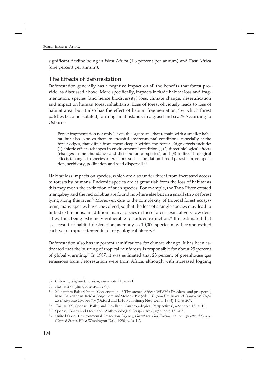significant decline being in West Africa (1.6 percent per annum) and East Africa (one percent per annum).

## **The Effects of deforestation**

Deforestation generally has a negative impact on all the benefits that forest provide, as discussed above. More specifically, impacts include habitat loss and fragmentation, species (and hence biodiversity) loss, climate change, desertification and impact on human forest inhabitants. Loss of forest obviously leads to loss of habitat area, but it also has the effect of habitat fragmentation, 'by which forest patches become isolated, forming small islands in a grassland sea.' <sup>32</sup> According to Osborne

Forest fragmentation not only leaves the organisms that remain with a smaller habitat, but also exposes them to stressful environmental conditions, especially at the forest edges, that differ from those deeper within the forest. Edge effects include: (1) abiotic effects (changes in environmental conditions); (2) direct biological effects (changes in the abundance and distribution of species); and (3) indirect biological effects (changes in species interactions such as predation, brood parasitism, competition, herbivory, pollination and seed dispersal).<sup>33</sup>

Habitat loss impacts on species, which are also under threat from increased access to forests by humans. Endemic species are at great risk from the loss of habitat as this may mean the extinction of such species. For example, the Tana River crested mangabey and the red colobus are found nowhere else but in a small strip of forest lying along this river.<sup>34</sup> Moreover, due to the complexity of tropical forest ecosystems, many species have coevolved, so that the loss of a single species may lead to linked extinctions. In addition, many species in these forests exist at very low densities, thus being extremely vulnerable to sudden extinction.<sup>35</sup> It is estimated that as a result of habitat destruction, as many as 10,000 species may become extinct each year, unprecedented in all of geological history.<sup>36</sup>

Deforestation also has important ramifications for climate change. It has been estimated that the burning of tropical rainforests is responsible for about 25 percent of global warming.<sup>37</sup> In 1987, it was estimated that 23 percent of greenhouse gas emissions from deforestation were from Africa, although with increased logging

<sup>32</sup> Osborne, *Tropical Ecosystems*, *supra* note 11, at 271.

<sup>33</sup> *Ibid*., at 277 (this quote from 279).

<sup>34</sup> Mudanthra Balakrishnan, 'Conservation of Threatened African Wildlife: Problems and prospects', in M. Balkrishnan, Reidar Borgström and Stein W. Bie (eds.), *Tropical Ecosystems: A Synthesis of Tropical Ecology and Conservation* (Oxford and IBH Publishing: New Delhi, 1994) 193 at 207.

<sup>35</sup> *Ibid*., at 209; Sponsel, Bailey and Headland, 'Anthropological Perspectives', *supra* note 13, at 16.

<sup>36</sup> Sponsel, Bailey and Headland, 'Anthropological Perspectives', *supra* note 13, at 3.

<sup>37</sup> United States Environmental Protection Agency, *Greenhouse Gas Emissions from Agricultural Systems*  (United States EPA: Washington D.C., 1990) vols. 1-2.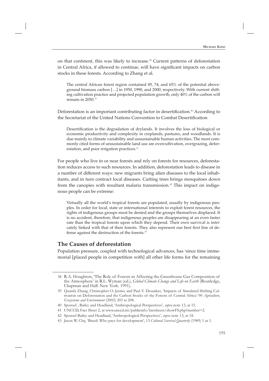on that continent, this was likely to increase.<sup>38</sup> Current patterns of deforestation in Central Africa, if allowed to continue, will have significant impacts on carbon stocks in these forests. According to Zhang et al.

The central African forest region contained 85, 74, and 65% of the potential aboveground biomass carbon […] in 1950, 1990, and 2000, respectively. With current shifting cultivation practice and projected population growth, only 40% of the carbon will remain in 2050.<sup>39</sup>

Deforestation is an important contributing factor in desertification.<sup>40</sup> According to the Secretariat of the United Nations Convention to Combat Desertification

Desertification is the degradation of drylands. It involves the loss of biological or economic productivity and complexity in croplands, pastures, and woodlands. It is due mainly to climate variability and unsustainable human activities. The most commonly cited forms of unsustainable land use are overcultivation, overgrazing, deforestation, and poor irrigation practices.<sup>41</sup>

For people who live in or near forests and rely on forests for resources, deforestation reduces access to such resources. In addition, deforestation leads to disease in a number of different ways: new migrants bring alien diseases to the local inhabitants, and in turn contract local diseases. Cutting trees brings mosquitoes down from the canopies with resultant malaria transmission.<sup>42</sup> This impact on indigenous people can be extreme:

Virtually all the world's tropical forests are populated, usually by indigenous peoples. In order for local, state or international interests to exploit forest resources, the rights of indigenous groups must be denied and the groups themselves displaced. It is no accident, therefore, that indigenous peoples are disappearing at an even faster rate than the tropical forests upon which they depend. Their own survival is intricately linked with that of their forests. They also represent our best first line of defense against the destruction of the forests.<sup>43</sup>

## **The Causes of deforestation**

Population pressure, coupled with technological advances, has 'since time immemorial [placed people in competition with] all other life forms for the remaining

<sup>38</sup> R.A. Houghton, 'The Role of Forests in Affecting the Greenhouse Gas Composition of the Atmosphere' in R.L. Wyman (ed.), *Global Climate Change and Life on Earth* (Routledge, Chapman and Hall: New York. 1991).

<sup>39</sup> Quanfa Zhang, Christopher O. Justice and Paul V. Desanker, 'Impacts of Simulated Shifting Cultivation on Deforestation and the Carbon Stocks of the Forests of Central Africa' 90 *Agriculture, Ecosystems and Environment* (2002) 203 at 208.

<sup>40</sup> Sponsel , Bailey and Headland, 'Anthropological Perspectives', *supra* note 13, at 15.

<sup>41</sup> UNCCD, Fact Sheet 2, at www.unccd.int/publicinfo/factsheets/showFS.php?number=2.

<sup>42</sup> Sponsel Bailey and Headland, 'Anthropological Perspectives', *supra* note 13, at 18.

<sup>43</sup> Jason W. Clay, 'Brazil: Who pays for development', 13 *Cultural Survival Quarterly* (1989) 1 at 1.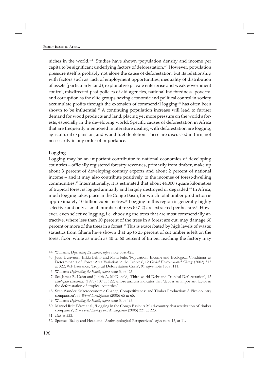niches in the world.' <sup>44</sup> Studies have shown 'population density and income per capita to be significant underlying factors of deforestation.<sup>245</sup> However, population pressure itself is probably not alone the cause of deforestation, but its relationship with factors such as 'lack of employment opportunities, inequality of distribution of assets (particularly land), exploitative private enterprise and weak government control, misdirected past policies of aid agencies, national indebtedness, poverty, and corruption as the elite groups having economic and political control in society accumulate profits through the extension of commercial logging<sup>346</sup> has often been shown to be influential. $47$  A continuing population increase will lead to further demand for wood products and land, placing yet more pressure on the world's forests, especially in the developing world. Specific causes of deforestation in Africa that are frequently mentioned in literature dealing with deforestation are logging, agricultural expansion, and wood fuel depletion. These are discussed in turn, not necessarily in any order of importance.

#### **Logging**

Logging may be an important contributor to national economies of developing countries - officially registered forestry revenues, primarily from timber, make up about 3 percent of developing country exports and about 2 percent of national income – and it may also contribute positively to the incomes of forest-dwelling communities.<sup>48</sup> Internationally, it is estimated that about 44,000 square kilometres of tropical forest is logged annually and largely destroyed or degraded.<sup>49</sup> In Africa, much logging takes place in the Congo Basin, for which total timber production is approximately 10 billion cubic metres.<sup>50</sup> Logging in this region is generally highly selective and only a small number of trees (0.7-2) are extracted per hectare.<sup>51</sup> However, even selective logging, i.e. choosing the trees that are most commercially attractive, where less than 10 percent of the trees in a forest are cut, may damage 60 percent or more of the trees in a forest.<sup>52</sup> This is exacerbated by high levels of waste: statistics from Ghana have shown that up to 25 percent of cut timber is left on the forest floor, while as much as 40 to 60 percent of timber reaching the factory may

<sup>44</sup> Williams, *Deforesting the Earth*, *supra* note 3, at 425.

<sup>45</sup> Jussi Uusivuori, Erkki Lehto and Matti Palo, 'Population, Income and Ecological Conditions as Determinants of Forest Area Variation in the Tropics', 12 *Global Environmental Change* (2002) 313 at 322; W.F Laurance, 'Tropical Deforestation Crisis', 91 *supra* note 18, at 111.

<sup>46</sup> Williams *Deforesting the Earth*, *supra* note 3, at 425.

<sup>47</sup> See James R. Kahn and Judith A. McDonald, 'Third-world Debt and Tropical Deforestation', 12 *Ecological Economics* (1995) 107 at 122, whose analysis indicates that 'debt is an important factor in the deforestation of tropical countries.'

<sup>48</sup> Sven Wunder, 'Macroeconomic Change, Competitiveness and Timber Production: A Five-country comparison', 33 *World Development* (2005) 65 at 65.

<sup>49</sup> Williams *Deforesting the Earth*, *supra* note 3, at 493.

<sup>50</sup> Manuel Ruiz Pérez et al., 'Logging in the Congo Basin: A Multi-country characterization of timber companies', 214 *Forest Ecology and Management* (2005) 221 at 223.

<sup>51</sup> *Ibid*.,at 222.

<sup>52</sup> Sponsel, Bailey and Headland, 'Anthropological Perspectives', *supra* note 13, at 11.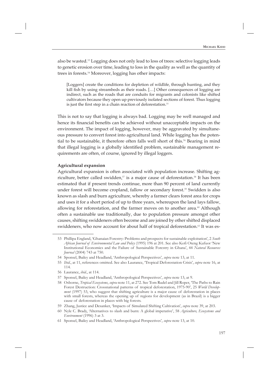also be wasted.<sup>53</sup> Logging does not only lead to loss of trees: selective logging leads to genetic erosion over time, leading to loss in the quality as well as the quantity of trees in forests.<sup>54</sup> Moreover, logging has other impacts:

[Loggers] create the conditions for depletion of wildlife, through hunting, and they kill fish by using streambeds as their roads. [...] Other consequences of logging are indirect, such as the roads that are conduits for migrants and colonists like shifted cultivators because they open up previously isolated sections of forest. Thus logging is just the first step in a chain reaction of deforestation.<sup>55</sup>

This is not to say that logging is always bad. Logging may be well managed and hence its financial benefits can be achieved without unacceptable impacts on the environment. The impact of logging, however, may be aggravated by simultaneous pressure to convert forest into agricultural land. While logging has the potential to be sustainable, it therefore often falls well short of this.<sup>56</sup> Bearing in mind that illegal logging is a globally identified problem, sustainable management requirements are often, of course, ignored by illegal loggers.

#### **Agricultural expansion**

Agricultural expansion is often associated with population increase. Shifting agriculture, better called swidden,<sup>57</sup> is a major cause of deforestation.<sup>58</sup> It has been estimated that if present trends continue, more than 90 percent of land currently under forest will become cropland, fallow or secondary forest.<sup>59</sup> Swidden is also known as slash and burn agriculture, whereby a farmer clears forest area for crops and uses it for a short period of up to three years, whereupon the land lays fallow, allowing for reforestation, and the farmer moves on to another area.<sup>60</sup> Although often a sustainable use traditionally, due to population pressure amongst other causes, shifting swiddeners often become and are joined by other shifted displaced swiddeners, who now account for about half of tropical deforestation.<sup>61</sup> It was es-

<sup>53</sup> Phillipa England, 'Ghanaian Forestry: Problems and prospects for sustainable exploitation', 2 *South African Journal of Environmental Law and Policy* (1995) 196 at 201. See also Kofi Oteng Kufuor 'New Institutional Economics and the Failure of Sustainable Forestry in Ghana', 44 *Natural Resources Journal* (2004) 743 at 750.

<sup>54</sup> Sponsel, Bailey and Headland, 'Anthropological Perspectives', *supra* note 13, at 11.

<sup>55</sup> *Ibid*., at 11, references omitted. See also Laurance, 'Tropical Deforestation Crisis', *supra* note 16, at 114.

<sup>56</sup> Laurance, *ibid*., at 114.

<sup>57</sup> Sponsel, Bailey and Headland, 'Anthropological Perspectives', *supra* note 13, at 9.

<sup>58</sup> Osborne, *Tropical Ecosystems*, *supra* note 11, at 272. See Tom Rudel and Jill Roper, 'The Paths to Rain Forest Destruction: Crossnational patterns of tropical deforestation, 1975-90', 25 *World Development* (1997) 53, who suggest that shifting agriculture is a major cause of deforestation in places with small forests, whereas the opening up of regions for development (as in Brazil) is a bigger cause of deforestation in places with big forests.

<sup>59</sup> Zhang, Justice and Desanker, 'Impacts of Simulated Shifting Cultivation', *supra* note 39, at 203.

<sup>60</sup> Nyle C. Brady, 'Alternatives to slash and burn: A global imperative', 58 *Agriculture, Ecosystems and Environment* (1996) 3 at 3.

<sup>61</sup> Sponsel, Bailey and Headland, 'Anthropological Perspectives', *supra* note 13, at 10.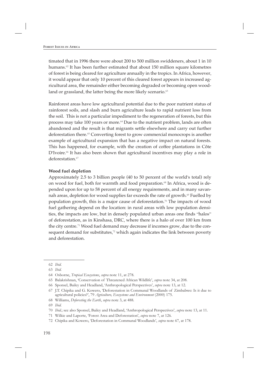timated that in 1996 there were about 200 to 500 million swiddeners, about 1 in 10 humans.<sup>62</sup> It has been further estimated that about 150 million square kilometres of forest is being cleared for agriculture annually in the tropics. In Africa, however, it would appear that only 10 percent of this cleared forest appears in increased agricultural area, the remainder either becoming degraded or becoming open woodland or grassland, the latter being the more likely scenario.<sup>63</sup>

Rainforest areas have low agricultural potential due to the poor nutrient status of rainforest soils, and slash and burn agriculture leads to rapid nutrient loss from the soil. This is not a particular impediment to the regeneration of forests, but this process may take 100 years or more.<sup>64</sup> Due to the nutrient problem, lands are often abandoned and the result is that migrants settle elsewhere and carry out further deforestation there.<sup>65</sup> Converting forest to grow commercial monocrops is another example of agricultural expansion that has a negative impact on natural forests. This has happened, for example, with the creation of coffee plantations in Côte D'Ivoire.<sup>66</sup> It has also been shown that agricultural incentives may play a role in deforestation.<sup>67</sup>

#### **Wood fuel depletion**

Approximately 2.5 to 3 billion people (40 to 50 percent of the world's total) rely on wood for fuel, both for warmth and food preparation.<sup>68</sup> In Africa, wood is depended upon for up to 58 percent of all energy requirements, and in many savannah areas, depletion for wood supplies far exceeds the rate of growth.<sup>69</sup> Fuelled by population growth, this is a major cause of deforestation.<sup>70</sup> The impacts of wood fuel gathering depend on the location: in rural areas with low population densities, the impacts are low, but in densely populated urban areas one finds "halos" of deforestation, as in Kinshasa, DRC, where there is a halo of over 100 km from the city centre.71 Wood fuel demand may decrease if incomes grow, due to the consequent demand for substitutes, <sup>72</sup> which again indicates the link between poverty and deforestation.

<sup>62</sup> *Ibid*.

<sup>63</sup> *Ibid*.

<sup>64</sup> Osborne, *Tropical Ecosystems*, *supra* note 11, at 278.

<sup>65</sup> Balakrishnan, 'Conservation of Threatened African Wildlife', *supra* note 34, at 208.

<sup>66</sup> Sponsel, Bailey and Headland, 'Anthropological Perspectives', *supra* note 13, at 12.

<sup>67</sup> J.T. Chipika and G. Kowero, 'Deforestation in Communal Woodlands of Zimbabwe: Is it due to agricultural policies?', 79 *Agriculture, Ecosystems and Environment* (2000) 175.

<sup>68</sup> Williams, *Deforesting the Earth*, *supra* note 3, at 488.

<sup>69</sup> *Ibid*.

<sup>70</sup> *Ibid*.; see also Sponsel, Bailey and Headland, 'Anthropological Perspectives', *supra* note 13, at 11.

<sup>71</sup> Wilkie and Laporte, 'Forest Area and Deforestation', *supra* note 7, at 126.

<sup>72</sup> Chipika and Kowero, 'Deforestation in Communal Woodlands', *supra* note 67, at 178.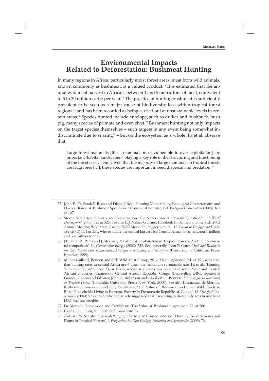# **Environmental Impacts Related to Deforestation: Bushmeat Hunting**

In many regions in Africa, particularly moist forest areas, meat from wild animals, known commonly as bushmeat, is a valued product.<sup>73</sup> It is estimated that the annual wild meat harvest in Africa is between 1 and 5 metric tons of meat, equivalent to 5 to 20 million cattle per year.<sup>74</sup> The practice of hunting bushmeat is sufficiently prevalent to be seen as a major cause of biodiversity loss within tropical forest regions, 75 and has been recorded as being carried out at unsustainable levels in certain areas.<sup>76</sup> Species hunted include antelope, such as duiker and bushbuck, bush pig, many species of primate and even civet.<sup>77</sup> Bushmeat hunting not only impacts on the target species themselves – such targets in any event being somewhat indiscriminate due to snaring<sup>78</sup> – but on the ecosystem as a whole. Fa et al. observe that

Large forest mammals [those mammals most vulnerable to over-exploitation] are important 'habitat landscapers' playing a key role in the structuring and functioning of the forest ecosystem. Given that the majority of large mammals in tropical forests are frugivores [...], these species are important in seed dispersal and predation.<sup>79</sup>

<sup>73</sup> John E. Fa, Sarah F. Ryan and Diana J. Bell, 'Hunting Vulnerability, Ecological Characteristics and Harvest Rates of Bushmeat Species in Afrotropical Forests', 121 *Biological Conservation* (2005) 167 at 167.

<sup>74</sup> Steven Sanderson, 'Poverty and Conservation: The New century's "Peasant Question?"', 33 *World Development* (2005) 323 at 325. See also E.J. Milner-Gulland, Elizabeth L. Bennett and the SCB 2002 Annual Meeting Wild Meat Group, 'Wild Meat: The bigger picture', 18 *Trends in Ecology and Evolution* (2003) 351 at 351, who estimate the annual harvest for Central Africa to be between 1 million and 3.4 million tonnes.

<sup>75</sup> J.E. Fa, C.A. Peres and J. Meeuwig, 'Bushmeat Exploitation in Tropical Forests: An Intercontinental comparison', 16 *Conservation Biology* (2002) 232. See, generally, John F. Oates *Myth and Reality in the Rain Forest: How Conservation Strategies Are Failing in West Africa* (University of California Press: Berkeley, 1999).

<sup>76</sup> Milner-Gulland, Bennett and SCB Wild Meat Group, 'Wild Meat', *supra* note 74, at 351, who state that hunting rates in central Africa are 6 times the maximum sustainable rate; Fa et al., 'Hunting Vulnerability', *supra* note 73, at 174-5, whose study area was 36 sites in seven West and Central African countries (Cameroon, Central African Republic, Congo (Brazaville), DRC, Equatorial Guinea, Gabon and Ghana); John G. Robinson and Elizabeth L. Bennett, *Hunting for Sustainability in Tropical Forests* (Columbia University Press: New York, 2000). See also Emmanuel de Merode, Katherine Homewood and Guy Cowlishaw, 'The Value of Bushmeat and other Wild Foods to Rural Households Living in Extreme Poverty in Democratic Republic of Congo', 18 *Biological Conservation* (2004) 573 at 578, who tentatively suggested that harvesting in their study area in northern DRC was sustainable.

<sup>77</sup> De Merode, Homewood and Cowlishaw, 'The Value of Bushmeat', *supra* note 76, at 580.

<sup>78</sup> Fa et al., 'Hunting Vulnerability', *supra* note 73.

<sup>79</sup> *Ibid*., at 175. See also S. Joseph Wright, 'The Myriad Consequences of Hunting for Vertebrates and Plants in Tropical Forests', 6 *Perspectives in Plant Ecology, Evolution and Systematics* (2003) 73.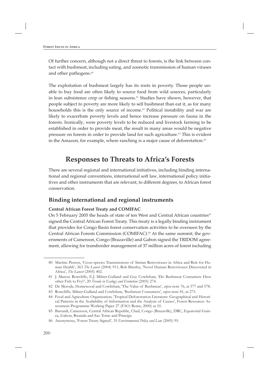Of further concern, although not a direct threat to forests, is the link between contact with bushmeat, including eating, and zoonotic transmission of human viruses and other pathogens.<sup>80</sup>

The exploitation of bushmeat largely has its roots in poverty. Those people unable to buy food are often likely to source food from wild sources, particularly in lean subsistence crop or fishing seasons.<sup>81</sup> Studies have shown, however, that people subject to poverty are more likely to sell bushmeat than eat it, as for many households this is the only source of income.<sup>82</sup> Political instability and war are likely to exacerbate poverty levels and hence increase pressure on fauna in the forests. Ironically, were poverty levels to be reduced and livestock farming to be established in order to provide meat, the result in many areas would be negative pressure on forests in order to provide land for such agriculture.<sup>83</sup> This is evident in the Amazon, for example, where ranching is a major cause of deforestation.<sup>84</sup>

# **Responses to Threats to Africa's Forests**

There are several regional and international initiatives, including binding international and regional conventions, international soft law, international policy initiatives and other instruments that are relevant, to different degrees, to African forest conservation.

# **Binding international and regional instruments**

#### **Central African Forest Treaty and COMIFAC**

On 5 February 2005 the heads of state of ten West and Central African countries<sup>85</sup> signed the Central African Forest Treaty. This treaty is a legally binding instrument that provides for Congo Basin forest conservation activities to be overseen by the Central African Forests Commission (COMIFAC).<sup>86</sup> At the same summit, the governments of Cameroon, Congo (Brazaville) and Gabon signed the TRIDOM agreement, allowing for transborder management of 37 million acres of forest including

<sup>80</sup> Martine Peeters, 'Cross-species Transmissions of Simian Retroviruses in Africa and Risk for Human Health', 363 *The Lancet* (2004) 911; Rob Brierley, 'Novel Human Retroviruses Discovered in Africa', *The Lancet* (2005) 402.

<sup>81</sup> J. Marcus Rowcliffe, E.J. Milner-Gulland and Guy Cowlishaw, 'Do Bushmeat Consumers Have other Fish to Fry?', 20 *Trends in Ecology and Evolution* (2005) 274.

<sup>82</sup> De Merode, Homewood and Cowlishaw, 'The Value of Bushmeat', *supra* note 76, at 577 and 578.

<sup>83</sup> Rowcliffe, Milner-Gulland and Cowlishaw, 'Bushmeat Consumers', *supra* note 81, at 275.

<sup>84</sup> Food and Agriculture Organization, 'Tropical Deforestation Literature: Geographical and Historical Patterns in the Availability of Information and the Analysis of Causes', Forest Resources Assessment Programme Working Paper 27 (FAO: Rome, 2000) at 10.

<sup>85</sup> Burundi, Cameroon, Central African Republic, Chad, Congo (Brazaville), DRC, Equatorial Guinea, Gabon, Rwanda and Sao Tome and Principe.

<sup>86</sup> Anonymous, 'Forest Treaty Signed', 35 *Environmental Policy and Law* (2005) 95.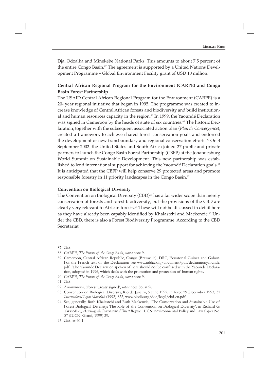Dja, Odzalka and Minekebe National Parks. This amounts to about 7.5 percent of the entire Congo Basin.<sup>87</sup> The agreement is supported by a United Nations Development Programme – Global Environment Facility grant of USD 10 million.

## **Central African Regional Program for the Environment (CARPE) and Congo Basin Forest Partnership**

The USAID Central African Regional Program for the Environment (CARPE) is a 20- year regional initiative that began in 1995. The programme was created to increase knowledge of Central African forests and biodiversity and build institutional and human resources capacity in the region.<sup>88</sup> In 1999, the Yaoundé Declaration was signed in Cameroon by the heads of state of six countries.<sup>89</sup> The historic Declaration, together with the subsequent associated action plan (*Plan de Convergence*), created a framework to achieve shared forest conservation goals and endorsed the development of new transboundary and regional conservation efforts.<sup>90</sup> On 4 September 2002, the United States and South Africa joined 27 public and private partners to launch the Congo Basin Forest Partnership (CBFP) at the Johannesburg World Summit on Sustainable Development. This new partnership was established to lend international support for achieving the Yaoundé Declaration goals.<sup>91</sup> It is anticipated that the CBFP will help conserve 29 protected areas and promote responsible forestry in 11 priority landscapes in the Congo Basin.<sup>92</sup>

#### **Convention on Biological Diversity**

The Convention on Biological Diversity (CBD)<sup>93</sup> has a far wider scope than merely conservation of forests and forest biodiversity, but the provisions of the CBD are clearly very relevant to African forests.<sup>94</sup> These will not be discussed in detail here as they have already been capably identified by Khalastchi and Mackenzie.<sup>95</sup> Under the CBD, there is also a Forest Biodiversity Programme. According to the CBD Secretariat

<sup>87</sup> *Ibid*.

<sup>88</sup> CARPE, *The Forests of the Congo Basin*, *supra* note 9.

<sup>89</sup> Cameroon, Central African Republic, Congo (Brazaville), DRC, Equatorial Guinea and Gabon. For the French text of the Declaration see www.riddac.org/document/pdf/declarationyaounde. pdf . The Yaoundé Declaration spoken of here should not be confused with the Yaoundé Declaration, adopted in 1996, which deals with the promotion and protection of human rights.

<sup>90</sup> CARPE, *The Forests of the Congo Basin*, *supra* note 9.

<sup>91</sup> *Ibid*.

<sup>92</sup> Anonymous, 'Forest Treaty signed', *supra* note 86, at 96.

<sup>93</sup> Convention on Biological Diversity, Rio de Janeiro, 5 June 1992, in force 29 December 1993, 31 *International Legal Materials* (1992) 822, www.biodiv.org/doc/legal/cbd-en.pdf

<sup>94</sup> See, generally, Ruth Khalastchi and Ruth Mackenzie, 'The Conservation and Sustainable Use of Forest Biological Diversity: The Role of the Convention on Biological Diversity', in Richard G. Tarasofsky, *Assessing the International Forest Regime*, IUCN Environmental Policy and Law Paper No. 37 (IUCN: Gland, 1999) 39.

<sup>95</sup> *Ibid*., at 40-1.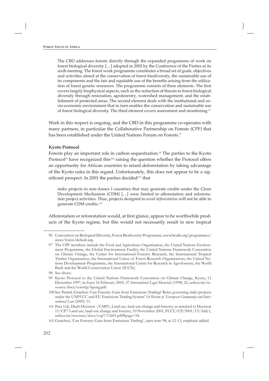The CBD addresses forests directly through the expanded programme of work on forest biological diversity […] adopted in 2002 by the Conference of the Parties at its sixth meeting. The forest work programme constitutes a broad set of goals, objectives and activities aimed at the conservation of forest biodiversity, the sustainable use of its components and the fair and equitable use of the benefits arising from the utilization of forest genetic resources. The programme consists of three elements. The first covers largely biophysical aspects, such as the reduction of threats to forest biological diversity through restoration, agroforestry, watershed management, and the establishment of protected areas. The second element deals with the institutional and socio-economic environment that in turn enables the conservation and sustainable use of forest biological diversity. The third element covers assessment and monitoring.<sup>96</sup>

Work in this respect is ongoing, and the CBD in this programme co-operates with many partners, in particular the Collaborative Partnership on Forests (CPF) that has been established under the United Nations Forum on Forests.<sup>97</sup>

#### **Kyoto Protocol**

Forests play an important role in carbon sequestration.<sup>98</sup> The parties to the Kyoto Protocol<sup>99</sup> have recognized this<sup>100</sup> raising the question whether the Protocol offers an opportunity for African countries to retard deforestation by taking advantage of the Kyoto rules in this regard. Unfortunately, this does not appear to be a significant prospect. In 2001 the parties decided<sup>101</sup> that

sinks projects in non-Annex I countries that may generate credits under the Clean Development Mechanism (CDM) […] were limited to afforestation and reforestation project activities. Thus, projects designed to *avoid deforestation* will not be able to generate CDM credits.<sup>102</sup>

Afforestation or reforestation would, at first glance, appear to be worthwhile products of the Kyoto regime, but this would not necessarily result in new tropical

<sup>96</sup> Convention on Biological Diversity, Forest Biodiversity Programme, www.biodiv.org/programmes/ areas/forest/default.asp.

<sup>97</sup> The CPF members include the Food and Agriculture Organization, the United Nations Environment Programme, the Global Environment Facility, the United Nations Framework Convention on Climate Change, the Center for International Forestry Research, the International Tropical Timber Organization, the International Union of Forest Research Organizations, the United Nations Development Programme, the International Centre for Research in Agroforestry, the World Bank and the World Conservation Union (IUCN).

<sup>98</sup> See above.

<sup>99</sup> Kyoto Protocol to the United Nations Framework Convention on Climate Change, Kyoto, 11 December 1997, in force 16 February 2005, 37 *International Legal Materials* (1998) 22, unfccc.int/resource/docs/convkp/kpeng.pdf.

<sup>100</sup> See Patrick Graichen 'Can Forestry Gain from Emissions Trading? Rules governing sinks projects under the UNFCCC and EU Emissions Trading System' 14 *Review of European Community and International Law* (2005) 11.

<sup>101</sup> Para 1(d), Draft Decision -/CMP.1, Land use, land-use change and forestry, as attached to Decision 11/CP.7 Land use, land-use change and forestry, 10 November 2001, FCCC/CP/2001/13/Add.1, unfccc.int/resource/docs/cop7/13a01.pdf#page=54.

<sup>102</sup> Graichen, 'Can Forestry Gain from Emissions Trading', *supra* note 98, at 12-13, emphasis added.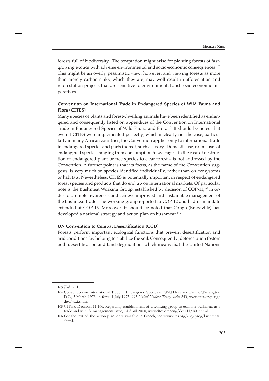forests full of biodiversity. The temptation might arise for planting forests of fastgrowing exotics with adverse environmental and socio-economic consequences.<sup>103</sup> This might be an overly pessimistic view, however, and viewing forests as more than merely carbon sinks, which they are, may well result in afforestation and reforestation projects that are sensitive to environmental and socio-economic imperatives.

## **Convention on International Trade in Endangered Species of Wild Fauna and Flora (CITES)**

Many species of plants and forest-dwelling animals have been identified as endangered and consequently listed on appendices of the Convention on International Trade in Endangered Species of Wild Fauna and Flora.<sup>104</sup> It should be noted that even if CITES were implemented perfectly, which is clearly not the case, particularly in many African countries, the Convention applies only to international trade in endangered species and parts thereof, such as ivory. Domestic use, or misuse, of endangered species, ranging from consumption to wastage – in the case of destruction of endangered plant or tree species to clear forest – is not addressed by the Convention. A further point is that its focus, as the name of the Convention suggests, is very much on species identified individually, rather than on ecosystems or habitats. Nevertheless, CITES is potentially important in respect of endangered forest species and products that do end up on international markets. Of particular note is the Bushmeat Working Group, established by decision of COP-11, 105 in order to promote awareness and achieve improved and sustainable management of the bushmeat trade. The working group reported to COP-12 and had its mandate extended at COP-13. Moreover, it should be noted that Congo (Brazaville) has developed a national strategy and action plan on bushmeat.<sup>106</sup>

#### **UN Convention to Combat Desertification (CCD)**

Forests perform important ecological functions that prevent desertification and arid conditions, by helping to stabilize the soil. Consequently, deforestation fosters both desertification and land degradation, which means that the United Nations

<sup>103</sup> *Ibid*., at 15.

<sup>104</sup> Convention on International Trade in Endangered Species of Wild Flora and Fauna, Washington D.C., 3 March 1973, in force 1 July 1975, 993 *United Nations Treaty Series* 243, www.cites.org/eng/ disc/text.shtml.

<sup>105</sup> CITES, Decision 11.166, Regarding establishment of a working group to examine bushmeat as a trade and wildlife management issue, 14 April 2000, www.cites.org/eng/dec/11/166.shtml.

<sup>106</sup> For the text of the action plan, only available in French, see www.cites.org/eng/prog/bushmeat. shtml.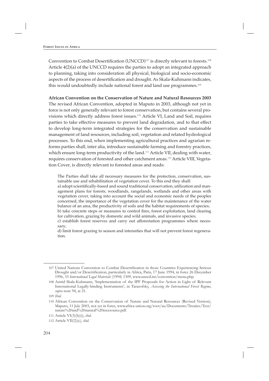Convention to Combat Desertification (UNCCD) $^{107}$  is directly relevant to forests.<sup>108</sup> Article 4(2)(a) of the UNCCD requires the parties to adopt an integrated approach to planning, taking into consideration all physical, biological and socio-economic aspects of the process of desertification and drought. As Skala-Kuhmann indicates, this would undoubtedly include national forest and land use programmes.<sup>109</sup>

**African Convention on the Conservation of Nature and Natural Resources 2003**

The revised African Convention, adopted in Maputo in 2003, although not yet in force is not only generally relevant to forest conservation, but contains several provisions which directly address forest issues.<sup>110</sup> Article VI, Land and Soil, requires parties to take effective measures to prevent land degradation, and to that effect to develop long-term integrated strategies for the conservation and sustainable management of land resources, including soil, vegetation and related hydrological processes. To this end, when implementing agricultural practices and agrarian reforms parties shall, inter alia, introduce sustainable farming and forestry practices, which ensure long-term productivity of the land.<sup>111</sup> Article VII, dealing with water, requires conservation of forested and other catchment areas.112 Article VIII, Vegetation Cover, is directly relevant to forested areas and reads:

The Parties shall take all necessary measures for the protection, conservation, sustainable use and rehabilitation of vegetation cover. To this end they shall:

a) adopt scientifically-based and sound traditional conservation, utilization and management plans for forests, woodlands, rangelands, wetlands and other areas with vegetation cover, taking into account the social and economic needs of the peoples concerned, the importance of the vegetation cover for the maintenance of the water balance of an area, the productivity of soils and the habitat requirements of species; b) take concrete steps or measures to control fires, forest exploitation, land clearing for cultivation, grazing by domestic and wild animals, and invasive species;

c) establish forest reserves and carry out afforestation programmes where necessary;

d) limit forest grazing to season and intensities that will not prevent forest regeneration.

<sup>107</sup> United Nations Convention to Combat Desertification in those Countries Experiencing Serious Drought and/or Desertification, particularly in Africa, Paris, 17 June 1994, in force 26 December 1996, 33 *International Legal Materials* (1994) 1309, www.unccd.int/convention/menu.php.

<sup>108</sup> Astrid Skala-Kuhmann, 'Implementation of the IPF Proposals for Action in Light of Relevant International Legally-binding Instruments', in Tarasofsky, *Assessing the International Forest Regime*, *supra* note 94, at 21.

<sup>109</sup> *Ibid*.

<sup>110</sup> African Convention on the Conservation of Nature and Natural Resources (Revised Version), Maputo, 11 July 2003, not yet in force, www.africa-union.org/root/au/Documents/Treaties/Text/ nature%20and%20natural%20recesource.pdf.

<sup>111</sup> Article VI(3)(b)(i), *ibid*.

<sup>112</sup> Article VII(2)(c), *ibid*.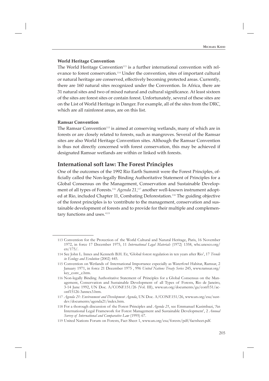#### **World Heritage Convention**

The World Heritage Convention<sup>113</sup> is a further international convention with relevance to forest conservation.<sup>114</sup> Under the convention, sites of important cultural or natural heritage are conserved, effectively becoming protected areas. Currently, there are 160 natural sites recognized under the Convention. In Africa, there are 31 natural sites and two of mixed natural and cultural significance. At least sixteen of the sites are forest sites or contain forest. Unfortunately, several of these sites are on the List of World Heritage in Danger. For example, all of the sites from the DRC, which are all rainforest areas, are on this list.

#### **Ramsar Convention**

The Ramsar Convention<sup>115</sup> is aimed at conserving wetlands, many of which are in forests or are closely related to forests, such as mangroves. Several of the Ramsar sites are also World Heritage Convention sites. Although the Ramsar Convention is thus not directly concerned with forest conservation, this may be achieved if designated Ramsar wetlands are within or linked with forests.

#### **International soft law: The Forest Principles**

One of the outcomes of the 1992 Rio Earth Summit were the Forest Principles, officially called the Non-legally Binding Authoritative Statement of Principles for a Global Consensus on the Management, Conservation and Sustainable Development of all types of Forests.<sup>116</sup> *Agenda 21*, 117 another well-known instrument adopted at Rio, included Chapter 11, Combating Deforestation.<sup>118</sup> The guiding objective of the forest principles is to 'contribute to the management, conservation and sustainable development of forests and to provide for their multiple and complementary functions and uses.<sup>119</sup>

<sup>113</sup> Convention for the Protection of the World Cultural and Natural Heritage, Paris, 16 November 1972, in force 17 December 1975, 11 *International Legal Materials* (1972) 1358, whc.unesco.org/ en/175/.

<sup>114</sup> See John L. Innes and Kenneth B.H. Er, 'Global forest regulation in ten years after Rio', 17 *Trends in Ecology and Evolution* (2002) 445.

<sup>115</sup> Convention on Wetlands of International Importance especially as Waterfowl Habitat, Ramsar, 2 January 1971, in force 21 December 1975 , 996 *United Nations Treaty Series* 245, www.ramsar.org/ key\_conv\_e.htm.

<sup>116</sup> Non-legally Binding Authoritative Statement of Principles for a Global Consensus on the Management, Conservation and Sustainable Development of all Types of Forests, Rio de Janeiro, 3-14 June 1992, UN Doc. A/CONF.151/26 (Vol. III), www.un.org/documents/ga/conf151/aconf15126-3annex3.htm.

<sup>117</sup> *Agenda 21: Environment and Development Agenda*, UN Doc. A/CONF.151/26, www.un.org/esa/sustdev/documents/agenda21/index.htm.

<sup>118</sup> For a thorough discussion of the Forest Principles and *Agenda 21*, see Emmanuel Kasimbazi, 'An International Legal Framework for Forest Management and Sustainable Development', 2 *Annual Survey of International and Comparative Law* (1995) 67.

<sup>119</sup> United Nations Forum on Forests, Fact Sheet 1, www.un.org/esa/forests/pdf/factsheet.pdf.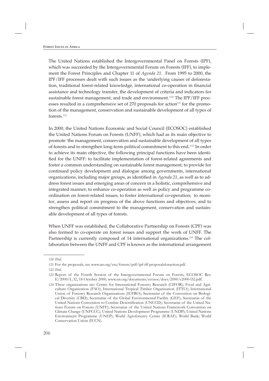The United Nations established the Intergovernmental Panel on Forests (IPF), which was succeeded by the Intergovernmental Forum on Forests (IFF), to implement the Forest Principles and Chapter 11 of *Agenda 21*. From 1995 to 2000, the IPF/IFF processes dealt with such issues as the 'underlying causes of deforestation, traditional forest-related knowledge, international co-operation in financial assistance and technology transfer, the development of criteria and indicators for sustainable forest management, and trade and environment.<sup>'120</sup> The IPF/IFF processes resulted in a comprehensive set of 270 proposals for action<sup>121</sup> for the promotion of the management, conservation and sustainable development of all types of forests.<sup>122</sup>

In 2000, the United Nations Economic and Social Council (ECOSOC) established the United Nations Forum on Forests (UNFF), which had as its main objective to promote 'the management, conservation and sustainable development of all types of forests and to strengthen long-term political commitment to this end.' <sup>123</sup> In order to achieve its main objective, the following principal functions have been identified for the UNFF: to facilitate implementation of forest-related agreements and foster a common understanding on sustainable forest management; to provide for continued policy development and dialogue among governments, international organizations, including major groups, as identified in *Agenda 21*, as well as to address forest issues and emerging areas of concern in a holistic, comprehensive and integrated manner; to enhance co-operation as well as policy and programme coordination on forest-related issues; to foster international co-operation; to monitor, assess and report on progress of the above functions and objectives; and to strengthen political commitment to the management, conservation and sustainable development of all types of forests.

When UNFF was established, the Collaborative Partnership on Forests (CPF) was also formed to co-operate on forest issues and support the work of UNFF. The Partnership is currently composed of 14 international organizations.<sup>124</sup> The collaboration between the UNFF and CPF is known as the international arrangement

<sup>120</sup> *Ibid*.

<sup>121</sup> For the proposals, see www.un.org/esa/forests/pdf/ipf-iff-proposalsforaction.pdf.

<sup>122</sup> *Ibid*.

<sup>123</sup> Report of the Fourth Session of the Intergovernmental Forum on Forests, ECOSOC Res. E/2000/L.32, 18 October 2000, www.un.org/documents/ecosoc/docs/2000/e2000-l32.pdf.

<sup>124</sup> These organizations are: Centre for International Forestry Research (CIFOR); Food and Agriculture Organization (FAO); International Tropical Timber Organization (ITTO); International Union of Forestry Research Organizations (IUFRO); Secretariat of the Convention on Biological Diversity (CBD); Secretariat of the Global Environmental Facility (GEF); Secretariat of the United Nations Convention to Combat Desertification (UNCCD); Secretariat of the United Nations Forum on Forests (UNFF); Secretariat of the United Nations Framework Convention on Climate Change (UNFCCC); United Nations Development Programme (UNDP); United Nations Environment Programme (UNEP); World Agroforestry Centre (ICRAF); World Bank; World Conservation Union (IUCN).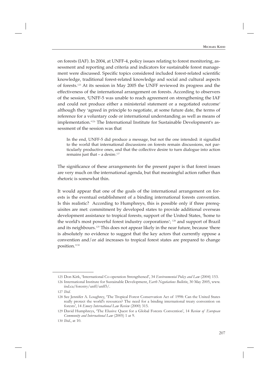on forests (IAF). In 2004, at UNFF-4, policy issues relating to forest monitoring, assessment and reporting and criteria and indicators for sustainable forest management were discussed. Specific topics considered included forest-related scientific knowledge, traditional forest-related knowledge and social and cultural aspects of forests.<sup>125</sup> At its session in May 2005 the UNFF reviewed its progress and the effectiveness of the international arrangement on forests. According to observers of the session, 'UNFF-5 was unable to reach agreement on strengthening the IAF and could not produce either a ministerial statement or a negotiated outcome' although they 'agreed in principle to negotiate, at some future date, the terms of reference for a voluntary code or international understanding as well as means of implementation.<sup>126</sup> The International Institute for Sustainable Development's assessment of the session was that

In the end, UNFF-5 did produce a message, but not the one intended: it signalled to the world that international discussions on forests remain discussions, not particularly productive ones, and that the collective desire to turn dialogue into action remains just that  $-$  a desire.<sup>127</sup>

The significance of these arrangements for the present paper is that forest issues are very much on the international agenda, but that meaningful action rather than rhetoric is somewhat thin.

It would appear that one of the goals of the international arrangement on forests is the eventual establishment of a binding international forests convention. Is this realistic? According to Humphreys, this is possible only if three prerequisites are met: commitment by developed states to provide additional overseas development assistance to tropical forests; support of the United States, 'home to the world's most powerful forest industry corporations'; <sup>128</sup> and support of Brazil and its neighbours.<sup>129</sup> This does not appear likely in the near future, because 'there is absolutely no evidence to suggest that the key actors that currently oppose a convention and/or aid increases to tropical forest states are prepared to change position.' 130

<sup>125</sup> Don Kirk, 'International Co-operation Strengthened', 34 *Environmental Policy and Law* (2004) 153.

<sup>126</sup> International Institute for Sustainable Development, *Earth Negotiations Bulletin*, 30 May 2005, www. iisd.ca/forestry/unff/unff5/.

<sup>127</sup> *Ibid*.

<sup>128</sup> See Jennifer A. Loughrey, 'The Tropical Forest Conservation Act of 1998: Can the United States really protect the world's resources? The need for a binding international treaty convention on forests', 14 *Emory International Law Review* (2000) 315.

<sup>129</sup> David Humphreys, 'The Elusive Quest for a Global Forests Convention', 14 *Review of European Community and International Law* (2005) 1 at 9.

<sup>130</sup> *Ibid*., at 10.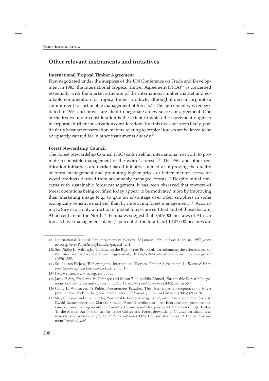## **Other relevant instruments and initiatives**

#### **International Tropical Timber Agreement**

First negotiated under the auspices of the UN Conference on Trade and Development in 1983, the International Tropical Timber Agreement (ITTA)<sup>131</sup> is concerned essentially with the market structure of the international timber market and equitable remuneration for tropical timber products, although it does incorporate a commitment to sustainable management of forests.132 The agreement was renegotiated in 1994 and moves are afoot to negotiate a new successor agreement. One of the issues under consideration is the extent to which the agreement ought to incorporate further conservation considerations, but this does not seem likely, particularly because conservation matters relating to tropical forests are believed to be adequately catered for in other instruments already.<sup>133</sup>

#### **Forest Stewardship Council**

The Forest Stewardship Council (FSC) calls itself an international network to promote responsible management of the world's forests.134 The FSC and other certification initiatives are market-based initiatives aimed at improving the quality of forest management and promoting higher prices or better market access for wood products derived from sustainably managed forests.<sup>135</sup> Despite initial concerns with sustainable forest management, it has been observed that 'owners of forest operations being certified today appear to be motivated more by improving their marketing image (e.g., to gain an advantage over other suppliers in some ecologically sensitive markets) than by improving forest management.<sup>'136</sup> According to Siry et al., only a fraction of global forests are certified and of those that are, 93 percent are in the North.<sup>137</sup> Estimates suggest that 5,509,000 hectares of African forests have management plans (1 percent of the total) and 1,107,000 hectares are

<sup>131</sup> International Tropical Timber Agreement, Geneva, 26 January 1994, in force 1 January 1997, www. itto.or.jp/live/PageDisplayHandler?pageId=201.

<sup>132</sup> See Phillip E. Wilson Jr., 'Barking up the Right Tree: Proposals for enhancing the effectiveness of the International Tropical Timber Agreement', 10 *Temple International and Comparative Law Journal* (1996) 229.

<sup>133</sup> See Lauren Flejzor, 'Reforming the International Tropical Timber Agreement', 14 *Review of European Community and International Law* (2005) 19.

<sup>134</sup> FSC website, www.fsc.org/en/about.

<sup>135</sup> Jacek P. Siry, Frederick W. Cubbage and Miyan Rukunuddin Ahmed, 'Sustainable Forest Management: Global trends and opportunities', 7 *Forest Policy and Economics* (2005) 551 at 557.

<sup>136</sup> Cathy L. Wittmeyer, 'A Public Procurement Paradox: The Unintended consequences of forest product eco-labels in the global marketplace', 23 *Journal of Law and Commerce* (2003) 69 at 76.

<sup>137</sup> Siry, Cubbage and Rukunuddin, 'Sustainable Forest Management', *supra* note 135, at 557. See also Ewald Rametsteiner and Markku Simula, 'Forest Certification – An Instrument to promote sustainable forest management?', 67 *Journal of Environmental Management* (2003) 87; Peter Leigh Taylor, 'In the Market but Not of It: Fair Trade Coffee and Forest Stewardship Council certification as market-based social change', 33 *World Development* (2005) 129; and Wittmeyer, 'A Public Procurement Paradox', *ibid*.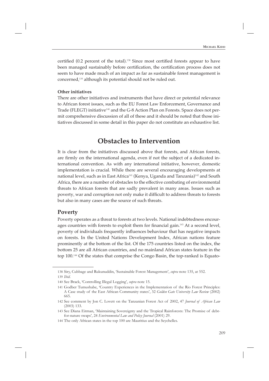certified (0.2 percent of the total).<sup>138</sup> Since most certified forests appear to have been managed sustainably before certification, the certification process does not seem to have made much of an impact as far as sustainable forest management is concerned, <sup>139</sup> although its potential should not be ruled out.

#### **Other initiatives**

There are other initiatives and instruments that have direct or potential relevance to African forest issues, such as the EU Forest Law Enforcement, Governance and Trade (FLEGT) initiative<sup>140</sup> and the G-8 Action Plan on Forests. Space does not permit comprehensive discussion of all of these and it should be noted that those initiatives discussed in some detail in this paper do not constitute an exhaustive list.

# **Obstacles to Intervention**

It is clear from the initiatives discussed above that forests, and African forests, are firmly on the international agenda, even if not the subject of a dedicated international convention. As with any international initiative, however, domestic implementation is crucial. While there are several encouraging developments at national level, such as in East Africa<sup>141</sup> (Kenya, Uganda and Tanzania)<sup>142</sup> and South Africa, there are a number of obstacles to the effective combating of environmental threats to African forests that are sadly prevalent in many areas. Issues such as poverty, war and corruption not only make it difficult to address threats to forests but also in many cases are the source of such threats.

## **Poverty**

Poverty operates as a threat to forests at two levels. National indebtedness encourages countries with forests to exploit them for financial gain.<sup>143</sup> At a second level, poverty of individuals frequently influences behaviour that has negative impacts on forests. In the United Nations Development Index, African nations feature prominently at the bottom of the list. Of the 175 countries listed on the index, the bottom 25 are all African countries, and no mainland African states feature in the top 100.144 Of the states that comprise the Congo Basin, the top-ranked is Equato-

<sup>138</sup> Siry, Cubbage and Rukunuddin, 'Sustainable Forest Management', *supra* note 135, at 552. 139 *Ibid*.

<sup>140</sup> See Brack, 'Controlling Illegal Logging', *supra* note 15.

<sup>141</sup> Godber Tumushabe, 'Country Experiences in the Implementation of the Rio Forest Principles: A Case study of the East African Community states', 32 *Golden Gate University Law Review* (2002) 665.

<sup>142</sup> See comment by Jon C. Lovett on the Tanzanian Forest Act of 2002, 47 *Journal of African Law* (2003) 133.

<sup>143</sup> See Diana Eitman, 'Maintaining Sovereignty and the Tropical Rainforests: The Promise of debtfor-nature swaps', 24 *Environmental Law and Policy Journal* (2001) 29.

<sup>144</sup> The only African states in the top 100 are Mauritius and the Seychelles.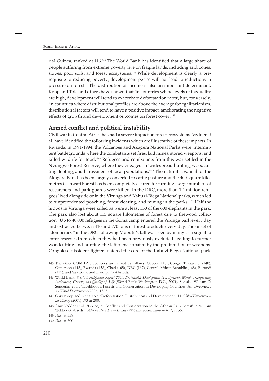rial Guinea, ranked at 116.<sup>145</sup> The World Bank has identified that a large share of people suffering from extreme poverty live on fragile lands, including arid zones, slopes, poor soils, and forest ecosystems.146 While development is clearly a prerequisite to reducing poverty, development per se will not lead to reductions in pressure on forests. The distribution of income is also an important determinant. Koop and Tole and others have shown that 'in countries where levels of inequality are high, development will tend to exacerbate deforestation rates', but, conversely, 'in countries where distributional profiles are above the average for egalitarianism, distributional factors will tend to have a positive impact, ameliorating the negative effects of growth and development outcomes on forest cover'.<sup>147</sup>

## Armed conflict and political instability

Civil war in Central Africa has had a severe impact on forest ecosystems. Vedder at al. have identified the following incidents which are illustrative of these impacts. In Rwanda, in 1991-1994, the Volcanoes and Akagera National Parks were 'intermittent battlegrounds where the combatants set fires, laid mines, stored weapons, and killed wildlife for food.' <sup>148</sup> Refugees and combatants from this war settled in the Nyungwe Forest Reserve, where they engaged in 'widespread hunting, woodcutting, looting, and harassment of local populations.<sup>149</sup> The natural savannah of the Akagera Park has been largely converted to cattle pasture and the 400 square kilometres Gishwati Forest has been completely cleared for farming. Large numbers of researchers and park guards were killed. In the DRC, more than 1.2 million refugees lived alongside or in the Virunga and Kahuzi-Biega National parks, which led to 'unprecedented poaching, forest clearing, and mining in the parks.<sup>2150</sup> Half the hippos in Virunga were killed as were at least 150 of the 600 elephants in the park. The park also lost about 115 square kilometres of forest due to firewood collection. Up to 40,000 refugees in the Goma camp entered the Virunga park every day and extracted between 410 and 770 tons of forest products every day. The onset of "democracy" in the DRC following Mobutu's fall was seen by many as a signal to enter reserves from which they had been previously excluded, leading to further woodcutting and hunting, the latter exacerbated by the proliferation of weapons. Congolese dissident fighters entered the core of the Kahuzi-Biega National park,

<sup>145</sup> The other COMIFAC countries are ranked as follows: Gabon (118), Congo (Brazaville) (140), Cameroon (142), Rwanda (158), Chad (165), DRC (167), Central African Republic (168), Burundi (171), and Sao Tome and Principe (not listed).

<sup>146</sup> World Bank, *World Development Report 2003: Sustainable Development in a Dynamic World: Transforming Institutions, Growth, and Quality of Life* (World Bank: Washington D.C., 2003). See also William D. Sunderlin et al., 'Livelihoods, Forests and Conservation in Developing Countries: An Overview', 33 *World Development* (2005) 1383.

<sup>147</sup> Gary Koop and Linda Tole, 'Deforestation, Distribution and Development', 11 *Global Environmental Change* (2001) 193 at 200.

<sup>148</sup> Amy Vedder et al., 'Epilogue: Conflict and Conservation in the African Rain Forest' in William Webber et al. (eds.), *African Rain Forest Ecology & Conservation*, *supra* note 7, at 557.

<sup>149</sup> *Ibid*., at 558.

<sup>150</sup> *Ibid*., at 600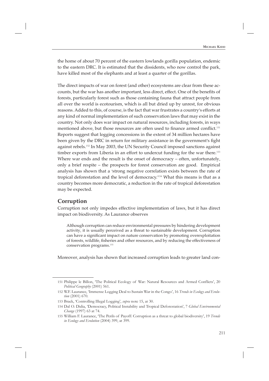the home of about 70 percent of the eastern lowlands gorilla population, endemic to the eastern DRC. It is estimated that the dissidents, who now control the park, have killed most of the elephants and at least a quarter of the gorillas.

The direct impacts of war on forest (and other) ecosystems are clear from these accounts, but the war has another important, less direct, effect. One of the benefits of forests, particularly forest such as those containing fauna that attract people from all over the world is ecotourism, which is all but dried up by unrest, for obvious reasons. Added to this, of course, is the fact that war frustrates a country's efforts at any kind of normal implementation of such conservation laws that may exist in the country. Not only does war impact on natural resources, including forests, in ways mentioned above, but those resources are often used to finance armed conflict.<sup>151</sup> Reports suggest that logging concessions in the extent of 34 million hectares have been given by the DRC in return for military assistance in the government's fight against rebels.<sup>152</sup> In May 2003, the UN Security Council imposed sanctions against timber exports from Liberia in an effort to undercut funding for the war there.<sup>153</sup> Where war ends and the result is the onset of democracy – often, unfortunately, only a brief respite – the prospects for forest conservation are good. Empirical analysis has shown that a 'strong negative correlation exists between the rate of tropical deforestation and the level of democracy.' <sup>154</sup> What this means is that as a country becomes more democratic, a reduction in the rate of tropical deforestation may be expected.

# **Corruption**

Corruption not only impedes effective implementation of laws, but it has direct impact on biodiversity. As Laurance observes

Although corruption can reduce environmental pressures by hindering development activity, it is usually perceived as a threat to sustainable development. Corruption can have a significant impact on nature conservation by promoting overexploitation of forests, wildlife, fisheries and other resources, and by reducing the effectiveness of conservation programs.<sup>155</sup>

Moreover, analysis has shown that increased corruption leads to greater land con-

<sup>151</sup> Philippe le Billon, 'The Political Ecology of War: Natural Resources and Armed Conflicts', 20 *Political Geography* (2001) 561.

<sup>152</sup> W.F. Laurance, 'Immense Logging Deal to Sustain War in the Congo', 16 *Trends in Ecology and Evolution* (2001) 670.

<sup>153</sup> Brack, 'Controlling Illegal Logging', *supra* note 15, at 30.

<sup>154</sup> Dal O. Didia, 'Democracy, Political Instability and Tropical Deforestation', 7 *Global Environmental Change* (1997) 63 at 74.

<sup>155</sup> William F. Laurance, 'The Perils of Payoff: Corruption as a threat to global biodiversity', 19 *Trends in Ecology and Evolution* (2004) 399, at 399.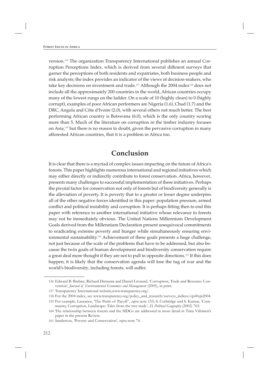version.156 The organization Transparency International publishes an annual Corruption Perceptions Index, which is derived from several different surveys that garner the perceptions of both residents and expatriates, both business people and risk analysts; the index provides an indicator of the views of decision-makers, who take key decisions on investment and trade.<sup>157</sup> Although the 2004 index<sup>158</sup> does not include all the approximately 200 countries in the world, African countries occupy many of the lowest rungs on the ladder. On a scale of 10 (highly clean) to 0 (highly corrupt), examples of poor African performers are Nigeria (1.6), Chad (1.7) and the DRC, Angola and Côte d'Ivoire (2.0), with several others not much better. The best performing African country is Botswana (6.0), which is the only country scoring more than 5. Much of the literature on corruption in the timber industry focuses on Asia, <sup>159</sup> but there is no reason to doubt, given the pervasive corruption in many afforested African countries, that it is a problem in Africa too.

# **Conclusion**

It is clear that there is a myriad of complex issues impacting on the future of Africa's forests. This paper highlights numerous international and regional initiatives which may either directly or indirectly contribute to forest conservation. Africa, however, presents many challenges to successful implementation of these initiatives. Perhaps the pivotal factor for conservation not only of forests but of biodiversity generally is the alleviation of poverty. It is poverty that to a greater or lesser degree underpins all of the other negative forces identified in this paper: population pressure, armed conflict and political instability and corruption. It is perhaps fitting then to end this paper with reference to another international initiative whose relevance to forests may not be immediately obvious. The United Nations Millennium Development Goals derived from the Millennium Declaration present unequivocal commitments to eradicating extreme poverty and hunger while simultaneously ensuring environmental sustainability.<sup>160</sup> Achievement of these goals presents a huge challenge, not just because of the scale of the problems that have to be addressed, but also because the twin goals of human development and biodiversity conservation require a great deal more thought if they are not to pull in opposite directions.<sup>161</sup> If this does happen, it is likely that the conservation agenda will lose the tug of war and the world's biodiversity, including forests, will suffer.

<sup>156</sup> Edward B. Barbier, Richard Damania and Daniel Léonard, 'Corruption, Trade and Resource Conversion', *Journal of Environmental Economics and Management* (2005), in print.

<sup>157</sup> Transparency International website,www.transparency.org/.

<sup>158</sup> For the 2004 index, see www.transparency.org/policy\_and\_research/surveys\_indices/cpi#cpi2004.

<sup>159</sup> For example, Laurance, 'The Perils of Payoff ', *supra* note 155; S. Corbridge and S. Kumar, 'Community, Corruption, Landscape: Tales from the tree trade', 21 *Political Geography* (2002) 765.

<sup>160</sup> The relationship between forests and the MDGs are addressed in more detail in Tiina Vähänen's paper in the present Review.

<sup>161</sup> Sanderson, 'Poverty and Conservation', *supra* note 74.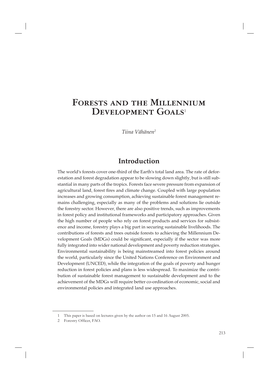# **Forests and the Millennium Development Goals**<sup>1</sup>

*Tiina Vähänen2*

# **Introduction**

The world's forests cover one-third of the Earth's total land area. The rate of deforestation and forest degradation appear to be slowing down slightly, but is still substantial in many parts of the tropics. Forests face severe pressure from expansion of agricultural land, forest fires and climate change. Coupled with large population increases and growing consumption, achieving sustainable forest management remains challenging, especially as many of the problems and solutions lie outside the forestry sector. However, there are also positive trends, such as improvements in forest policy and institutional frameworks and participatory approaches. Given the high number of people who rely on forest products and services for subsistence and income, forestry plays a big part in securing sustainable livelihoods. The contributions of forests and trees outside forests to achieving the Millennium Development Goals (MDGs) could be significant, especially if the sector was more fully integrated into wider national development and poverty reduction strategies. Environmental sustainability is being mainstreamed into forest policies around the world, particularly since the United Nations Conference on Environment and Development (UNCED), while the integration of the goals of poverty and hunger reduction in forest policies and plans is less widespread. To maximize the contribution of sustainable forest management to sustainable development and to the achievement of the MDGs will require better co-ordination of economic, social and environmental policies and integrated land use approaches.

<sup>1</sup> This paper is based on lectures given by the author on 15 and 16 August 2005.

<sup>2</sup> Forestry Officer, FAO.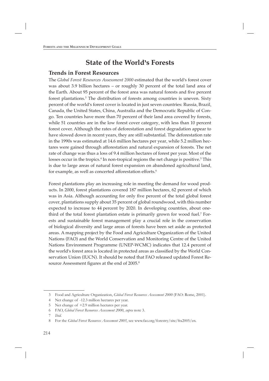# **State of the World's Forests**

## **Trends in Forest Resources**

The *Global Forest Resources Assessment 2000* estimated that the world's forest cover was about 3.9 billion hectares – or roughly 30 percent of the total land area of the Earth. About 95 percent of the forest area was natural forests and five percent forest plantations.<sup>3</sup> The distribution of forests among countries is uneven. Sixty percent of the world's forest cover is located in just seven countries: Russia, Brazil, Canada, the United States, China, Australia and the Democratic Republic of Congo. Ten countries have more than 70 percent of their land area covered by forests, while 51 countries are in the low forest cover category, with less than 10 percent forest cover. Although the rates of deforestation and forest degradation appear to have slowed down in recent years, they are still substantial. The deforestation rate in the 1990s was estimated at 14.6 million hectares per year, while 5.2 million hectares were gained through afforestation and natural expansion of forests. The net rate of change was thus a loss of 9.4 million hectares of forest per year. Most of the losses occur in the tropics.<sup>4</sup> In non-tropical regions the net change is positive.<sup>5</sup> This is due to large areas of natural forest expansion on abandoned agricultural land, for example, as well as concerted afforestation efforts.<sup>6</sup>

Forest plantations play an increasing role in meeting the demand for wood products. In 2000, forest plantations covered 187 million hectares, 62 percent of which was in Asia. Although accounting for only five percent of the total global forest cover, plantations supply about 35 percent of global roundwood, with this number expected to increase to 44 percent by 2020. In developing countries, about onethird of the total forest plantation estate is primarily grown for wood fuel.<sup>7</sup> Forests and sustainable forest management play a crucial role in the conservation of biological diversity and large areas of forests have been set aside as protected areas. A mapping project by the Food and Agriculture Organization of the United Nations (FAO) and the World Conservation and Monitoring Centre of the United Nations Environment Programme (UNEP-WCMC) indicates that 12.4 percent of the world's forest area is located in protected areas as classified by the World Conservation Union (IUCN). It should be noted that FAO released updated Forest Resource Assessment figures at the end of 2005.<sup>8</sup>

<sup>3</sup> Food and Agriculture Organization, *Global Forest Resources Assessment 2000* (FAO: Rome, 2001).

<sup>4</sup> Net change of -12.3 million hectares per year.

<sup>5</sup> Net change of +2.9 million hectares per year.

<sup>6</sup> FAO, *Global Forest Resources Assessment 2000*, *supra* note 3.

<sup>7</sup> *Ibid*.

<sup>8</sup> For the *Global Forest Resources Assessment 2005*, see www.fao.org/forestry/site/fra2005/en.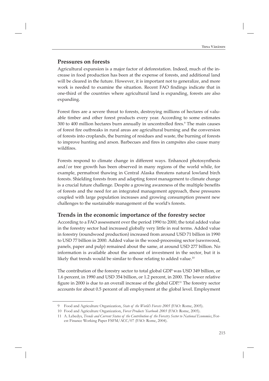# **Pressures on forests**

Agricultural expansion is a major factor of deforestation. Indeed, much of the increase in food production has been at the expense of forests, and additional land will be cleared in the future. However, it is important not to generalize, and more work is needed to examine the situation. Recent FAO findings indicate that in one-third of the countries where agricultural land is expanding, forests are also expanding.

Forest fires are a severe threat to forests, destroying millions of hectares of valuable timber and other forest products every year. According to some estimates 300 to 400 million hectares burn annually in uncontrolled fires.<sup>9</sup> The main causes of forest fire outbreaks in rural areas are agricultural burning and the conversion of forests into croplands, the burning of residues and waste, the burning of forests to improve hunting and arson. Barbecues and fires in campsites also cause many wildfires.

Forests respond to climate change in different ways. Enhanced photosynthesis and/or tree growth has been observed in many regions of the world while, for example, permafrost thawing in Central Alaska threatens natural lowland birch forests. Shielding forests from and adapting forest management to climate change is a crucial future challenge. Despite a growing awareness of the multiple benefits of forests and the need for an integrated management approach, these pressures coupled with large population increases and growing consumption present new challenges to the sustainable management of the world's forests.

## **Trends in the economic importance of the forestry sector**

According to a FAO assessment over the period 1990 to 2000, the total added value in the forestry sector had increased globally very little in real terms. Added value in forestry (roundwood production) increased from around USD 71 billion in 1990 to USD 77 billion in 2000. Added value in the wood-processing sector (sawnwood, panels, paper and pulp) remained about the same, at around USD 277 billion. No information is available about the amount of investment in the sector, but it is likely that trends would be similar to those relating to added value.<sup>10</sup>

The contribution of the forestry sector to total global GDP was USD 349 billion, or 1.6 percent, in 1990 and USD 354 billion, or 1.2 percent, in 2000. The lower relative figure in 2000 is due to an overall increase of the global GDP.<sup>11</sup> The forestry sector accounts for about 0.5 percent of all employment at the global level. Employment

<sup>9</sup> Food and Agriculture Organization, *State of the World's Forests 2005* (FAO: Rome, 2005).

<sup>10</sup> Food and Agriculture Organization, *Forest Products Yearbook 2003* (FAO: Rome, 2005).

<sup>11</sup> A. Lebedys, *Trends and Current Status of the Contribution of the Forestry Sector to National Economies*, Forest Finance Working Paper FSFM/ACC/07 (FAO: Rome, 2004).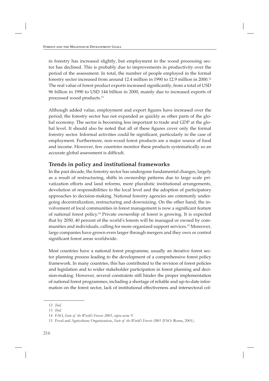in forestry has increased slightly, but employment in the wood processing sector has declined. This is probably due to improvements in productivity over the period of the assessment. In total, the number of people employed in the formal forestry sector increased from around 12.4 million in 1990 to 12.9 million in 2000.12 The real value of forest product exports increased significantly, from a total of USD 96 billion in 1990 to USD 144 billion in 2000, mainly due to increased exports of processed wood products.13

Although added value, employment and export figures have increased over the period, the forestry sector has not expanded as quickly as other parts of the global economy. The sector is becoming less important to trade and GDP at the global level. It should also be noted that all of these figures cover only the formal forestry sector. Informal activities could be significant, particularly in the case of employment. Furthermore, non-wood forest products are a major source of food and income. However, few countries monitor these products systematically so an accurate global assessment is difficult.

## **Trends in policy and institutional frameworks**

In the past decade, the forestry sector has undergone fundamental changes, largely as a result of restructuring, shifts in ownership patterns due to large scale privatization efforts and land reforms, more pluralistic institutional arrangements, devolution of responsibilities to the local level and the adoption of participatory approaches to decision-making. National forestry agencies are commonly undergoing decentralization, restructuring and downsizing. On the other hand, the involvement of local communities in forest management is now a significant feature of national forest policy.14 Private ownership of forest is growing. It is expected that by 2050, 40 percent of the world's forests will be managed or owned by communities and individuals, calling for more organized support services.15 Moreover, large companies have grown even larger through mergers and they own or control significant forest areas worldwide.

Most countries have a national forest programme, usually an iterative forest sector planning process leading to the development of a comprehensive forest policy framework. In many countries, this has contributed to the revision of forest policies and legislation and to wider stakeholder participation in forest planning and decision-making. However, several constraints still hinder the proper implementation of national forest programmes, including a shortage of reliable and up-to-date information on the forest sector, lack of institutional effectiveness and intersectoral col-

<sup>12</sup> *Ibid*.

<sup>13</sup> *Ibid*.

<sup>14</sup> FAO, *State of the World's Forests 2005*, *supra* note 9.

<sup>15</sup> Food and Agriculture Organization, *State of the World's Forests 2001* (FAO: Rome, 2001).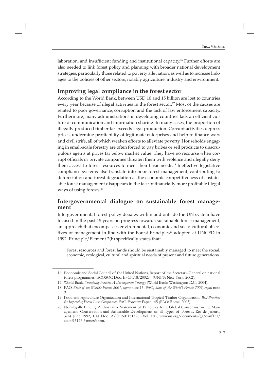laboration, and insufficient funding and institutional capacity.<sup>16</sup> Further efforts are also needed to link forest policy and planning with broader national development strategies, particularly those related to poverty alleviation, as well as to increase linkages to the policies of other sectors, notably agriculture, industry and environment.

## **Improving legal compliance in the forest sector**

According to the World Bank, between USD 10 and 15 billion are lost to countries every year because of illegal activities in the forest sector.<sup>17</sup> Most of the causes are related to poor governance, corruption and the lack of law enforcement capacity. Furthermore, many administrations in developing countries lack an efficient culture of communication and information sharing. In many cases, the proportion of illegally produced timber far exceeds legal production. Corrupt activities depress prices, undermine profitability of legitimate enterprises and help to finance wars and civil strife, all of which weaken efforts to alleviate poverty. Households engaging in small-scale forestry are often forced to pay bribes or sell products to unscrupulous agents at prices far below market value. They have no recourse when corrupt officials or private companies threaten them with violence and illegally deny them access to forest resources to meet their basic needs.18 Ineffective legislative compliance systems also translate into poor forest management, contributing to deforestation and forest degradation as the economic competitiveness of sustainable forest management disappears in the face of financially more profitable illegal ways of using forests.19

# **Intergovernmental dialogue on sustainable forest management**

Intergovernmental forest policy debates within and outside the UN system have focused in the past 15 years on progress towards sustainable forest management, an approach that encompasses environmental, economic and socio-cultural objectives of management in line with the Forest Principles<sup>20</sup> adopted at UNCED in 1992. Principle/Element 2(b) specifically states that:

Forest resources and forest lands should be sustainably managed to meet the social, economic, ecological, cultural and spiritual needs of present and future generations.

 $\Omega$ 

<sup>16</sup> Economic and Social Council of the United Nations, Report of the Secretary-General on national forest programmes, ECOSOC Doc. E/CN.18/2002/4 (UNFF: New York, 2002).

<sup>17</sup> World Bank, *Sustaining Forests: A Development Strategy* (World Bank: Washington D.C., 2004).

<sup>18</sup> FAO, *State of the World's Forests 2001*, *supra* note 15; FAO, *State of the World's Forests 2005*, *supra* note

<sup>19</sup> Food and Agriculture Organization and International Tropical Timber Organization, *Best Practices for Improving Forest Law Compliance*, FAO Forestry Paper 145 (FAO: Rome, 2005).

<sup>20</sup> Non-legally Binding Authoritative Statement of Principles for a Global Consensus on the Management, Conservation and Sustainable Development of all Types of Forests, Rio de Janeiro, 3-14 June 1992, UN Doc. A/CONF.151/26 (Vol. III), www.un.org/documents/ga/conf151/ aconf15126-3annex3.htm.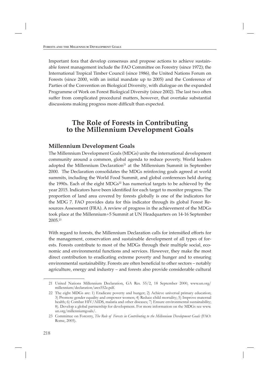Important fora that develop consensus and propose actions to achieve sustainable forest management include the FAO Committee on Forestry (since 1972); the International Tropical Timber Council (since 1986), the United Nations Forum on Forests (since 2000, with an initial mandate up to 2005) and the Conference of Parties of the Convention on Biological Diversity, with dialogue on the expanded Programme of Work on Forest Biological Diversity (since 2002). The last two often suffer from complicated procedural matters, however, that overtake substantial discussions making progress more difficult than expected.

# **The Role of Forests in Contributing to the Millennium Development Goals**

## **Millennium Development Goals**

The Millennium Development Goals (MDGs) unite the international development community around a common, global agenda to reduce poverty. World leaders adopted the Millennium Declaration<sup>21</sup> at the Millennium Summit in September 2000. The Declaration consolidates the MDGs reinforcing goals agreed at world summits, including the World Food Summit, and global conferences held during the 1990s. Each of the eight  $MDGs^{22}$  has numerical targets to be achieved by the year 2015. Indicators have been identified for each target to monitor progress. The proportion of land area covered by forests globally is one of the indicators for the MDG 7. FAO provides data for this indicator through its global Forest Resources Assessment (FRA). A review of progress in the achievement of the MDGs took place at the Millennium+5 Summit at UN Headquarters on 14-16 September 2005.23

With regard to forests, the Millennium Declaration calls for intensified efforts for the management, conservation and sustainable development of all types of forests. Forests contribute to most of the MDGs through their multiple social, economic and environmental functions and services. However, they make the most direct contribution to eradicating extreme poverty and hunger and to ensuring environmental sustainability. Forests are often beneficial to other sectors – notably agriculture, energy and industry – and forests also provide considerable cultural

<sup>21</sup> United Nations Millennium Declaration, GA Res. 55/2, 18 September 2000, www.un.org/ millennium/declaration/ares552e.pdf.

<sup>22</sup> The eight MDGs are: 1) Eradicate poverty and hunger; 2) Achieve universal primary education; 3) Promote gender equality and empower women; 4) Reduce child mortality; 5) Improve maternal health; 6) Combat HIV/AIDS, malaria and other diseases; 7) Ensure environmental sustainability; 8). Develop a global partnership for development. For more information on the MDGs see www. un.org/millenniumgoals/.

<sup>23</sup> Committee on Forestry, *The Role of Forests in Contributing to the Millennium Development Goals* (FAO: Rome, 2005).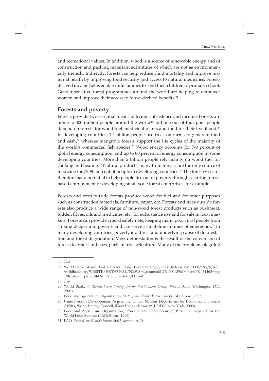and recreational values. In addition, wood is a source of renewable energy and of construction and packing materials, substitutes of which are not as environmentally friendly. Indirectly, forests can help reduce child mortality and improve maternal health by improving food security and access to natural medicines. Forestderived income helps enable rural families to send their children to primary school. Gender-sensitive forest programmes around the world are helping to empower women and improve their access to forest-derived benefits.<sup>24</sup>

## **Forests and poverty**

Forests provide two essential means of living: subsistence and income. Forests are home to 300 million people around the world<sup>25</sup> and one out of four poor people depend on forests for wood fuel, medicinal plants and food for their livelihood.<sup>26</sup> In developing countries, 1.2 billion people use trees on farms to generate food and cash, 27 whereas mangrove forests support the life cycles of the majority of the world's commercial fish species.<sup>28</sup> Wood energy accounts for 7-9 percent of global energy consumption, and up to 80 percent of energy consumption in some developing countries. More than 2 billion people rely mainly on wood fuel for cooking and heating.29 Natural products, many from forests, are the only source of medicine for 75-90 percent of people in developing countries.30 The forestry sector therefore has a potential to help people rise out of poverty through securing forestbased employment or developing small-scale forest enterprises, for example.

Forests and trees outside forests produce wood for fuel and for other purposes such as construction materials, furniture, paper, etc. Forests and trees outside forests also produce a wide range of non-wood forest products such as bushmeat, fodder, fibres, oils and medicines, etc., for subsistence use and for sale in local markets. Forests can provide crucial safety nets, keeping many poor rural people from sinking deeper into poverty and can serve as a lifeline in times of emergency.<sup>31</sup> In many developing countries, poverty is a direct and underlying cause of deforestation and forest degradation. Most deforestation is the result of the conversion of forests to other land uses, particularly agriculture. Many of the problems plaguing

<sup>24</sup> *Ibid*.

<sup>25</sup> World Bank, 'World Bank Reviews Global Forest Strategy', Press Release No. 2000/193/S, web. worldbank.org/WBSITE/EXTERNAL/NEWS/0,,contentMDK:20012961~menuPK: 34463~pag ePK:34370~piPK:34424~theSitePK:4607,00.html.

<sup>26</sup> *Ibid*.

<sup>27</sup> World Bank, *A Revised Forest Strategy for the World Bank Group* (World Bank: Washington D.C, 2001).

<sup>28</sup> Food and Agriculture Organization, *State of the World's Forests 2003* (FAO: Rome, 2003).

<sup>29</sup> Unite Nations Development Programme, United Nations Department for Economic and Social Affairs, World Energy Council, *World Energy Assessment* (UNDP: New York, 2000).

<sup>30</sup> Food and Agriculture Organization, 'Forestry and Food Security', Brochure prepared for the World Food Summit (FAO: Rome, 1996).

<sup>31</sup> FAO, *State of the World's Forests 2003*, *supra* note 28.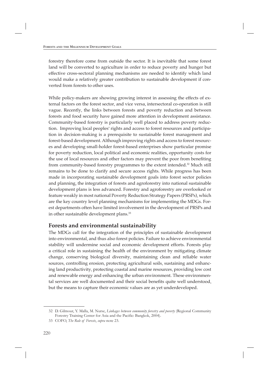forestry therefore come from outside the sector. It is inevitable that some forest land will be converted to agriculture in order to reduce poverty and hunger but effective cross-sectoral planning mechanisms are needed to identify which land would make a relatively greater contribution to sustainable development if converted from forests to other uses.

While policy-makers are showing growing interest in assessing the effects of external factors on the forest sector, and vice versa, intersectoral co-operation is still vague. Recently, the links between forests and poverty reduction and between forests and food security have gained more attention in development assistance. Community-based forestry is particularly well placed to address poverty reduction. Improving local peoples' rights and access to forest resources and participation in decision-making is a prerequisite to sustainable forest management and forest-based development. Although improving rights and access to forest resources and developing small-holder forest-based enterprises show particular promise for poverty reduction, local political and economic realities, opportunity costs for the use of local resources and other factors may prevent the poor from benefiting from community-based forestry programmes to the extent intended.<sup>32</sup> Much still remains to be done to clarify and secure access rights. While progress has been made in incorporating sustainable development goals into forest sector policies and planning, the integration of forests and agroforestry into national sustainable development plans is less advanced. Forestry and agroforestry are overlooked or feature weakly in most national Poverty Reduction Strategy Papers (PRSPs), which are the key country level planning mechanisms for implementing the MDGs. Forest departments often have limited involvement in the development of PRSPs and in other sustainable development plans.<sup>33</sup>

## **Forests and environmental sustainability**

The MDGs call for the integration of the principles of sustainable development into environmental, and thus also forest policies. Failure to achieve environmental stability will undermine social and economic development efforts. Forests play a critical role in sustaining the health of the environment by mitigating climate change, conserving biological diversity, maintaining clean and reliable water sources, controlling erosion, protecting agricultural soils, sustaining and enhancing land productivity, protecting coastal and marine resources, providing low cost and renewable energy and enhancing the urban environment. These environmental services are well documented and their social benefits quite well understood, but the means to capture their economic values are as yet underdeveloped.

<sup>32</sup> D. Gilmour, Y. Malla, M. Nurse, *Linkages between community forestry and poverty* (Regional Community Forestry Training Center for Asia and the Pacific: Bangkok, 2004).

<sup>33</sup> COFO, *The Role of Forests*, *supra* note 23.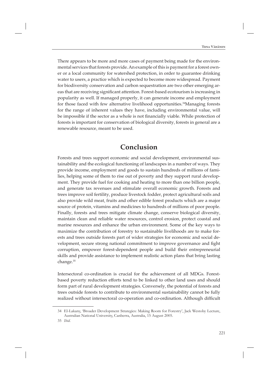There appears to be more and more cases of payment being made for the environmental services that forests provide. An example of this is payment for a forest owner or a local community for watershed protection, in order to guarantee drinking water to users, a practice which is expected to become more widespread. Payment for biodiversity conservation and carbon sequestration are two other emerging areas that are receiving significant attention. Forest-based ecotourism is increasing in popularity as well. If managed properly, it can generate income and employment for those faced with few alternative livelihood opportunities.<sup>34</sup>Managing forests for the range of inherent values they have, including environmental value, will be impossible if the sector as a whole is not financially viable. While protection of forests is important for conservation of biological diversity, forests in general are a renewable resource, meant to be used.

# **Conclusion**

Forests and trees support economic and social development, environmental sustainability and the ecological functioning of landscapes in a number of ways. They provide income, employment and goods to sustain hundreds of millions of families, helping some of them to rise out of poverty and they support rural development. They provide fuel for cooking and heating to more than one billion people, and generate tax revenues and stimulate overall economic growth. Forests and trees improve soil fertility, produce livestock fodder, protect agricultural soils and also provide wild meat, fruits and other edible forest products which are a major source of protein, vitamins and medicines to hundreds of millions of poor people. Finally, forests and trees mitigate climate change, conserve biological diversity, maintain clean and reliable water resources, control erosion, protect coastal and marine resources and enhance the urban environment. Some of the key ways to maximize the contribution of forestry to sustainable livelihoods are to make forests and trees outside forests part of wider strategies for economic and social development, secure strong national commitment to improve governance and fight corruption, empower forest-dependent people and build their entrepreneurial skills and provide assistance to implement realistic action plans that bring lasting change.<sup>35</sup>

Intersectoral co-ordination is crucial for the achievement of all MDGs. Forestbased poverty reduction efforts tend to be linked to other land uses and should form part of rural development strategies. Conversely, the potential of forests and trees outside forests to contribute to environmental sustainability cannot be fully realized without intersectoral co-operation and co-ordination. Although difficult

<sup>34</sup> El-Lakany, 'Broader Development Strategies: Making Room for Forestry', Jack Westoby Lecture, Australian National University, Canberra, Australia, 15 August 2005.

<sup>35</sup> *Ibid*.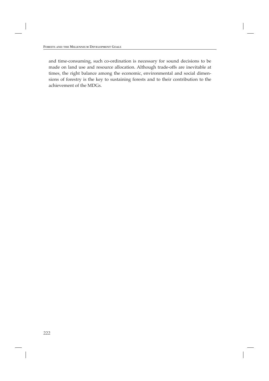and time-consuming, such co-ordination is necessary for sound decisions to be made on land use and resource allocation. Although trade-offs are inevitable at times, the right balance among the economic, environmental and social dimensions of forestry is the key to sustaining forests and to their contribution to the achievement of the MDGs.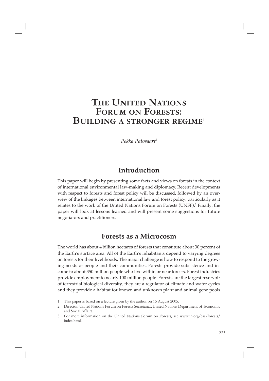# **The United Nations Forum on Forests: Building a stronger regime**<sup>1</sup>

*Pekka Patosaari2*

# **Introduction**

This paper will begin by presenting some facts and views on forests in the context of international environmental law-making and diplomacy. Recent developments with respect to forests and forest policy will be discussed, followed by an overview of the linkages between international law and forest policy, particularly as it relates to the work of the United Nations Forum on Forests (UNFF).<sup>3</sup> Finally, the paper will look at lessons learned and will present some suggestions for future negotiators and practitioners.

# **Forests as a Microcosm**

The world has about 4 billion hectares of forests that constitute about 30 percent of the Earth's surface area. All of the Earth's inhabitants depend to varying degrees on forests for their livelihoods. The major challenge is how to respond to the growing needs of people and their communities. Forests provide subsistence and income to about 350 million people who live within or near forests. Forest industries provide employment to nearly 100 million people. Forests are the largest reservoir of terrestrial biological diversity, they are a regulator of climate and water cycles and they provide a habitat for known and unknown plant and animal gene pools

<sup>1</sup> This paper is based on a lecture given by the author on 15 August 2005.

<sup>2</sup> Director, United Nations Forum on Forests Secretariat, United Nations Department of Economic and Social Affairs.

<sup>3</sup> For more information on the United Nations Forum on Forests, see www.un.org/esa/forests/ index.html.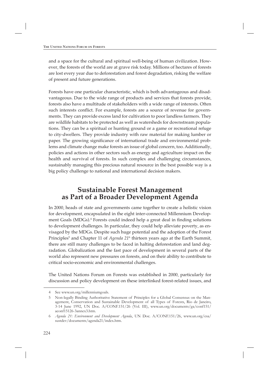and a space for the cultural and spiritual well-being of human civilization. However, the forests of the world are at grave risk today. Millions of hectares of forests are lost every year due to deforestation and forest degradation, risking the welfare of present and future generations.

Forests have one particular characteristic, which is both advantageous and disadvantageous. Due to the wide range of products and services that forests provide, forests also have a multitude of stakeholders with a wide range of interests. Often such interests conflict. For example, forests are a source of revenue for governments. They can provide excess land for cultivation to poor landless farmers. They are wildlife habitats to be protected as well as watersheds for downstream populations. They can be a spiritual or hunting ground or a game or recreational refuge to city-dwellers. They provide industry with raw material for making lumber or paper. The growing significance of international trade and environmental problems and climate change make forests an issue of global concern, too. Additionally, policies and actions in other sectors such as energy and agriculture impact on the health and survival of forests. In such complex and challenging circumstances, sustainably managing this precious natural resource in the best possible way is a big policy challenge to national and international decision makers.

## **Sustainable Forest Management as Part of a Broader Development Agenda**

In 2000, heads of state and governments came together to create a holistic vision for development, encapsulated in the eight inter-connected Millennium Development Goals (MDGs).<sup>4</sup> Forests could indeed help a great deal in finding solutions to development challenges. In particular, they could help alleviate poverty, as envisaged by the MDGs. Despite such huge potential and the adoption of the Forest Principles<sup>5</sup> and Chapter 11 of *Agenda* 21<sup>6</sup> thirteen years ago at the Earth Summit, there are still many challenges to be faced in halting deforestation and land degradation. Globalization and the fast pace of development in several parts of the world also represent new pressures on forests, and on their ability to contribute to critical socio-economic and environmental challenges.

The United Nations Forum on Forests was established in 2000, particularly for discussion and policy development on these interlinked forest-related issues, and

<sup>4</sup> See www.un.org/millenniumgoals.

<sup>5</sup> Non-legally Binding Authoritative Statement of Principles for a Global Consensus on the Management, Conservation and Sustainable Development of all Types of Forests, Rio de Janeiro, 3-14 June 1992, UN Doc. A/CONF.151/26 (Vol. III), www.un.org/documents/ga/conf151/ aconf15126-3annex3.htm.

<sup>6</sup> *Agenda 21: Environment and Development Agenda*, UN Doc. A/CONF.151/26, www.un.org/esa/ sustdev/documents/agenda21/index.htm.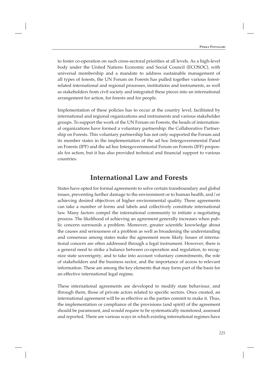to foster co-operation on such cross-sectoral priorities at all levels. As a high-level body under the United Nations Economic and Social Council (ECOSOC), with universal membership and a mandate to address sustainable management of all types of forests, the UN Forum on Forests has pulled together various forestrelated international and regional processes, institutions and instruments, as well as stakeholders from civil society and integrated these pieces into an international arrangement for action, for forests and for people.

Implementation of these policies has to occur at the country level, facilitated by international and regional organizations and instruments and various stakeholder groups. To support the work of the UN Forum on Forests, the heads of international organizations have formed a voluntary partnership: the Collaborative Partnership on Forests. This voluntary partnership has not only supported the Forum and its member states in the implementation of the ad hoc Intergovernmental Panel on Forests (IPF) and the ad hoc Intergovernmental Forum on Forests (IFF) proposals for action, but it has also provided technical and financial support to various countries.

# **International Law and Forests**

States have opted for formal agreements to solve certain transboundary and global issues, preventing further damage to the environment or to human health, and/or achieving desired objectives of higher environmental quality. These agreements can take a number of forms and labels and collectively constitute international law. Many factors compel the international community to initiate a negotiating process. The likelihood of achieving an agreement generally increases when public concern surrounds a problem. Moreover, greater scientific knowledge about the causes and seriousness of a problem as well as broadening the understanding and consensus among states make the agreement more likely. Issues of international concern are often addressed through a legal instrument. However, there is a general need to strike a balance between co-operation and regulation, to recognize state sovereignty, and to take into account voluntary commitments, the role of stakeholders and the business sector, and the importance of access to relevant information. These are among the key elements that may form part of the basis for an effective international legal regime.

These international agreements are developed to modify state behaviour, and through them, those of private actors related to specific sectors. Once created, an international agreement will be as effective as the parties commit to make it. Thus, the implementation or compliance of the provisions (and spirit) of the agreement should be paramount, and would require to be systematically monitored, assessed and reported. There are various ways in which existing international regimes have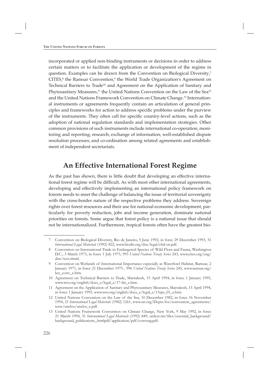incorporated or applied non-binding instruments or decisions in order to address certain matters or to facilitate the application or development of the regime in question. Examples can be drawn from the Convention on Biological Diversity, 7 CITES,<sup>8</sup> the Ramsar Convention,<sup>9</sup> the World Trade Organization's Agreement on Technical Barriers to Trade<sup>10</sup> and Agreement on the Application of Sanitary and Phytosanitary Measures,<sup>11</sup> the United Nations Convention on the Law of the Sea<sup>12</sup> and the United Nations Framework Convention on Climate Change.13 International instruments or agreements frequently contain an articulation of general principles and frameworks for action to address specific problems under the purview of the instruments. They often call for specific country-level actions, such as the adoption of national regulation standards and implementation strategies. Other common provisions of such instruments include international co-operation, monitoring and reporting; research; exchange of information; well-established dispute resolution processes; and co-ordination among related agreements and establishment of independent secretariats.

# **An Effective International Forest Regime**

As the past has shown, there is little doubt that developing an effective international forest regime will be difficult. As with most other international agreements, developing and effectively implementing an international policy framework on forests needs to meet the challenge of balancing the issue of territorial sovereignty with the cross-border nature of the respective problems they address. Sovereign rights over forest resources and their use for national economic development, particularly for poverty reduction, jobs and income generation, dominate national priorities on forests. Some argue that forest policy is a national issue that should not be internationalized. Furthermore, tropical forests often have the greatest bio-

<sup>7</sup> Convention on Biological Diversity, Rio de Janeiro, 5 June 1992, in force 29 December 1993, 31 *International Legal Materials* (1992) 822, www.biodiv.org/doc/legal/cbd-en.pdf.

<sup>8</sup> Convention on International Trade in Endangered Species of Wild Flora and Fauna, Washington D.C., 3 March 1973, in force 1 July 1975, 993 *United Nations Treaty Series* 243, www.cites.org/eng/ disc/text.shtml.

<sup>9</sup> Convention on Wetlands of International Importance especially as Waterfowl Habitat, Ramsar, 2 January 1971, in force 21 December 1975 , 996 *United Nations Treaty Series* 245, www.ramsar.org/ key\_conv\_e.htm.

<sup>10</sup> Agreement on Technical Barriers to Trade, Marrakesh, 15 April 1994, in force 1 January 1995, www.wto.org/english/docs\_e/legal\_e/17-tbt\_e.htm.

<sup>11</sup> Agreement on the Application of Sanitary and Phytosanitary Measures, Marrakesh, 15 April 1994, in force 1 January 1995, www.wto.org/english/docs\_e/legal\_e/15sps\_01\_e.htm.

<sup>12</sup> United Nations Convention on the Law of the Sea, 10 December 1982, in force 16 November 1994, 21 *International Legal Materials* (1982) 1261, www.un.org/Depts/los/convention\_agreements/ texts/unclos/unclos\_e.pdf.

<sup>13</sup> United Nations Framework Convention on Climate Change, New York, 9 May 1992, in force 21 March 1994, 31 *International Legal Materials* (1992) 849, unfccc.int/files/essential\_background/ background\_publications\_htmlpdf/application/pdf/conveng.pdf.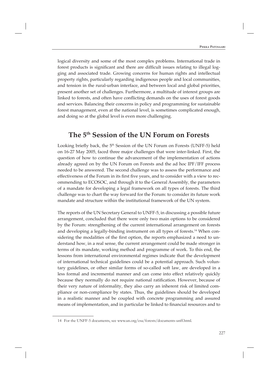logical diversity and some of the most complex problems. International trade in forest products is significant and there are difficult issues relating to illegal logging and associated trade. Growing concerns for human rights and intellectual property rights, particularly regarding indigenous people and local communities, and tension in the rural-urban interface, and between local and global priorities, present another set of challenges. Furthermore, a multitude of interest groups are linked to forests, and often have conflicting demands on the uses of forest goods and services. Balancing their concerns in policy and programming for sustainable forest management, even at the national level, is sometimes complicated enough, and doing so at the global level is even more challenging.

### **The 5th Session of the UN Forum on Forests**

Looking briefly back, the 5<sup>th</sup> Session of the UN Forum on Forests (UNFF-5) held on 16-27 May 2005, faced three major challenges that were inter-linked. First, the question of how to continue the advancement of the implementation of actions already agreed on by the UN Forum on Forests and the ad hoc IPF/IFF process needed to be answered. The second challenge was to assess the performance and effectiveness of the Forum in its first five years, and to consider with a view to recommending to ECOSOC, and through it to the General Assembly, the parameters of a mandate for developing a legal framework on all types of forests. The third challenge was to chart the way forward for the Forum: to consider its future work mandate and structure within the institutional framework of the UN system.

The reports of the UN Secretary General to UNFF-5, in discussing a possible future arrangement, concluded that there were only two main options to be considered by the Forum: strengthening of the current international arrangement on forests and developing a legally-binding instrument on all types of forests.<sup>14</sup> When considering the modalities of the first option, the reports emphasized a need to understand how, in a real sense, the current arrangement could be made stronger in terms of its mandate, working method and programme of work. To this end, the lessons from international environmental regimes indicate that the development of international technical guidelines could be a potential approach. Such voluntary guidelines, or other similar forms of so-called soft law, are developed in a less formal and incremental manner and can come into effect relatively quickly because they normally do not require national ratification. However, because of their very nature of informality, they also carry an inherent risk of limited compliance or non-compliance by states. Thus, the guidelines should be developed in a realistic manner and be coupled with concrete programming and assured means of implementation, and in particular be linked to financial resources and to

<sup>14</sup> For the UNFF-5 documents, see www.un.org/esa/forests/documents-unff.html.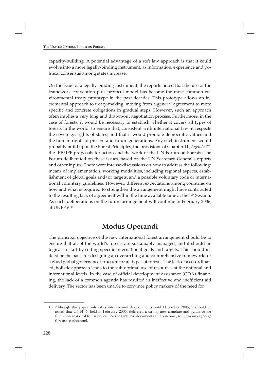capacity-building. A potential advantage of a soft law approach is that it could evolve into a more legally-binding instrument, as information, experience and political consensus among states increase.

On the issue of a legally-binding instrument, the reports noted that the use of the framework convention plus protocol model has become the most common environmental treaty prototype in the past decades. This prototype allows an incremental approach to treaty-making, moving from a general agreement to more specific and concrete obligations in gradual steps. However, such an approach often implies a very long and drawn-out negotiation process. Furthermore, in the case of forests, it would be necessary to establish whether it covers all types of forests in the world, to ensure that, consistent with international law, it respects the sovereign rights of states, and that it would promote democratic values and the human rights of present and future generations. Any such instrument would probably build upon the Forest Principles, the provisions of Chapter 11, *Agenda 21*, the IPF/IFF proposals for action and the work of the UN Forum on Forests. The Forum deliberated on these issues, based on the UN Secretary-General's reports and other inputs. There were intense discussions on how to address the following: means of implementation; working modalities, including regional aspects; establishment of global goals and/or targets; and a possible voluntary code or international voluntary guidelines. However, different expectations among countries on how and what is required to strengthen the arrangement might have contributed to the resulting lack of agreement within the time available time at the  $5<sup>th</sup>$  Session. As such, deliberations on the future arrangement will continue in February 2006, at UNFF-6.15

# **Modus Operandi**

The principal objective of the new international forest arrangement should be to ensure that all of the world's forests are sustainably managed, and it should be logical to start by setting specific international goals and targets. This should indeed be the basis for designing an overarching and comprehensive framework for a good global governance structure for all types of forests. The lack of a co-ordinated, holistic approach leads to the sub-optimal use of resources at the national and international levels. In the case of official development assistance (ODA) financing, the lack of a common agenda has resulted in ineffective and inefficient aid delivery. The sector has been unable to convince policy makers of the need for

<sup>15</sup> Although this paper only takes into account developments until December 2005, it should be noted that UNFF-6, held in February 2006, delivered a strong new mandate and guidance for future international forest policy. For the UNFF-6 documents and outcome, see www.un.org/esa/ forests/session.html.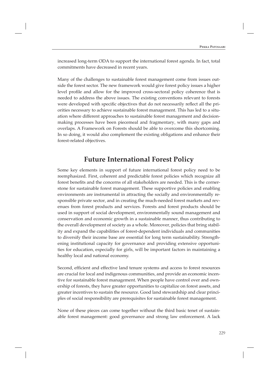increased long-term ODA to support the international forest agenda. In fact, total commitments have decreased in recent years.

Many of the challenges to sustainable forest management come from issues outside the forest sector. The new framework would give forest policy issues a higher level profile and allow for the improved cross-sectoral policy coherence that is needed to address the above issues. The existing conventions relevant to forests were developed with specific objectives that do not necessarily reflect all the priorities necessary to achieve sustainable forest management. This has led to a situation where different approaches to sustainable forest management and decisionmaking processes have been piecemeal and fragmentary, with many gaps and overlaps. A Framework on Forests should be able to overcome this shortcoming. In so doing, it would also complement the existing obligations and enhance their forest-related objectives.

# **Future International Forest Policy**

Some key elements in support of future international forest policy need to be reemphasized. First, coherent and predictable forest policies which recognize all forest benefits and the concerns of all stakeholders are needed. This is the cornerstone for sustainable forest management. These supportive policies and enabling environments are instrumental in attracting the socially and environmentally responsible private sector, and in creating the much-needed forest markets and revenues from forest products and services. Forests and forest products should be used in support of social development, environmentally sound management and conservation and economic growth in a sustainable manner, thus contributing to the overall development of society as a whole. Moreover, policies that bring stability and expand the capabilities of forest-dependent individuals and communities to diversify their income base are essential for long term sustainability. Strengthening institutional capacity for governance and providing extensive opportunities for education, especially for girls, will be important factors in maintaining a healthy local and national economy.

Second, efficient and effective land tenure systems and access to forest resources are crucial for local and indigenous communities, and provide an economic incentive for sustainable forest management. When people have control over and ownership of forests, they have greater opportunities to capitalize on forest assets, and greater incentives to sustain the resource. Good land stewardship and clear principles of social responsibility are prerequisites for sustainable forest management.

None of these pieces can come together without the third basic tenet of sustainable forest management: good governance and strong law enforcement. A lack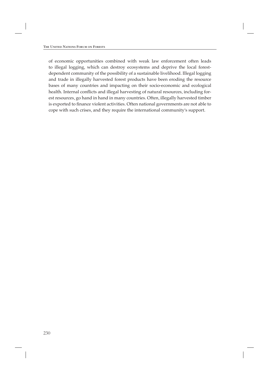of economic opportunities combined with weak law enforcement often leads to illegal logging, which can destroy ecosystems and deprive the local forestdependent community of the possibility of a sustainable livelihood. Illegal logging and trade in illegally harvested forest products have been eroding the resource bases of many countries and impacting on their socio-economic and ecological health. Internal conflicts and illegal harvesting of natural resources, including forest resources, go hand in hand in many countries. Often, illegally harvested timber is exported to finance violent activities. Often national governments are not able to cope with such crises, and they require the international community's support.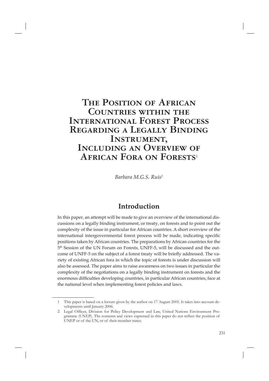# **The Position of African Countries within the International Forest Process Regarding a Legally Binding Instrument, Including an Overview of African Fora on Forests**<sup>1</sup>

*Barbara M.G.S. Ruis2*

# **Introduction**

In this paper, an attempt will be made to give an overview of the international discussions on a legally binding instrument, or treaty, on forests and to point out the complexity of the issue in particular for African countries. A short overview of the international intergovernmental forest process will be made, indicating specific positions taken by African countries. The preparations by African countries for the 5th Session of the UN Forum on Forests, UNFF-5, will be discussed and the outcome of UNFF-5 on the subject of a forest treaty will be briefly addressed. The variety of existing African fora in which the topic of forests is under discussion will also be assessed. The paper aims to raise awareness on two issues in particular the complexity of the negotiations on a legally binding instrument on forests and the enormous difficulties developing countries, in particular African countries, face at the national level when implementing forest policies and laws.

<sup>1</sup> This paper is based on a lecture given by the author on 17 August 2005. It takes into account developments until January 2006.

<sup>2</sup> Legal Officer, Division for Policy Development and Law, United Nations Environment Programme (UNEP). The contents and views expressed in this paper do not reflect the position of UNEP or of the UN, or of their member states.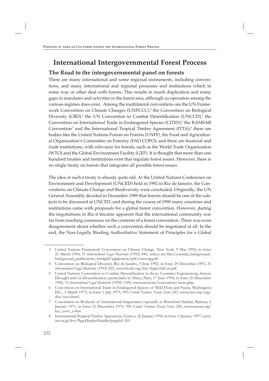## **International Intergovernmental Forest Process**

### **The Road to the intergovernmental panel on forests**

There are many international and some regional instruments, including conventions, and many international and regional processes and institutions which in some way or other deal with forests. This results in much duplication and many gaps in mandates and activities in the forest area, although co-operation among the various regimes does exist. Among the multilateral conventions are the UN Framework Convention on Climate Changes (UNFCCC), 3 the Convention on Biological Diversity (CBD),<sup>4</sup> the UN Convention to Combat Desertification (UNCCD),<sup>5</sup> the Convention on International Trade in Endangered Species (CITES),<sup>6</sup> the RAMSAR Convention<sup>7</sup> and the International Tropical Timber Agreement (ITTA);<sup>8</sup> there are bodies like the United Nations Forum on Forests (UNFF), the Food and Agricultural Organization's Committee on Forestry (FAO COFO); and there are financial and trade institutions, with relevance for forests, such as the World Trade Organization (WTO) and the Global Environment Facility (GEF). It is thought that more than one hundred treaties and institutions exist that regulate forest issues. However, there is no single treaty on forests that integrates all possible forest issues.

The idea of such a treaty is already quite old. At the United Nations Conference on Environment and Development (UNCED) held in 1992 in Rio de Janeiro, the Conventions on Climate Change and Biodiversity were concluded. Originally, the UN General Assembly decided in December 1989 that forests should be one of the subjects to be discussed at UNCED, and during the course of 1990 many countries and institutions came with proposals for a global forest convention. However, during the negotiations in Rio it became apparent that the international community was far from reaching consensus on the contents of a forest convention. There was even disagreement about whether such a convention should be negotiated at all. In the end, the Non-Legally Binding Authoritative Statement of Principles for a Global

<sup>3</sup> United Nations Framework Convention on Climate Change, New York, 9 May 1992, in force 21 March 1994, 31 *International Legal Materials* (1992) 849, unfccc.int/files/essential\_background/ background\_publications\_htmlpdf/application/pdf/conveng.pdf.

<sup>4</sup> Convention on Biological Diversity, Rio de Janeiro, 5 June 1992, in force 29 December 1993, 31 *International Legal Materials* (1992) 822, www.biodiv.org/doc/legal/cbd-en.pdf.

<sup>5</sup> United Nations Convention to Combat Desertification in those Countries Experiencing Serious Drought and/or Desertification, particularly in Africa, Paris, 17 June 1994, in force 26 December 1996, 33 *International Legal Materials* (1994) 1309, www.unccd.int/convention/menu.php.

<sup>6</sup> Convention on International Trade in Endangered Species of Wild Flora and Fauna, Washington D.C., 3 March 1973, in force 1 July 1975, 993 *United Nations Treaty Series* 243, www.cites.org/eng/ disc/text.shtml.

<sup>7</sup> Convention on Wetlands of International Importance especially as Waterfowl Habitat, Ramsar, 2 January 1971, in force 21 December 1975, 996 *United Nations Treaty Series* 245, www.ramsar.org/ key\_conv\_e.htm.

<sup>8</sup> International Tropical Timber Agreement, Geneva, 26 January 1994, in force 1 January 1997, www. itto.or.jp/live/PageDisplayHandler?pageId=201.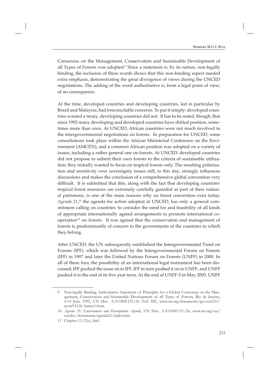Consensus on the Management, Conservation and Sustainable Development of all Types of Forests was adopted.<sup>9</sup> Since a statement is, by its nature, non-legally binding, the inclusion of these words shows that this non-binding aspect needed extra emphasis, demonstrating the great divergence of views during the UNCED negotiations. The adding of the word authoritative is, from a legal point of view, of no consequence.

At the time, developed countries and developing countries, led in particular by Brazil and Malaysia, had irreconcilable concerns. To put it simply: developed countries wanted a treaty, developing countries did not. It has to be noted, though, that since 1992 many developing and developed countries have shifted position, sometimes more than once. At UNCED, African countries were not much involved in the intergovernmental negotiations on forests. In preparation for UNCED, some consultations took place within the African Ministerial Conference on the Environment (AMCEN), and a common African position was adopted on a variety of issues, including a rather general one on forests. At UNCED, developed countries did not propose to submit their own forests to the criteria of sustainable utilization; they initially wanted to focus on tropical forests only. The resulting polarization and sensitivity over sovereignty issues still, to this day, strongly influences discussions and makes the conclusion of a comprehensive global convention very difficult. It is submitted that this, along with the fact that developing countries' tropical forest resources are extremely carefully guarded as part of their national patrimony, is one of the main reasons why no forest convention exist today. Agenda 21,<sup>10</sup> the agenda for action adopted at UNCED, has only a general commitment calling on countries 'to consider the need for and feasibility of all kinds of appropriate internationally agreed arrangements to promote international cooperation' 11 on forests. It was agreed that the conservation and management of forests is predominantly of concern to the governments of the countries to which they belong.

After UNCED, the UN subsequently established the Intergovernmental Panel on Forests (IPF), which was followed by the Intergovernmental Forum on Forests (IFF) in 1997 and later the United Nations Forum on Forests (UNFF) in 2000. In all of these fora, the possibility of an international legal instrument has been discussed; IPF pushed the issue on to IFF, IFF in turn pushed it on to UNFF, and UNFF pushed it to the end of its five year term. At the end of UNFF-5 in May 2005, UNFF

<sup>9</sup> Non-legally Binding Authoritative Statement of Principles for a Global Consensus on the Management, Conservation and Sustainable Development of all Types of Forests, Rio de Janeiro, 3-14 June 1992, UN Doc. A/CONF.151/26 (Vol. III), www.un.org/documents/ga/conf151/ aconf15126-3annex3.htm.

<sup>10</sup> *Agenda 21: Environment and Development Agenda*, UN Doc. A/CONF.151/26, www.un.org/esa/ sustdev/documents/agenda21/index.htm.

<sup>11</sup> Chapter 11.12(e), ibid.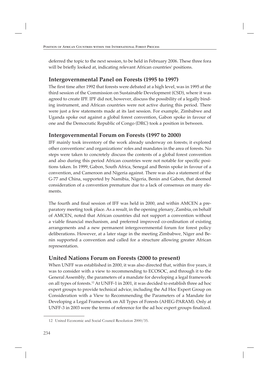deferred the topic to the next session, to be held in February 2006. These three fora will be briefly looked at, indicating relevant African countries' positions.

### **Intergovernmental Panel on Forests (1995 to 1997)**

The first time after 1992 that forests were debated at a high level, was in 1995 at the third session of the Commission on Sustainable Development (CSD), where it was agreed to create IPF. IPF did not, however, discuss the possibility of a legally binding instrument, and African countries were not active during this period. There were just a few statements made at its last session. For example, Zimbabwe and Uganda spoke out against a global forest convention, Gabon spoke in favour of one and the Democratic Republic of Congo (DRC) took a position in between.

### **Intergovernmental Forum on Forests (1997 to 2000)**

IFF mainly took inventory of the work already underway on forests; it explored other conventions' and organizations' roles and mandates in the area of forests. No steps were taken to concretely discuss the contents of a global forest convention and also during this period African countries were not notable for specific positions taken. In 1999, Gabon, South Africa, Senegal and Benin spoke in favour of a convention, and Cameroon and Nigeria against. There was also a statement of the G-77 and China, supported by Namibia, Nigeria, Benin and Gabon, that deemed consideration of a convention premature due to a lack of consensus on many elements.

The fourth and final session of IFF was held in 2000, and within AMCEN a preparatory meeting took place. As a result, in the opening plenary, Zambia, on behalf of AMCEN, noted that African countries did not support a convention without a viable financial mechanism, and preferred improved co-ordination of existing arrangements and a new permanent intergovernmental forum for forest policy deliberations. However, at a later stage in the meeting Zimbabwe, Niger and Benin supported a convention and called for a structure allowing greater African representation.

### **United Nations Forum on Forests (2000 to present)**

When UNFF was established in 2000, it was also directed that, within five years, it was to consider with a view to recommending to ECOSOC, and through it to the General Assembly, the parameters of a mandate for developing a legal framework on all types of forests.12 At UNFF-1 in 2001, it was decided to establish three ad hoc expert groups to provide technical advice, including the Ad Hoc Expert Group on Consideration with a View to Recommending the Parameters of a Mandate for Developing a Legal Framework on All Types of Forests (AHEG-PARAM). Only at UNFF-3 in 2003 were the terms of reference for the ad hoc expert groups finalized.

<sup>12</sup> United Economic and Social Council Resolution 2000/35.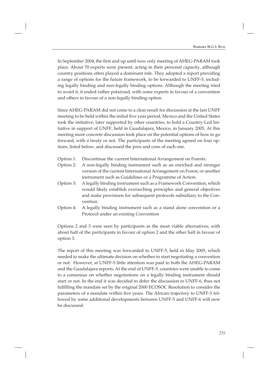In September 2004, the first and up until now only meeting of AHEG-PARAM took place. About 70 experts were present, acting in their personal capacity, although country positions often played a dominant role. They adopted a report providing a range of options for the future framework, to be forwarded to UNFF-5, including legally binding and non-legally binding options. Although the meeting tried to avoid it, it ended rather polarized, with some experts in favour of a convention and others in favour of a non-legally binding option.

Since AHEG-PARAM did not come to a clear result for discussion at the last UNFF meeting to be held within the initial five year period, Mexico and the United States took the initiative, later supported by other countries, to hold a Country-Led Initiative in support of UNFF, held in Guadalajara, Mexico, in January 2005. At this meeting more concrete discussion took place on the potential options of how to go forward, with a treaty or not. The participants of the meeting agreed on four options, listed below, and discussed the pros and cons of each one.

- Option 1: Discontinue the current International Arrangement on Forests.
- Option 2: A non-legally binding instrument such as an enriched and stronger version of the current International Arrangement on Forest, or another instrument such as Guidelines or a Programme of Action.
- Option 3: A legally binding instrument such as a Framework Convention, which would likely establish overarching principles and general objectives and make provisions for subsequent protocols subsidiary to the Convention.
- Option 4: A legally binding instrument such as a stand alone convention or a Protocol under an existing Convention

Options 2 and 3 were seen by participants as the most viable alternatives, with about half of the participants in favour of option 2 and the other half in favour of option 3.

The report of this meeting was forwarded to UNFF-5, held in May 2005, which needed to make the ultimate decision on whether to start negotiating a convention or not. However, at UNFF-5 little attention was paid to both the AHEG-PARAM and the Guadalajara reports. At the end of UNFF-5, countries were unable to come to a consensus on whether negotiations on a legally binding instrument should start or not. In the end it was decided to defer the discussion to UNFF-6, thus not fulfilling the mandate set by the original 2000 ECOSOC Resolution to consider the parameters of a mandate within five years. The African trajectory to UNFF-5 followed by some additional developments between UNFF-5 and UNFF-6 will now be discussed.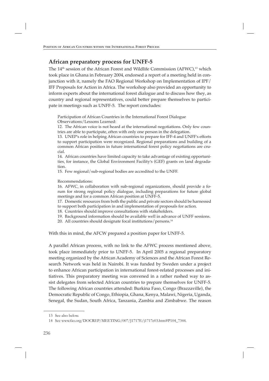### **African preparatory process for UNFF-5**

The 14<sup>th</sup> session of the African Forest and Wildlife Commission (AFWC),<sup>13</sup> which took place in Ghana in February 2004, endorsed a report of a meeting held in conjunction with it, namely the FAO Regional Workshop on Implementation of IPF/ IFF Proposals for Action in Africa. The workshop also provided an opportunity to inform experts about the international forest dialogue and to discuss how they, as country and regional representatives, could better prepare themselves to participate in meetings such as UNFF-5. The report concludes:

Participation of African Countries in the International Forest Dialogue Observations/Lessons Learned:

12. The African voice is not heard at the international negotiations. Only few countries are able to participate, often with only one person in the delegation.

13. UNEP's role in helping African countries to prepare for IFF-4 and UNFF's efforts to support participation were recognized. Regional preparations and building of a common African position in future international forest policy negotiations are crucial.

14. African countries have limited capacity to take advantage of existing opportunities, for instance, the Global Environment Facility's (GEF) grants on land degradation.

15. Few regional/sub-regional bodies are accredited to the UNFF.

Recommendations:

16. AFWC, in collaboration with sub-regional organizations, should provide a forum for strong regional policy dialogue, including preparations for future global meetings and for a common African position at UNFF-5.

17. Domestic resources from both the public and private sectors should be harnessed to support both participation in and implementation of proposals for action.

18. Countries should improve consultations with stakeholders.

19. Background information should be available well in advance of UNFF sessions.

20. All countries should designate focal institutions/persons.14

With this in mind, the AFCW prepared a position paper for UNFF-5.

A parallel African process, with no link to the AFWC process mentioned above, took place immediately prior to UNFF-5. In April 2005 a regional preparatory meeting organized by the African Academy of Sciences and the African Forest Research Network was held in Nairobi. It was funded by Sweden under a project to enhance African participation in international forest-related processes and initiatives. This preparatory meeting was convened in a rather rushed way to assist delegates from selected African countries to prepare themselves for UNFF-5. The following African countries attended: Burkina Faso, Congo (Brazzaville), the Democratic Republic of Congo, Ethiopia, Ghana, Kenya, Malawi, Nigeria, Uganda, Senegal, the Sudan, South Africa, Tanzania, Zambia and Zimbabwe. The reason

<sup>13</sup> See also below.

<sup>14</sup> See www.fao.org/DOCREP/MEETING/007/J1717E/j1717e03.htm#P104\_7344.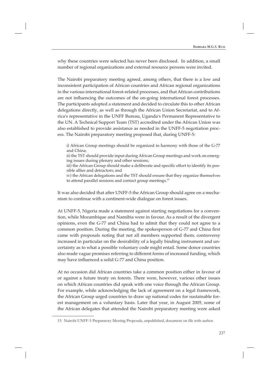why these countries were selected has never been disclosed. In addition, a small number of regional organizations and external resource persons were invited.

The Nairobi preparatory meeting agreed, among others, that there is a low and inconsistent participation of African countries and African regional organizations in the various international forest-related processes, and that African contributions are not influencing the outcomes of the on-going international forest processes. The participants adopted a statement and decided to circulate this to other African delegations directly, as well as through the African Union Secretariat, and to Africa's representative in the UNFF Bureau, Uganda's Permanent Representative to the UN. A Technical Support Team (TST) accredited under the African Union was also established to provide assistance as needed in the UNFF-5 negotiation process. The Nairobi preparatory meeting proposed that, during UNFF-5:

i) African Group meetings should be organized in harmony with those of the G-77 and China;

ii) the TST should provide input during African Group meetings and work on emerging issues during plenary and other sessions;

iii) the African Group should make a deliberate and specific effort to identify its possible allies and detractors; and

iv) the African delegations and the TST should ensure that they organize themselves to attend parallel sessions and contact group meetings.<sup>15</sup>

It was also decided that after UNFF-5 the African Group should agree on a mechanism to continue with a continent-wide dialogue on forest issues.

At UNFF-5, Nigeria made a statement against starting negotiations for a convention, while Mozambique and Namibia were in favour. As a result of the divergent opinions, even the G-77 and China had to admit that they could not agree to a common position. During the meeting, the spokesperson of G-77 and China first came with proposals noting that not all members supported them; controversy increased in particular on the desirability of a legally binding instrument and uncertainty as to what a possible voluntary code might entail. Some donor countries also made vague promises referring to different forms of increased funding, which may have influenced a solid G-77 and China position.

At no occasion did African countries take a common position either in favour of or against a future treaty on forests. There were, however, various other issues on which African countries did speak with one voice through the African Group. For example, while acknowledging the lack of agreement on a legal framework, the African Group urged countries to draw up national codes for sustainable forest management on a voluntary basis. Later that year, in August 2005, some of the African delegates that attended the Nairobi preparatory meeting were asked

<sup>15</sup> Nairobi UNFF-5 Preparatory Meeting Proposals, unpublished, document on file with author.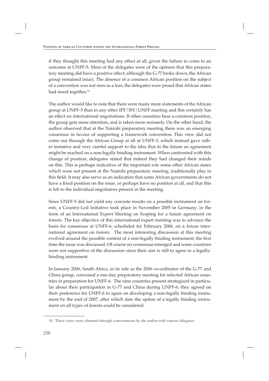if they thought this meeting had any effect at all, given the failure to come to an outcome at UNFF-5. Most of the delegates were of the opinion that this preparatory meeting did have a positive effect; although the G-77 broke down, the African group remained intact. The absence of a common African position on the subject of a convention was not seen as a loss; the delegates were proud that African states had stood together.<sup>16</sup>

The author would like to note that there were many more statements of the African group at UNFF-5 than in any other IPF/IFF/UNFF meeting and this certainly has an effect on international negotiations. If other countries hear a common position, the group gets more attention, and is taken more seriously. On the other hand, the author observed that at the Nairobi preparatory meeting there was an emerging consensus in favour of supporting a framework convention. This view did not come out through the African Group at all at UNFF-5, which instead gave rather tentative and very careful support to the idea that in the future an agreement might be reached on a non-legally binding instrument. When confronted with this change of position, delegates stated that indeed they had changed their minds on this. This is perhaps indicative of the important role some other African states which were not present at the Nairobi preparatory meeting, traditionally play in this field. It may also serve as an indication that some African governments do not have a fixed position on the issue, or perhaps have no position at all, and that this is left to the individual negotiators present at the meeting.

Since UNFF-5 did not yield any concrete results on a possible instrument on forests, a Country-Led Initiative took place in November 2005 in Germany, in the form of an International Expert Meeting on Scoping for a future agreement on forests. The key objective of this international expert meeting was to advance the basis for consensus at UNFF-6, scheduled for February 2006, on a future international agreement on forests. The most interesting discussion at this meeting evolved around the possible content of a non-legally binding instrument, the first time the issue was discussed. Of course no consensus emerged and some countries were not supportive of the discussion since their aim is still to agree to a legallybinding instrument.

In January 2006, South Africa, in its role as the 2006 co-ordinator of the G-77 and China group, convened a one-day preparatory meeting for selected African countries in preparation for UNFF-6. The nine countries present strategized in particular about their participation in G-77 and China during UNFF-6; they agreed on their preference for UNFF-6 to agree on developing a non-legally binding instrument by the end of 2007, after which date the option of a legally binding instrument on all types of forests could be considered.

<sup>16</sup> These views were obtained through conversations by the author with various delegates.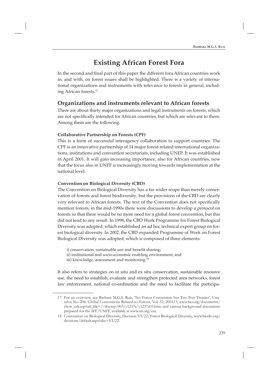# **Existing African Forest Fora**

In the second and final part of this paper the different fora African countries work in, and with, on forest issues shall be highlighted. There is a variety of international organizations and instruments with relevance to forests in general, including African forests.17

### **Organizations and instruments relevant to African forests**

There are about thirty major organizations and legal instruments on forests, which are not specifically intended for African countries, but which are relevant to them. Among them are the following.

#### **Collaborative Partnership on Forests (CPF)**

This is a form of successful interagency collaboration to support countries. The CPF is an innovative partnership of 14 major forest-related international organizations, institutions and convention secretariats, including UNEP. It was established in April 2001. It will gain increasing importance, also for African countries, now that the focus also in UNFF is increasingly moving towards implementation at the national level.

#### **Convention on Biological Diversity (CBD)**

The Convention on Biological Diversity has a far wider scope than merely conservation of forests and forest biodiversity, but the provisions of the CBD are clearly very relevant to African forests. The text of the Convention does not specifically mention forests; in the mid-1990s there were discussions to develop a protocol on forests so that there would be no more need for a global forest convention, but this did not lead to any result. In 1998, the CBD Work Programme for Forest Biological Diversity was adopted, which established an ad hoc technical expert group on forest biological diversity. In 2002, the CBD expanded Programme of Work on Forest Biological Diversity was adopted, which is composed of three elements:

- i) conservation, sustainable use and benefit sharing;
- ii) institutional and socio-economic enabling environment; and
- iii) knowledge, assessment and monitoring.<sup>18</sup>

It also refers to strategies on in situ and ex situ conservation, sustainable resource use, the need to establish, evaluate and strengthen protected area networks, forest law enforcement, national co-ordination and the need to facilitate the participa-

<sup>17</sup> For an overview, see Barbara M.G.S. Ruis, 'No Forest Convention but Ten Tree Treaties', Unasylva No. 206: Global Conventions Related to Forests, Vol. 52, 2001/3, www.fao.org/documents/ show\_cdr.asp?url\_fi le=//docrep/003/y1237e/y1237e03.htm; and various background documents prepared for the IFF/UNFF, available at www.un.org/esa.

<sup>18</sup> Convention on Biological Diversity, Decision VI/22, Forest Biological Diversity, www.biodiv.org/ decisions/default.aspx?dec=VI/22.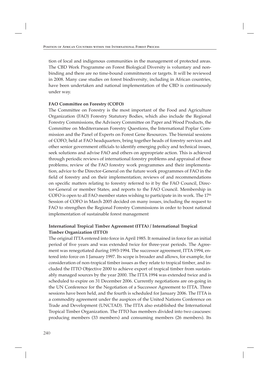tion of local and indigenous communities in the management of protected areas. The CBD Work Programme on Forest Biological Diversity is voluntary and nonbinding and there are no time-bound commitments or targets. It will be reviewed in 2008. Many case studies on forest biodiversity, including in African countries, have been undertaken and national implementation of the CBD is continuously under way.

#### **FAO Committee on Forestry (COFO)**

The Committee on Forestry is the most important of the Food and Agriculture Organization (FAO) Forestry Statutory Bodies, which also include the Regional Forestry Commissions, the Advisory Committee on Paper and Wood Products, the Committee on Mediterranean Forestry Questions, the International Poplar Commission and the Panel of Experts on Forest Gene Resources. The biennial sessions of COFO, held at FAO headquarters, bring together heads of forestry services and other senior government officials to identify emerging policy and technical issues, seek solutions and advise FAO and others on appropriate action. This is achieved through periodic reviews of international forestry problems and appraisal of these problems; review of the FAO forestry work programmes and their implementation; advice to the Director-General on the future work programmes of FAO in the field of forestry and on their implementation; reviews of and recommendations on specific matters relating to forestry referred to it by the FAO Council, Director-General or member States; and reports to the FAO Council. Membership in COFO is open to all FAO member states wishing to participate in its work. The  $17<sup>th</sup>$ Session of COFO in March 2005 decided on many issues, including the request to FAO to strengthen the Regional Forestry Commissions in order to boost national implementation of sustainable forest management

### **International Tropical Timber Agreement (ITTA) / International Tropical Timber Organization (ITTO)**

The original ITTA entered into force in April 1985. It remained in force for an initial period of five years and was extended twice for three-year periods. The Agreement was renegotiated during 1993-1994. The successor agreement, ITTA 1994, entered into force on 1 January 1997. Its scope is broader and allows, for example, for consideration of non-tropical timber issues as they relate to tropical timber, and included the ITTO Objective 2000 to achieve export of tropical timber from sustainably managed sources by the year 2000. The ITTA 1994 was extended twice and is scheduled to expire on 31 December 2006. Currently negotiations are on-going in the UN Conference for the Negotiation of a Successor Agreement to ITTA. Three sessions have been held, and the fourth is scheduled for January 2006. The ITTA is a commodity agreement under the auspices of the United Nations Conference on Trade and Development (UNCTAD). The ITTA also established the International Tropical Timber Organization. The ITTO has members divided into two caucuses: producing members (33 members) and consuming members (26 members). Its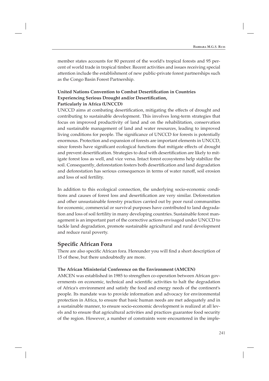member states accounts for 80 percent of the world's tropical forests and 95 percent of world trade in tropical timber. Recent activities and issues receiving special attention include the establishment of new public-private forest partnerships such as the Congo Basin Forest Partnership.

### **United Nations Convention to Combat Desertification in Countries Experiencing Serious Drought and/or Desertification, Particularly in Africa (UNCCD)**

UNCCD aims at combating desertification, mitigating the effects of drought and contributing to sustainable development. This involves long-term strategies that focus on improved productivity of land and on the rehabilitation, conservation and sustainable management of land and water resources, leading to improved living conditions for people. The significance of UNCCD for forests is potentially enormous. Protection and expansion of forests are important elements in UNCCD, since forests have significant ecological functions that mitigate effects of drought and prevent desertification. Strategies to deal with desertification are likely to mitigate forest loss as well, and vice versa. Intact forest ecosystems help stabilize the soil. Consequently, deforestation fosters both desertification and land degradation and deforestation has serious consequences in terms of water runoff, soil erosion and loss of soil fertility.

In addition to this ecological connection, the underlying socio-economic conditions and causes of forest loss and desertification are very similar. Deforestation and other unsustainable forestry practices carried out by poor rural communities for economic, commercial or survival purposes have contributed to land degradation and loss of soil fertility in many developing countries. Sustainable forest management is an important part of the corrective actions envisaged under UNCCD to tackle land degradation, promote sustainable agricultural and rural development and reduce rural poverty.

### **Specific African Fora**

There are also specific African fora. Hereunder you will find a short description of 15 of these, but there undoubtedly are more.

#### **The African Ministerial Conference on the Environment (AMCEN)**

AMCEN was established in 1985 to strengthen co-operation between African governments on economic, technical and scientific activities to halt the degradation of Africa's environment and satisfy the food and energy needs of the continent's people. Its mandate was to provide information and advocacy for environmental protection in Africa, to ensure that basic human needs are met adequately and in a sustainable manner, to ensure socio-economic development is realized at all levels and to ensure that agricultural activities and practices guarantee food security of the region. However, a number of constraints were encountered in the imple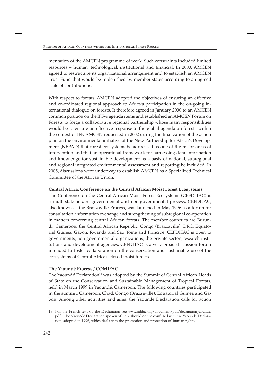mentation of the AMCEN programme of work. Such constraints included limited resources – human, technological, institutional and financial. In 2000, AMCEN agreed to restructure its organizational arrangement and to establish an AMCEN Trust Fund that would be replenished by member states according to an agreed scale of contributions.

With respect to forests, AMCEN adopted the objectives of ensuring an effective and co-ordinated regional approach to Africa's participation in the on-going international dialogue on forests. It therefore agreed in January 2000 to an AMCEN common position on the IFF-4 agenda items and established an AMCEN Forum on Forests to forge a collaborative regional partnership whose main responsibilities would be to ensure an effective response to the global agenda on forests within the context of IFF. AMCEN requested in 2002 during the finalization of the action plan on the environmental initiative of the New Partnership for Africa's Development (NEPAD) that forest ecosystems be addressed as one of the major areas of intervention and that an operational framework for harnessing data, information and knowledge for sustainable development as a basis of national, subregional and regional integrated environmental assessment and reporting be included. In 2005, discussions were underway to establish AMCEN as a Specialized Technical Committee of the African Union.

#### **Central Africa: Conference on the Central African Moist Forest Ecosystems**

The Conference on the Central African Moist Forest Ecosystems (CEFDHAC) is a multi-stakeholder, governmental and non-governmental process. CEFDHAC, also known as the Brazzaville Process, was launched in May 1996 as a forum for consultation, information exchange and strengthening of subregional co-operation in matters concerning central African forests. The member countries are Burundi, Cameroon, the Central African Republic, Congo (Brazzaville), DRC, Equatorial Guinea, Gabon, Rwanda and Sao Tome and Principe. CEFDHAC is open to governments, non-governmental organizations, the private sector, research institutions and development agencies. CEFDHAC is a very broad discussion forum intended to foster collaboration on the conservation and sustainable use of the ecosystems of Central Africa's closed moist forests.

#### **The Yaoundé Process / COMIFAC**

The Yaoundé Declaration<sup>19</sup> was adopted by the Summit of Central African Heads of State on the Conservation and Sustainable Management of Tropical Forests, held in March 1999 in Yaoundé, Cameroon. The following countries participated in the summit: Cameroon, Chad, Congo (Brazzaville), Equatorial Guinea and Gabon. Among other activities and aims, the Yaoundé Declaration calls for action

<sup>19</sup> For the French text of the Declaration see www.riddac.org/document/pdf/declarationyaounde. pdf . The Yaoundé Declaration spoken of here should not be confused with the Yaoundé Declaration, adopted in 1996, which deals with the promotion and protection of human rights.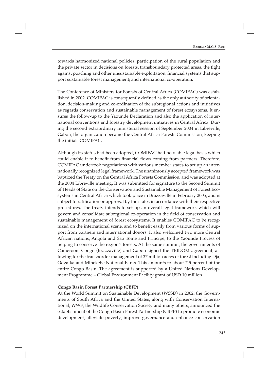towards harmonized national policies; participation of the rural population and the private sector in decisions on forests; transboundary protected areas; the fight against poaching and other unsustainable exploitation; financial systems that support sustainable forest management; and international co-operation.

The Conference of Ministers for Forests of Central Africa (COMIFAC) was established in 2002. COMIFAC is consequently defined as the only authority of orientation, decision-making and co-ordination of the subregional actions and initiatives as regards conservation and sustainable management of forest ecosystems. It ensures the follow-up to the Yaoundé Declaration and also the application of international conventions and forestry development initiatives in Central Africa. During the second extraordinary ministerial session of September 2004 in Libreville, Gabon, the organization became the Central Africa Forests Commission, keeping the initials COMIFAC.

Although its status had been adopted, COMIFAC had no viable legal basis which could enable it to benefit from financial flows coming from partners. Therefore, COMIFAC undertook negotiations with various member states to set up an internationally recognized legal framework. The unanimously accepted framework was baptized the Treaty on the Central Africa Forests Commission, and was adopted at the 2004 Libreville meeting. It was submitted for signature to the Second Summit of Heads of State on the Conservation and Sustainable Management of Forest Ecosystems in Central Africa which took place in Brazzaville in February 2005, and is subject to ratification or approval by the states in accordance with their respective procedures. The treaty intends to set up an overall legal framework which will govern and consolidate subregional co-operation in the field of conservation and sustainable management of forest ecosystems. It enables COMIFAC to be recognized on the international scene, and to benefit easily from various forms of support from partners and international donors. It also welcomed two more Central African nations, Angola and Sao Tome and Principe, to the Yaoundé Process of helping to conserve the region's forests. At the same summit, the governments of Cameroon, Congo (Brazzaville) and Gabon signed the TRIDOM agreement, allowing for the transborder management of 37 million acres of forest including Dja, Odzalka and Minekebe National Parks. This amounts to about 7.5 percent of the entire Congo Basin. The agreement is supported by a United Nations Development Programme – Global Environment Facility grant of USD 10 million.

#### **Congo Basin Forest Partnership (CBFP)**

At the World Summit on Sustainable Development (WSSD) in 2002, the Governments of South Africa and the United States, along with Conservation International, WWF, the Wildlife Conservation Society and many others, announced the establishment of the Congo Basin Forest Partnership (CBFP) to promote economic development, alleviate poverty, improve governance and enhance conservation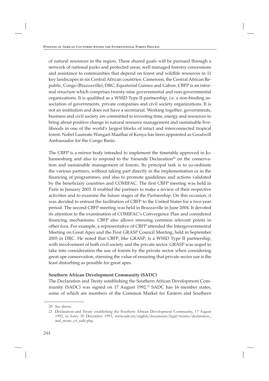of natural resources in the region. These shared goals will be pursued through a network of national parks and protected areas, well managed forestry concessions and assistance to communities that depend on forest and wildlife resources in 11 key landscapes in six Central African countries: Cameroon, the Central African Republic, Congo (Brazzaville), DRC, Equatorial Guinea and Gabon. CBFP is an informal structure which comprises twenty-nine governmental and non-governmental organizations. It is qualified as a WSSD Type II partnership, i.e. a non-binding association of governments, private companies and civil society organizations. It is not an institution and does not have a secretariat. Working together, governments, business and civil society are committed to investing time, energy and resources to bring about positive change in natural resource management and sustainable livelihoods in one of the world's largest blocks of intact and interconnected tropical forest. Nobel Laureate Wangari Maathai of Kenya has been appointed as Goodwill Ambassador for the Congo Basin.

The CBFP is a mirror body intended to implement the timetable approved in Johannesburg and also to respond to the Yaoundé Declaration<sup>20</sup> on the conservation and sustainable management of forests. Its principal task is to co-ordinate the various partners, without taking part directly in the implementation or in the financing of programmes, and also to promote guidelines and actions validated by the beneficiary countries and COMIFAC. The first CBFP meeting was held in Paris in January 2003. It enabled the partners to make a review of their respective activities and to examine the future stages of the Partnership. On this occasion, it was decided to entrust the facilitation of CBFP to the United States for a two-year period. The second CBFP meeting was held in Brazzaville in June 2004. It devoted its attention to the examination of COMIFAC's Convergence Plan and considered financing mechanisms. CBFP also allows stressing common relevant points in other fora. For example, a representative of CBFP attended the Intergovernmental Meeting on Great Apes and the First GRASP Council Meeting, held in September 2005 in DRC. He noted that CBFP, like GRASP, is a WSSD Type II partnership, with involvement of both civil society and the private sector. GRASP was urged to take into consideration the use of forests by the private sector when considering great ape conservation, stressing the value of ensuring that private sector use is the least disturbing as possible for great apes.

#### **Southern African Development Community (SADC)**

The Declaration and Treaty establishing the Southern African Development Community (SADC) was signed on 17 August 1992.<sup>21</sup> SADC has 16 member states, some of which are members of the Common Market for Eastern and Southern

<sup>20</sup> See above.

<sup>21</sup> Declaration and Treaty establishing the Southern African Development Community, 17 August 1992, in force 30 December 1993, www.sadc.int/english/documents/legal/treaties/declaration\_ and\_treaty\_of\_sadc.php.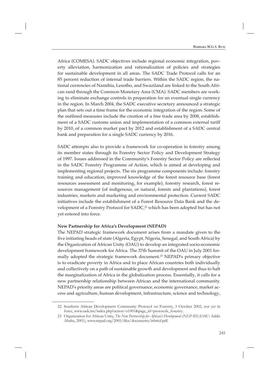Africa (COMESA). SADC objectives include regional economic integration, poverty alleviation, harmonization and rationalization of policies and strategies for sustainable development in all areas. The SADC Trade Protocol calls for an 85 percent reduction of internal trade barriers. Within the SADC region, the national currencies of Namibia, Lesotho, and Swaziland are linked to the South African rand through the Common Monetary Area (CMA). SADC members are working to eliminate exchange controls in preparation for an eventual single currency in the region. In March 2004, the SADC executive secretary announced a strategic plan that sets out a time frame for the economic integration of the region. Some of the outlined measures include the creation of a free trade area by 2008, establishment of a SADC customs union and implementation of a common external tariff by 2010, of a common market pact by 2012 and establishment of a SADC central bank and preparation for a single SADC currency by 2016.

SADC attempts also to provide a framework for co-operation in forestry among its member states through its Forestry Sector Policy and Development Strategy of 1997. Issues addressed in the Community's Forestry Sector Policy are refl ected in the SADC Forestry Programme of Action, which is aimed at developing and implementing regional projects. The six programme components include: forestry training and education; improved knowledge of the forest resource base (forest resources assessment and monitoring, for example), forestry research, forest resources management (of indigenous, or natural, forests and plantations), forest industries, markets and marketing and environmental protection. Current SADC initiatives include the establishment of a Forest Resource Data Bank and the development of a Forestry Protocol for SADC, 22 which has been adopted but has not yet entered into force.

#### **New Partnership for Africa's Development (NEPAD)**

The NEPAD strategic framework document arises from a mandate given to the five initiating heads of state (Algeria, Egypt, Nigeria, Senegal, and South Africa) by the Organization of African Unity (OAU) to develop an integrated socio-economic development framework for Africa. The 37th Summit of the OAU in July 2001 formally adopted the strategic framework document.<sup>23</sup> NEPAD's primary objective is to eradicate poverty in Africa and to place African countries both individually and collectively on a path of sustainable growth and development and thus to halt the marginalization of Africa in the globalization process. Essentially, it calls for a new partnership relationship between African and the international community. NEPAD's priority areas are political governance, economic governance, market access and agriculture, human development, infrastructure, science and technology,

<sup>22</sup> Southern African Development Community Protocol on Forestry, 3 October 2002, not yet in force, www.sadc.int/index.php?action=a1001&page\_id=protocols\_forestry.

<sup>23</sup> Organization for African Unity, *The New Partnership for African's Development (NEPAD)* (OAU: Addis Ababa, 2001), www.nepad.org/2005/files/documents/inbrief.pdf.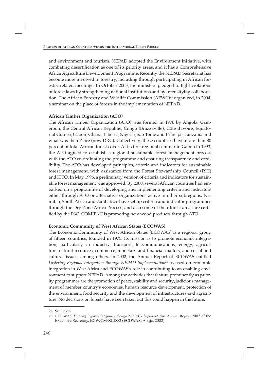and environment and tourism. NEPAD adopted the Environment Initiative, with combating desertification as one of its priority areas, and it has a Comprehensive Africa Agriculture Development Programme. Recently the NEPAD Secretariat has become more involved in forestry, including through participating in African forestry-related meetings. In October 2003, the ministers pledged to fight violations of forest laws by strengthening national institutions and by intensifying collaboration. The African Forestry and Wildlife Commission (AFWC)<sup>24</sup> organized, in 2004, a seminar on the place of forests in the implementation of NEPAD.

#### **African Timber Organization (ATO)**

The African Timber Organization (ATO) was formed in 1976 by Angola, Cameroon, the Central African Republic, Congo (Brazzaville), Côte d'Ivoire, Equatorial Guinea, Gabon, Ghana, Liberia, Nigeria, Sao Tome and Principe, Tanzania and what was then Zaire (now DRC). Collectively, these countries have more than 80 percent of total African forest cover. At its first regional seminar in Gabon in 1993, the ATO agreed to establish a regional sustainable forest management process with the ATO co-ordinating the programme and ensuring transparency and credibility. The ATO has developed principles, criteria and indicators for sustainable forest management, with assistance from the Forest Stewardship Council (FSC) and ITTO. In May 1996, a preliminary version of criteria and indicators for sustainable forest management was approved. By 2000, several African countries had embarked on a programme of developing and implementing criteria and indicators either through ATO or alternative organizations active in other subregions. Namibia, South Africa and Zimbabwe have set up criteria and indicator programmes through the Dry Zone Africa Process, and also some of their forest areas are certified by the FSC. COMIFAC is promoting new wood products through ATO.

#### **Economic Community of West African States (ECOWAS)**

The Economic Community of West African States (ECOWAS) is a regional group of fi fteen countries, founded in 1975. Its mission is to promote economic integration, particularly in industry, transport, telecommunications, energy, agriculture, natural resources, commerce, monetary and financial matters, and social and cultural issues, among others. In 2002, the Annual Report of ECOWAS entitled *Fostering Regional Integration through NEPAD Implementation25* focused on economic integration in West Africa and ECOWAS's role in contributing to an enabling environment to support NEPAD. Among the activities that feature prominently as priority programmes are the promotion of peace, stability and security, judicious management of member country's economies, human resource development, protection of the environment, food security and the development of infrastructures and agriculture. No decisions on forests have been taken but this could happen in the future.

<sup>24</sup> See below.

<sup>25</sup> ECOWAS, *Fostering Regional Integration through NEPAD Implementation*, Annual Report 2002 of the Executive Secretary, ECW/CM/XLIX/2 (ECOWAS: Abuja, 2002).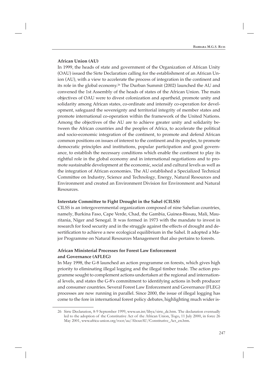#### **African Union (AU)**

In 1999, the heads of state and government of the Organization of African Unity (OAU) issued the Sirte Declaration calling for the establishment of an African Union (AU), with a view to accelerate the process of integration in the continent and its role in the global economy.<sup>26</sup> The Durban Summit (2002) launched the AU and convened the 1st Assembly of the heads of states of the African Union. The main objectives of OAU were to divest colonization and apartheid, promote unity and solidarity among African states, co-ordinate and intensify co-operation for development, safeguard the sovereignty and territorial integrity of member states and promote international co-operation within the framework of the United Nations. Among the objectives of the AU are to achieve greater unity and solidarity between the African countries and the peoples of Africa, to accelerate the political and socio-economic integration of the continent, to promote and defend African common positions on issues of interest to the continent and its peoples, to promote democratic principles and institutions, popular participation and good governance, to establish the necessary conditions which enable the continent to play its rightful role in the global economy and in international negotiations and to promote sustainable development at the economic, social and cultural levels as well as the integration of African economies. The AU established a Specialized Technical Committee on Industry, Science and Technology, Energy, Natural Resources and Environment and created an Environment Division for Environment and Natural Resources.

#### **Interstate Committee to Fight Drought in the Sahel (CILSS)**

CILSS is an intergovernmental organization composed of nine Sahelian countries, namely, Burkina Faso, Cape Verde, Chad, the Gambia, Guinea-Bissau, Mali, Mauritania, Niger and Senegal. It was formed in 1973 with the mandate to invest in research for food security and in the struggle against the effects of drought and desertification to achieve a new ecological equilibrium in the Sahel. It adopted a Major Programme on Natural Resources Management that also pertains to forests.

### **African Ministerial Processes for Forest Law Enforcement and Governance (AFLEG)**

In May 1998, the G-8 launched an action programme on forests, which gives high priority to eliminating illegal logging and the illegal timber trade. The action programme sought to complement actions undertaken at the regional and international levels, and states the G-8's commitment to identifying actions in both producer and consumer countries. Several Forest Law Enforcement and Governance (FLEG) processes are now running in parallel. Since 2000, the issue of illegal logging has come to the fore in international forest policy debates, highlighting much wider is-

<sup>26</sup> Sirte Declaration, 8-9 September 1999, www.un.int/libya/sirte\_dc.htm. The declaration eventually led to the adoption of the Constitutive Act of the African Union, Togo, 11 July 2000, in force 26 May 2001, www.africa-union.org/root/au/AboutAU/Constitutive\_Act\_en.htm.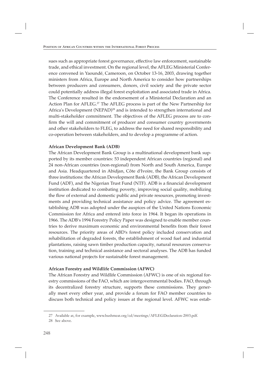sues such as appropriate forest governance, effective law enforcement, sustainable trade, and ethical investment. On the regional level, the AFLEG Ministerial Conference convened in Yaoundé, Cameroon, on October 13-16, 2003, drawing together ministers from Africa, Europe and North America to consider how partnerships between producers and consumers, donors, civil society and the private sector could potentially address illegal forest exploitation and associated trade in Africa. The Conference resulted in the endorsement of a Ministerial Declaration and an Action Plan for AFLEG.<sup>27</sup> The AFLEG process is part of the New Partnership for Africa's Development (NEPAD)<sup>28</sup> and is intended to strengthen international and multi-stakeholder commitment. The objectives of the AFLEG process are to confirm the will and commitment of producer and consumer country governments and other stakeholders to FLEG, to address the need for shared responsibility and co-operation between stakeholders, and to develop a programme of action.

#### **African Development Bank (ADB)**

The African Development Bank Group is a multinational development bank supported by its member countries: 53 independent African countries (regional) and 24 non-African countries (non-regional) from North and South America, Europe and Asia. Headquartered in Abidjan, Côte d'Ivoire, the Bank Group consists of three institutions: the African Development Bank (ADB), the African Development Fund (ADF), and the Nigerian Trust Fund (NTF). ADB is a financial development institution dedicated to combating poverty, improving social quality, mobilizing the flow of external and domestic public and private resources, promoting investments and providing technical assistance and policy advice. The agreement establishing ADB was adopted under the auspices of the United Nations Economic Commission for Africa and entered into force in 1964. It began its operations in 1966. The ADB's 1994 Forestry Policy Paper was designed to enable member countries to derive maximum economic and environmental benefits from their forest resources. The priority areas of ABD's forest policy included conservation and rehabilitation of degraded forests, the establishment of wood fuel and industrial plantations, raising sawn timber production capacity, natural resources conservation, training and technical assistance and sectoral analyses. The ADB has funded various national projects for sustainable forest management.

#### **African Forestry and Wildlife Commission (AFWC)**

The African Forestry and Wildlife Commission (AFWC) is one of six regional forestry commissions of the FAO, which are intergovernmental bodies. FAO, through its decentralized forestry structure, supports these commissions. They generally meet every other year, and provide a forum for FAO member countries to discuss both technical and policy issues at the regional level. AFWC was estab-

<sup>27</sup> Available at, for example, www.bushmeat.org/cd/meetings/AFLEGDeclaration-2003.pdf.

<sup>28</sup> See above.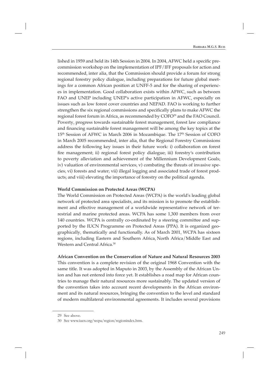lished in 1959 and held its 14th Session in 2004. In 2004, AFWC held a specific precommission workshop on the implementation of IPF/IFF proposals for action and recommended, inter alia, that the Commission should provide a forum for strong regional forestry policy dialogue, including preparations for future global meetings for a common African position at UNFF-5 and for the sharing of experiences in implementation. Good collaboration exists within AFWC, such as between FAO and UNEP including UNEP's active participation in AFWC, especially on issues such as low forest cover countries and NEPAD. FAO is working to further strengthen the six regional commissions and specifically plans to make AFWC the regional forest forum in Africa, as recommended by COFO<sup>29</sup> and the FAO Council. Poverty, progress towards sustainable forest management, forest law compliance and financing sustainable forest management will be among the key topics at the 15<sup>th</sup> Session of AFWC in March 2006 in Mozambique. The 17<sup>th</sup> Session of COFO in March 2005 recommended, inter alia, that the Regional Forestry Commissions address the following key issues in their future work: i) collaboration on forest fire management; ii) regional forest policy dialogue; iii) forestry's contribution to poverty alleviation and achievement of the Millennium Development Goals; iv) valuation of environmental services; v) combating the threats of invasive species; vi) forests and water; vii) illegal logging and associated trade of forest products; and viii) elevating the importance of forestry on the political agenda.

#### **World Commission on Protected Areas (WCPA)**

The World Commission on Protected Areas (WCPA) is the world's leading global network of protected area specialists, and its mission is to promote the establishment and effective management of a worldwide representative network of terrestrial and marine protected areas. WCPA has some 1,300 members from over 140 countries. WCPA is centrally co-ordinated by a steering committee and supported by the IUCN Programme on Protected Areas (PPA). It is organized geographically, thematically and functionally. As of March 2001, WCPA has sixteen regions, including Eastern and Southern Africa, North Africa/Middle East and Western and Central Africa.<sup>30</sup>

#### **African Convention on the Conservation of Nature and Natural Resources 2003**

This convention is a complete revision of the original 1968 Convention with the same title. It was adopted in Maputo in 2003, by the Assembly of the African Union and has not entered into force yet. It establishes a road map for African countries to manage their natural resources more sustainably. The updated version of the convention takes into account recent developments in the African environment and its natural resources, bringing the convention to the level and standard of modern multilateral environmental agreements. It includes several provisions

<sup>29</sup> See above.

<sup>30</sup> See www.iucn.org/wcpa/region/regionindex.htm.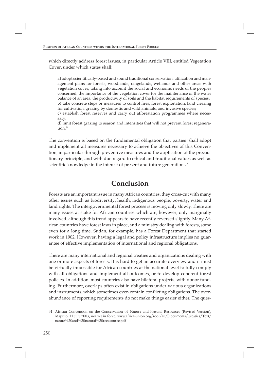which directly address forest issues, in particular Article VIII, entitled Vegetation Cover, under which states shall:

a) adopt scientifically-based and sound traditional conservation, utilization and management plans for forests, woodlands, rangelands, wetlands and other areas with vegetation cover, taking into account the social and economic needs of the peoples concerned, the importance of the vegetation cover for the maintenance of the water balance of an area, the productivity of soils and the habitat requirements of species; b) take concrete steps or measures to control fires, forest exploitation, land clearing for cultivation, grazing by domestic and wild animals, and invasive species;

c) establish forest reserves and carry out afforestation programmes where necessary;

d) limit forest grazing to season and intensities that will not prevent forest regeneration $31$ 

The convention is based on the fundamental obligation that parties 'shall adopt and implement all measures necessary to achieve the objectives of this Convention, in particular through preventive measures and the application of the precautionary principle, and with due regard to ethical and traditional values as well as scientific knowledge in the interest of present and future generations.'

## **Conclusion**

Forests are an important issue in many African countries; they cross-cut with many other issues such as biodiversity, health, indigenous people, poverty, water and land rights. The intergovernmental forest process is moving only slowly. There are many issues at stake for African countries which are, however, only marginally involved, although this trend appears to have recently reversed slightly. Many African countries have forest laws in place, and a ministry dealing with forests, some even for a long time. Sudan, for example, has a Forest Department that started work in 1902. However, having a legal and policy infrastructure implies no guarantee of effective implementation of international and regional obligations.

There are many international and regional treaties and organizations dealing with one or more aspects of forests. It is hard to get an accurate overview and it must be virtually impossible for African countries at the national level to fully comply with all obligations and implement all outcomes, or to develop coherent forest policies. In addition, most countries also have bilateral projects, with donor funding. Furthermore, overlaps often exist in obligations under various organizations and instruments, which sometimes even contain conflicting obligations. The overabundance of reporting requirements do not make things easier either. The ques-

<sup>31</sup> African Convention on the Conservation of Nature and Natural Resources (Revised Version), Maputo, 11 July 2003, not yet in force, www.africa-union.org/root/au/Documents/Treaties/Text/ nature%20and%20natural%20recesource.pdf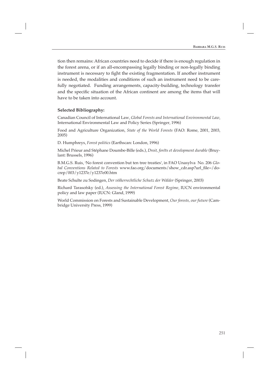tion then remains: African countries need to decide if there is enough regulation in the forest arena, or if an all-encompassing legally binding or non-legally binding instrument is necessary to fight the existing fragmentation. If another instrument is needed, the modalities and conditions of such an instrument need to be carefully negotiated. Funding arrangements, capacity-building, technology transfer and the specific situation of the African continent are among the items that will have to be taken into account.

#### **Selected Bibliography:**

Canadian Council of International Law, *Global Forests and International Environmental Law*, International Environmental Law and Policy Series (Springer, 1996)

Food and Agriculture Organization, *State of the World Forests* (FAO: Rome, 2001, 2003, 2005)

D. Humphreys, *Forest politics* (Earthscan: London, 1996)

Michel Prieur and Stéphane Doumbe-Bille (eds.), *Droit, forêts et development durable* (Bruylant: Brussels, 1996)

B.M.G.S. Ruis, 'No forest convention but ten tree treaties', in FAO Unasylva No. 206 *Global Conventions Related to Forests www.fao.org/documents/show\_cdr.asp?url\_file=/do*crep/003/y1237e/y1237e00.htm

Beate Schulte zu Sodingen, *Der völkerrechtliche Schutz der Wälder* (Springer, 2003)

Richard Tarasofsky (ed.), *Assessing the International Forest Regime*, IUCN environmental policy and law paper (IUCN: Gland, 1999)

World Commission on Forests and Sustainable Development, *Our forests, our future* (Cambridge University Press, 1999)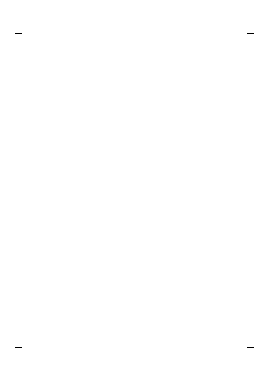$\frac{1}{\sqrt{2}} \int_{-\infty}^{\infty} \frac{1}{\sqrt{2}} \, d \mu \, d \mu$  $\frac{1}{2}$  $\begin{array}{c} - \\ | \end{array}$  $\frac{1}{\sqrt{2}}$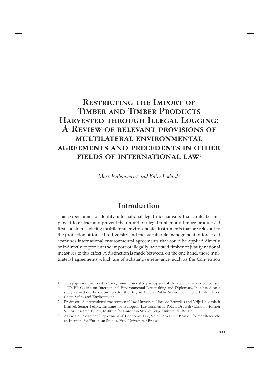# **Restricting the Import of Timber and Timber Products Harvested through Illegal Logging: A Review of relevant provisions of multilateral environmental agreements and precedents in other FIELDS OF INTERNATIONAL LAW<sup>1</sup>**

*Marc Pallemaerts2 and Katia Bodard3*

# **Introduction**

This paper aims to identify international legal mechanisms that could be employed to restrict and prevent the import of illegal timber and timber products. It first considers existing multilateral environmental instruments that are relevant to the protection of forest biodiversity and the sustainable management of forests. It examines international environmental agreements that could be applied directly or indirectly to prevent the import of illegally harvested timber or justify national measures to this effect. A distinction is made between, on the one hand, those multilateral agreements which are of substantive relevance, such as the Convention

<sup>1</sup> This paper was provided as background material to participants of the 2005 University of Joensuu – UNEP Course on International Environmental Law-making and Diplomacy. It is based on a study carried out by the authors for the Belgian Federal Public Service for Public Health, Food Chain Safety and Environment.

<sup>2</sup> Professor of international environmental law, Université Libre de Bruxelles and Vrije Universiteit Brussel; Senior Fellow, Institute for European Environmental Policy, Brussels/London; former Senior Research Fellow, Institute for European Studies, Vrije Universiteit Brussel.

<sup>3</sup> Associate Researcher, Department of Economic Law, Vrije Universiteit Brussel; former Researcher, Institute for European Studies, Vrije Universiteit Brussel.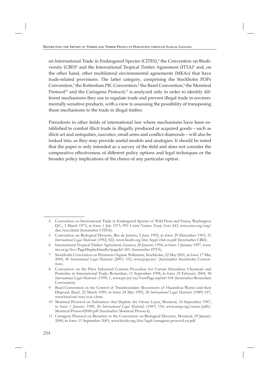on International Trade in Endangered Species (CITES), 4 the Convention on Biodiversity (CBD)<sup>5</sup> and the International Tropical Timber Agreement (ITTA)<sup>6</sup> and, on the other hand, other multilateral environmental agreements (MEAs) that have trade-related provisions. The latter category, comprising the Stockholm POPs Convention,<sup>7</sup> the Rotterdam PIC Convention,<sup>8</sup> the Basel Convention,<sup>9</sup> the Montreal Protocol<sup>10</sup> and the Cartagena Protocol,<sup>11</sup> is analyzed only in order to identify different mechanisms they use to regulate trade and prevent illegal trade in environmentally sensitive products, with a view to assessing the possibility of transposing those mechanisms to the trade in illegal timber.

Precedents in other fields of international law where mechanisms have been established to combat illicit trade in illegally produced or acquired goods – such as illicit art and antiquities, narcotics, small arms and conflict diamonds - will also be looked into, as they may provide useful models and analogies. It should be noted that the paper is only intended as a survey of the field and does not consider the comparative effectiveness of different policy options and legal techniques or the broader policy implications of the choice of any particular option.

<sup>4</sup> Convention on International Trade in Endangered Species of Wild Flora and Fauna, Washington D.C., 3 March 1973, in force 1 July 1975, 993 *United Nations Treaty Series* 243, www.cites.org/eng/ disc/text.shtml (hereinafter CITES).

<sup>5</sup> Convention on Biological Diversity, Rio de Janeiro, 5 June 1992, in force 29 December 1993, 31 *International Legal Materials* (1992) 822, www.biodiv.org/doc/legal/cbd-en.pdf (hereinafter CBD).

<sup>6</sup> International Tropical Timber Agreement, Geneva, 26 January 1994, in force 1 January 1997, www. itto.or.jp/live/PageDisplayHandler?pageId=201 (hereinafter ITTA).

<sup>7</sup> Stockholm Convention on Persistent Organic Pollutants, Stockholm, 22 May 2001, in force 17 May 2004, 40 *International Legal Materials* (2001) 532, www.pops.int/ (hereinafter Stockholm Convention).

<sup>8</sup> Convention on the Prior Informed Consent Procedure for Certain Hazardous Chemicals and Pesticides in International Trade, Rotterdam, 11 September 1998, in force 24 February 2004, 38 *International Legal Materials* (1999) 1, www.pic.int/en/ViewPage.asp?id=104 (hereinafter Rotterdam Convention).

<sup>9</sup> Basel Convention on the Control of Transboundary Movements of Hazardous Wastes and their Disposal, Basel, 22 March 1989, in force 24 May 1992, 28 *International Legal Materials* (1989) 657, www.basel.int/text/con-e.htm.

<sup>10</sup> Montreal Protocol on Substances that Deplete the Ozone Layer, Montreal, 16 September 1987, in force 1 January 1989, 26 *International Legal Materials* (1987) 154, www.unep.org/ozone/pdfs/ Montreal-Protocol2000.pdf (hereinafter Montreal Protocol).

<sup>11</sup> Cartagena Protocol on Biosafety to the Convention on Biological Diversity, Montreal, 29 January 2000, in force 11 September 2003, www.biodiv.org/doc/legal/cartagena-protocol-en.pdf.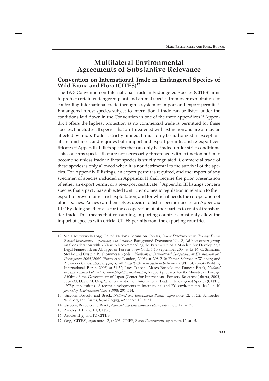## **Multilateral Environmental Agreements of Substantive Relevance**

### **Convention on International Trade in Endangered Species of Wild Fauna and Flora (CITES)12**

The 1973 Convention on International Trade in Endangered Species (CITES) aims to protect certain endangered plant and animal species from over-exploitation by controlling international trade through a system of import and export permits.13 Endangered forest species subject to international trade can be listed under the conditions laid down in the Convention in one of the three appendices.14 Appendix I offers the highest protection as no commercial trade is permitted for these species. It includes all species that are threatened with extinction and are or may be affected by trade. Trade is strictly limited. It must only be authorized in exceptional circumstances and requires both import and export permits, and re-export certificates.<sup>15</sup> Appendix II lists species that can only be traded under strict conditions. This concerns species that are not necessarily threatened with extinction but may become so unless trade in these species is strictly regulated. Commercial trade of these species is only allowed when it is not detrimental to the survival of the species. For Appendix II listings, an export permit is required, and the import of any specimen of species included in Appendix II shall require the prior presentation of either an export permit or a re-export certificate.<sup>16</sup> Appendix III listings concern species that a party has subjected to stricter domestic regulation in relation to their export to prevent or restrict exploitation, and for which it needs the co-operation of other parties. Parties can themselves decide to list a specific species on Appendix III.17 By doing so, they ask for the co-operation of other parties to control transborder trade. This means that consuming, importing countries must only allow the import of species with official CITES permits from the exporting countries.

<sup>12</sup> See also: www.cites.org; United Nations Forum on Forests, *Recent Developments in Existing Forest-Related Instruments, Agreements, and Processes*, Background Document No. 2, Ad hoc expert group on Consideration with a View to Recommending the Parameters of a Mandate for Developing a Legal Framework on All Types of Forests, New York, 7-10 September 2004 at 15-16; O. Schramm Stokke and Oystein B. Thommessen (eds.), *Yearbook of International Co-operation on Environment and Development 2003/2004* (Earthscan: London, 2003) at 208-210; Esther Schroeder-Wildberg and Alexander Carius, *Illegal Logging, Conflict and the Business Sector in Indonesia* (InWEnt-Capacity Building International, Berlin, 2003) at 51-52; Luca Tacconi, Marco Boscolo and Duncan Brack, *National and International Policies to Control Illegal Forest Activities*, A report prepared for the Ministry of Foreign Affairs of the Government of Japan (Center for International Forestry Research: Jakarta, 2003) at 32-33; David M. Ong, 'The Convention on International Trade in Endangered Species (CITES, 1973): implications of recent developments in international and EC environmental law', in 10 *Journal of Environmental Law* (1998) 291-314.

<sup>13</sup> Tacconi, Boscolo and Brack, *National and International Policies*, *supra* note 12, at 32; Schroeder-Wildberg and Carius, *Illegal Logging*, *supra* note 12, at 51.

<sup>14</sup> Tacconi, Boscolo and Brack, *National and International Policies*, *supra* note 12, at 32.

<sup>15</sup> Articles II(1) and III, CITES.

<sup>16</sup> Articles II(2) and IV, CITES.

<sup>17</sup> Ong, 'CITES', *supra* note 12, at 293; UNFF, *Recent Developments*, *supra* note 12, at 15.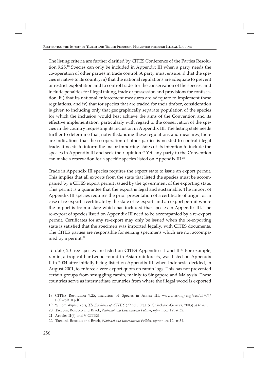The listing criteria are further clarified by CITES Conference of the Parties Resolution 9.25.18 Species can only be included in Appendix III when a party needs the co-operation of other parties in trade control. A party must ensure: i) that the species is native to its country; ii) that the national regulations are adequate to prevent or restrict exploitation and to control trade, for the conservation of the species, and include penalties for illegal taking, trade or possession and provisions for confiscation; iii) that its national enforcement measures are adequate to implement these regulations; and iv) that for species that are traded for their timber, consideration is given to including only that geographically separate population of the species for which the inclusion would best achieve the aims of the Convention and its effective implementation, particularly with regard to the conservation of the species in the country requesting its inclusion in Appendix III. The listing state needs further to determine that, notwithstanding these regulations and measures, there are indications that the co-operation of other parties is needed to control illegal trade. It needs to inform the major importing states of its intention to include the species in Appendix III and seek their opinion.<sup>19</sup> Yet, any party to the Convention can make a reservation for a specific species listed on Appendix III.<sup>20</sup>

Trade in Appendix III species requires the export state to issue an export permit. This implies that all exports from the state that listed the species must be accompanied by a CITES export permit issued by the government of the exporting state. This permit is a guarantee that the export is legal and sustainable. The import of Appendix III species requires the prior presentation of a certificate of origin, or in case of re-export a certificate by the state of re-export, and an export permit where the import is from a state which has included that species in Appendix III. The re-export of species listed on Appendix III need to be accompanied by a re-export permit. Certificates for any re-export may only be issued when the re-exporting state is satisfied that the specimen was imported legally, with CITES documents. The CITES parties are responsible for seizing specimens which are not accompanied by a permit. $21$ 

To date, 20 tree species are listed on CITES Appendices I and  $II<sup>22</sup>$  For example, ramin, a tropical hardwood found in Asian rainforests, was listed on Appendix II in 2004 after initially being listed on Appendix III, when Indonesia decided, in August 2001, to enforce a zero export quota on ramin logs. This has not prevented certain groups from smuggling ramin, mainly to Singapore and Malaysia. These countries serve as intermediate countries from where the illegal wood is exported

<sup>18</sup> CITES Resolution 9.25, Inclusion of Species in Annex III, www.cites.org/eng/res/all/09/ E09-25R10.pdf.

<sup>19</sup> Willem Wijnstekers, *The Evolution of CITES* (7<sup>th</sup> ed., CITES: Châtelaine-Geneva, 2003) at 61-65.

<sup>20</sup> Tacconi, Boscolo and Brack, *National and International Policies*, *supra* note 12, at 32.

<sup>21</sup> Articles II(3) and V CITES.

<sup>22</sup> Tacconi, Boscolo and Brack, *National and International Policies*, *supra* note 12, at 34.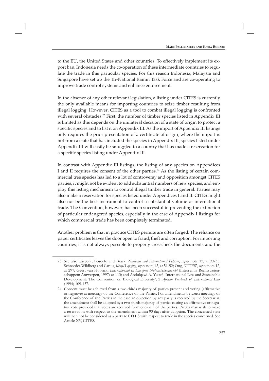to the EU, the United States and other countries. To effectively implement its export ban, Indonesia needs the co-operation of these intermediate countries to regulate the trade in this particular species. For this reason Indonesia, Malaysia and Singapore have set up the Tri-National Ramin Task Force and are co-operating to improve trade control systems and enhance enforcement.

In the absence of any other relevant legislation, a listing under CITES is currently the only available means for importing countries to seize timber resulting from illegal logging. However, CITES as a tool to combat illegal logging is confronted with several obstacles.<sup>23</sup> First, the number of timber species listed in Appendix III is limited as this depends on the unilateral decision of a state of origin to protect a specific species and to list it on Appendix III. As the import of Appendix III listings only requires the prior presentation of a certificate of origin, where the import is not from a state that has included the species in Appendix III, species listed under Appendix III will easily be smuggled to a country that has made a reservation for a specific species listing under Appendix III.

In contrast with Appendix III listings, the listing of any species on Appendices I and II requires the consent of the other parties.<sup>24</sup> As the listing of certain commercial tree species has led to a lot of controversy and opposition amongst CITES parties, it might not be evident to add substantial numbers of new species, and employ this listing mechanism to control illegal timber trade in general. Parties may also make a reservation for species listed under Appendices I and II. CITES might also not be the best instrument to control a substantial volume of international trade. The Convention, however, has been successful in preventing the extinction of particular endangered species, especially in the case of Appendix I listings for which commercial trade has been completely terminated.

Another problem is that in practice CITES permits are often forged. The reliance on paper certificates leaves the door open to fraud, theft and corruption. For importing countries, it is not always possible to properly crosscheck the documents and the

<sup>23</sup> See also Tacconi, Boscolo and Brack, *National and International Policies*, *supra* note 12, at 33-35; Schroeder-Wildberg and Carius, *Illegal Logging*, *supra* note 12, at 51-52; Ong, 'CITES', *supra* note 12, at 297; Geert van Hoorick, *Internationaal en Europees Natuurbehoudsrecht* (Intersentia Rechtswetenschappen: Antwerpen, 1997) at 113; and Abdulqawi A. Yusuf, 'International Law and Sustainable Development: The Convention on Biological Diversity', 2 *African Yearbook of International Law*  (1994) 109-137.

<sup>24</sup> Consent must be achieved from a two-thirds majority of parties present and voting (affirmative or negative) at meetings of the Conference of the Parties. For amendments between meetings of the Conference of the Parties in the case an objection by any party is received by the Secretariat, the amendment shall be adopted by a two-thirds majority of parties casting an affirmative or negative vote provided that votes are received from one-half of the parties. Parties may wish to make a reservation with respect to the amendment within 90 days after adoption. The concerned state will then not be considered as a party to CITES with respect to trade in the species concerned. See Article XV, CITES.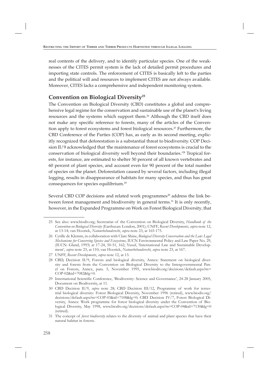real contents of the delivery, and to identify particular species. One of the weaknesses of the CITES permit system is the lack of detailed permit procedures and importing state controls. The enforcement of CITES is basically left to the parties and the political will and resources to implement CITES are not always available. Moreover, CITES lacks a comprehensive and independent monitoring system.

### **Convention on Biological Diversity25**

The Convention on Biological Diversity (CBD) constitutes a global and comprehensive legal regime for the conservation and sustainable use of the planet's living resources and the systems which support them.26 Although the CBD itself does not make any specific reference to forests, many of the articles of the Convention apply to forest ecosystems and forest biological resources.<sup>27</sup> Furthermore, the CBD Conference of the Parties (COP) has, as early as its second meeting, explicitly recognized that deforestation is a substantial threat to biodiversity. COP Decision II/9 acknowledged that 'the maintenance of forest ecosystems is crucial to the conservation of biological diversity well beyond their boundaries.' 28 Tropical forests, for instance, are estimated to shelter 50 percent of all known vertebrates and 60 percent of plant species, and account even for 90 percent of the total number of species on the planet. Deforestation caused by several factors, including illegal logging, results in disappearance of habitats for many species, and thus has great consequences for species equilibrium.29

Several CBD COP decisions and related work programmes $30$  address the link between forest management and biodiversity in general terms.<sup>31</sup> It is only recently, however, in the Expanded Programme on Work on Forest Biological Diversity, that

<sup>25</sup> See also: www.biodiv.org; Secretariat of the Convention on Biological Diversity, *Handbook of the Convention on Biological Diversity* (Earthscan: London, 2001); UNFF, *Recent Developments*, *supra* note 12, at 13-14; van Hoorick, *Natuurbehoudsrecht*, *supra* note 23, at 165-175.

<sup>26</sup> Cyrille de Klemm, in collaboration with Clare Shine, *Biological Diversity Conservation and the Law: Legal Mechanisms for Conserving Species and Ecosystems*, IUCN Environmental Policy and Law Paper No. 29, (IUCN: Gland, 1993) at 17-24, 50-51, 162; Yusuf, 'International Law and Sustainable Development', *supra* note 23, at 110; van Hoorick, *Natuurbehoudsrecht*, *supra* note 23, at 167.

<sup>27</sup> UNFF, *Recent Developments*, *supra* note 12, at 13.

<sup>28</sup> CBD, Decision II/9, Forests and biological diversity, Annex: Statement on biological diversity and forests from the Convention on Biological Diversity to the Intergovernmental Panel on Forests, Annex, para. 5, November 1995, www.biodiv.org/decisions/default.aspx?m= COP-02&id=7082&lg=0.

<sup>29</sup> International Scientific Conference, 'Biodiversity: Science and Governance', 24-28 January 2005, Document on Biodiversity, at 11.

<sup>30</sup> CBD Decision II/9, *supra* note 28; CBD Decision III/12, Programme of work for terrestrial biological diversity: Forest Biological Diversity, November 1996 (retired), www.biodiv.org/ decisions/default.aspx?m=COP-03&id=7108&lg=0; CBD Decision IV/7, Forest Biological Diversity, Annex: Work programme for forest biological diversity under the Convention of Biological Diversity, May 1998, www.biodiv.org/decisions/default.aspx?m=COP-04&id=7130&lg=0 (retired).

<sup>31</sup> The concept of *forest biodiversity* relates to the diversity of animal and plant species that have their natural habitat in forests.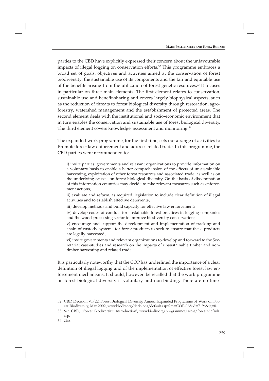parties to the CBD have explicitly expressed their concern about the unfavourable impacts of illegal logging on conservation efforts.<sup>32</sup> This programme embraces a broad set of goals, objectives and activities aimed at the conservation of forest biodiversity, the sustainable use of its components and the fair and equitable use of the benefits arising from the utilization of forest genetic resources.<sup>33</sup> It focuses in particular on three main elements. The first element relates to conservation, sustainable use and benefit-sharing and covers largely biophysical aspects, such as the reduction of threats to forest biological diversity through restoration, agroforestry, watershed management and the establishment of protected areas. The second element deals with the institutional and socio-economic environment that in turn enables the conservation and sustainable use of forest biological diversity. The third element covers knowledge, assessment and monitoring.<sup>34</sup>

The expanded work programme, for the first time, sets out a range of activities to Promote forest law enforcement and address related trade. In this programme, the CBD parties were recommended to:

i) invite parties, governments and relevant organizations to provide information on a voluntary basis to enable a better comprehension of the effects of unsustainable harvesting, exploitation of other forest resources and associated trade, as well as on the underlying causes, on forest biological diversity. On the basis of dissemination of this information countries may decide to take relevant measures such as enforcement actions;

ii) evaluate and reform, as required, legislation to include clear definition of illegal activities and to establish effective deterrents;

iii) develop methods and build capacity for effective law enforcement;

iv) develop codes of conduct for sustainable forest practices in logging companies and the wood-processing sector to improve biodiversity conservation;

v) encourage and support the development and implementation of tracking and chain-of-custody systems for forest products to seek to ensure that these products are legally harvested;

vi) invite governments and relevant organizations to develop and forward to the Secretariat case-studies and research on the impacts of unsustainable timber and nontimber harvesting and related trade.

It is particularly noteworthy that the COP has underlined the importance of a clear definition of illegal logging and of the implementation of effective forest law enforcement mechanisms. It should, however, be recalled that the work programme on forest biological diversity is voluntary and non-binding. There are no time-

<sup>32</sup> CBD Decision VI/22, Forest Biological Diversity, Annex: Expanded Programme of Work on Forest Biodiversity, May 2002, www.biodiv.org/decisions/default.aspx?m=COP-06&id=7196&lg=0.

<sup>33</sup> See CBD, 'Forest Biodiversity: Introduction', www.biodiv.org/programmes/areas/forest/default. asp.

<sup>34</sup> *Ibid*.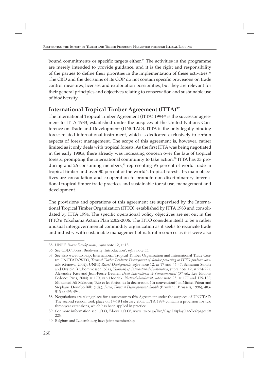bound commitments or specific targets either.<sup>35</sup> The activities in the programme are merely intended to provide guidance, and it is the right and responsibility of the parties to define their priorities in the implementation of these activities.<sup>36</sup> The CBD and the decisions of its COP do not contain specific provisions on trade control measures, licenses and exploitation possibilities, but they are relevant for their general principles and objectives relating to conservation and sustainable use of biodiversity.

#### **International Tropical Timber Agreement (ITTA)37**

The International Tropical Timber Agreement (ITTA) 1994<sup>38</sup> is the successor agreement to ITTA 1983, established under the auspices of the United Nations Conference on Trade and Development (UNCTAD). ITTA is the only legally binding forest-related international instrument, which is dedicated exclusively to certain aspects of forest management. The scope of this agreement is, however, rather limited as it only deals with tropical forests. As the first ITTA was being negotiated in the early 1980s, there already was increasing concern over the fate of tropical forests, prompting the international community to take action.<sup>39</sup> ITTA has 33 producing and 26 consuming members, 40 representing 95 percent of world trade in tropical timber and over 80 percent of the world's tropical forests. Its main objectives are consultation and co-operation to promote non-discriminatory international tropical timber trade practices and sustainable forest use, management and development.

The provisions and operations of this agreement are supervised by the International Tropical Timber Organization (ITTO), established by ITTA 1983 and consolidated by ITTA 1994. The specific operational policy objectives are set out in the ITTO's Yokohama Action Plan 2002-2006. The ITTO considers itself to be a rather unusual intergovernmental commodity organization as it seeks to reconcile trade and industry with sustainable management of natural resources as if it were also

<sup>35</sup> UNFF, *Recent Developments*, *supra* note 12, at 13.

<sup>36</sup> See CBD, 'Forest Biodiversity: Introduction', *supra* note 33.

<sup>37</sup> See also www.itto.or.jp; International Tropical Timber Organization and International Trade Centre UNCTAD/WTO, *Tropical Timber Products: Development of further processing in ITTO producer countries* (Geneva, 2002); UNFF, *Recent Developments*, *supra* note 12, at 17 and 46-47; Schramm Stokke and Oystein B. Thommessen (eds.), *Yearbook of International Co-operation*, supra note 12, at 224-227; Alexandre Kiss and Jean-Pierre Beurier, *Droit international de l'environnement* (3rd ed., Les éditions Pedone: Paris, 2004) at 170; van Hoorick, *Natuurbehoudsrecht*, *supra* note 23, at 177 and 179-182; Mohamed Ali Mekouar, 'Rio et les forêts: de la déclaration à la convention?', in Michel Prieur and Stéphane Dounbe-Bille (eds.), *Droit, Forêts et Développement durable* (Bruylant : Brussels, 1996), 483- 513 at 493-494.

<sup>38</sup> Negotiations are taking place for a successor to this Agreement under the auspices of UNCTAD. The second session took place on 14-18 February 2005. ITTA 1994 contains a provision for two three-year extensions, which has been applied in practice.

<sup>39</sup> For more information see ITTO, 'About ITTO', www.itto.or.jp/live/PageDisplayHandler?pageId= 225.

<sup>40</sup> Belgium and Luxembourg have joint membership.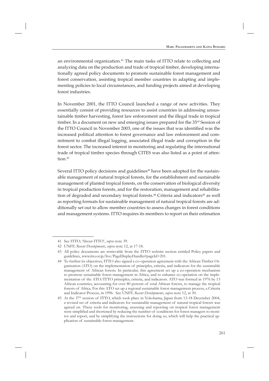an environmental organization.<sup>41</sup> The main tasks of ITTO relate to collecting and analyzing data on the production and trade of tropical timber, developing internationally agreed policy documents to promote sustainable forest management and forest conservation, assisting tropical member countries in adapting and implementing policies to local circumstances, and funding projects aimed at developing forest industries.

In November 2001, the ITTO Council launched a range of new activities. They essentially consist of providing resources to assist countries in addressing unsustainable timber harvesting, forest law enforcement and the illegal trade in tropical timber. In a document on new and emerging issues prepared for the 33<sup>rd</sup> Session of the ITTO Council in November 2003, one of the issues that was identified was the increased political attention to forest governance and law enforcement and commitment to combat illegal logging, associated illegal trade and corruption in the forest sector. The increased interest in monitoring and regulating the international trade of tropical timber species through CITES was also listed as a point of attention.<sup>42</sup>

Several ITTO policy decisions and guidelines<sup>43</sup> have been adopted for the sustainable management of natural tropical forests, for the establishment and sustainable management of planted tropical forests, on the conservation of biological diversity in tropical production forests, and for the restoration, management and rehabilitation of degraded and secondary tropical forests.<sup>44</sup> Criteria and indicators<sup>45</sup> as well as reporting formats for sustainable management of natural tropical forests are additionally set out to allow member countries to assess changes in forest conditions and management systems. ITTO requires its members to report on their estimation

<sup>41</sup> See ITTO, 'About ITTO', *supra* note 39.

<sup>42</sup> UNFF, *Recent Developments*, *supra* note 12, at 17-18.

<sup>43</sup> All policy documents are retrievable from the ITTO website section entitled Policy papers and guidelines, www.itto.or.jp/live/PageDisplayHandler?pageId=201.

<sup>44</sup> To further its objectives, ITTO also signed a co-operation agreement with the African Timber Organization (ATO) on the implementation of principles, criteria, and indicators for the sustainable management of African forests. In particular, this agreement set up a co-operation mechanism to promote sustainable forest management in Africa, and to enhance co-operation on the implementation of the ATO/ITTO principles, criteria, and indicators. ATO was formed in 1976 by 13 African countries, accounting for over 80 percent of total African forests, to manage the tropical forests of Africa. For this ATO set up a regional sustainable forest management process, a Criteria and Indicator Process, in 1996. See UNFF, *Recent Developments*, *supra* note 12, at 30.

<sup>45</sup> At the 37<sup>th</sup> session of ITTO, which took place in Yokohama, Japan from 13-18 December 2004, a revised set of criteria and indicators for sustainable management of natural tropical forests was agreed on. These tools for monitoring, assessing and reporting on tropical forest management were simplified and shortened by reducing the number of conditions for forest managers to monitor and report, and by simplifying the instructions for doing so, which will help the practical application of sustainable forest management.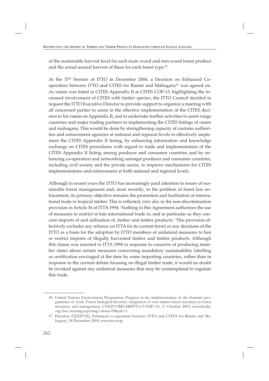of the sustainable harvest level for each main wood and non-wood forest product and the actual annual harvest of these for each forest type.<sup>46</sup>

At the 37<sup>th</sup> Session of ITTO in December 2004, a Decision on Enhanced Cooperation between ITTO and CITES for Ramin and Mahogany<sup>47</sup> was agreed on. As ramin was listed in CITES Appendix II at CITES COP-13, highlighting the increased involvement of CITES with timber species, the ITTO Council decided to request the ITTO Executive Director to provide support to organize a meeting with all concerned parties to assist in the effective implementation of the CITES decision to list ramin on Appendix II, and to undertake further activities to assist range countries and major trading partners in implementing the CITES listings of ramin and mahogany. This would be done by strengthening capacity of customs authorities and enforcement agencies at national and regional levels to effectively implement the CITES Appendix II listing, by enhancing information and knowledge exchange on CITES procedures with regard to trade and implementation of the CITES Appendix II listing among producer and consumer countries and by enhancing co-operation and networking amongst producer and consumer countries, including civil society and the private sector, to improve mechanisms for CITES implementations and enforcement at both national and regional levels.

Although in recent years the ITTO has increasingly paid attention to issues of sustainable forest management and, most recently, to the problem of forest law enforcement, its primary objective remains the promotion and facilitation of international trade in tropical timber. This is reflected, *inter alia*, in the non-discrimination provision in Article 36 of ITTA 1994: 'Nothing in this Agreement authorizes the use of measures to restrict or ban international trade in, and in particular as they concern imports of and utilization of, timber and timber products.' This provision effectively excludes any reliance on ITTA (in its current form) or any decisions of the ITTO as a basis for the adoption by ITTO members of unilateral measures to ban or restrict imports of illegally harvested timber and timber products. Although this clause was inserted in ITTA 1994 in response to concerns of producing member states about certain measures concerning mandatory sustainability labelling or certification envisaged at the time by some importing countries, rather than in response to the current debate focusing on illegal timber trade, it would no doubt be invoked against any unilateral measures that may be contemplated to regulate this trade.

<sup>46</sup> United Nations Environment Programme, Progress in the implementation of the thematic programmes of work. Forest biological diversity: integration of non timber forest resources in forest inventory and management, UNEP/CBD/SBSTTA/9/INF/14, 11 October 2003, www.biodiv. org/doc/meeting.aspx?mtg=sbstta-09&tab=1.

<sup>47</sup> Decision 2(XXXVII), Enhanced co-operation between ITTO and CITES for Ramin and Mahogany, 18 December 2004, www.itto.or.jp.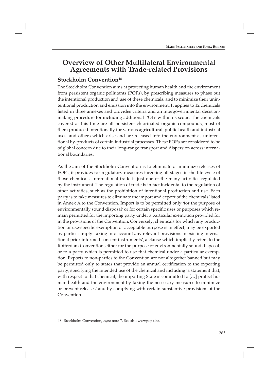# **Overview of Other Multilateral Environmental Agreements with Trade-related Provisions**

### **Stockholm Convention**<sup>48</sup>

The Stockholm Convention aims at protecting human health and the environment from persistent organic pollutants (POPs), by prescribing measures to phase out the intentional production and use of these chemicals, and to minimize their unintentional production and emission into the environment. It applies to 12 chemicals listed in three annexes and provides criteria and an intergovernmental decisionmaking procedure for including additional POPs within its scope. The chemicals covered at this time are all persistent chlorinated organic compounds, most of them produced intentionally for various agricultural, public health and industrial uses, and others which arise and are released into the environment as unintentional by-products of certain industrial processes. These POPs are considered to be of global concern due to their long-range transport and dispersion across international boundaries.

As the aim of the Stockholm Convention is to eliminate or minimize releases of POPs, it provides for regulatory measures targeting all stages in the life-cycle of those chemicals. International trade is just one of the many activities regulated by the instrument. The regulation of trade is in fact incidental to the regulation of other activities, such as the prohibition of intentional production and use. Each party is to take measures to eliminate the import and export of the chemicals listed in Annex A to the Convention. Import is to be permitted only 'for the purpose of environmentally sound disposal' or for certain specific uses or purposes which remain permitted for the importing party under a particular exemption provided for in the provisions of the Convention. Conversely, chemicals for which any production or use-specific exemption or acceptable purpose is in effect, may be exported by parties simply 'taking into account any relevant provisions in existing international prior informed consent instruments', a clause which implicitly refers to the Rotterdam Convention, either for the purpose of environmentally sound disposal, or to a party which is permitted to use that chemical under a particular exemption. Exports to non-parties to the Convention are not altogether banned but may be permitted only to states that provide an annual certification to the exporting party, specifying the intended use of the chemical and including 'a statement that, with respect to that chemical, the importing State is committed to […] protect human health and the environment by taking the necessary measures to minimize or prevent releases' and by complying with certain substantive provisions of the Convention.

<sup>48</sup> Stockholm Convention, *supra* note 7. See also www.pops.int.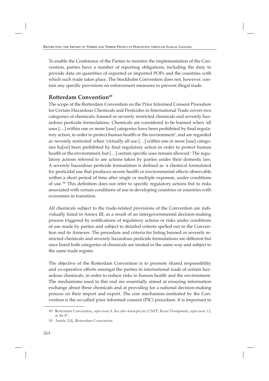To enable the Conference of the Parties to monitor the implementation of the Convention, parties have a number of reporting obligations, including the duty to provide data on quantities of exported or imported POPs and the countries with which such trade takes place. The Stockholm Convention does not, however, contain any specific provisions on enforcement measures to prevent illegal trade.

#### **Rotterdam Convention**<sup>49</sup>

The scope of the Rotterdam Convention on the Prior Informed Consent Procedure for Certain Hazardous Chemicals and Pesticides in International Trade covers two categories of chemicals: banned or severely restricted chemicals and severely hazardous pesticide formulations. Chemicals are considered to be banned when 'all uses [...] within one or more [use] categories have been prohibited by final regulatory action, in order to protect human health or the environment', and are regarded as 'severely restricted' when 'virtually all use […] within one or more [use] categories ha[ve] been prohibited by final regulatory action in order to protect human health or the environment, but  $[...]$  certain specific uses remain allowed.' The regulatory actions referred to are actions taken by parties under their domestic law. A severely hazardous pesticide formulation is defined as 'a chemical formulated for pesticidal use that produces severe health or environmental effects observable within a short period of time after single or multiple exposure, under conditions of use.<sup>50</sup> This definition does not refer to specific regulatory actions but to risks associated with certain conditions of use in developing countries or countries with economies in transition.

All chemicals subject to the trade-related provisions of the Convention are individually listed in Annex III, as a result of an intergovernmental decision-making process triggered by notifications of regulatory actions or risks under conditions of use made by parties and subject to detailed criteria spelled out in the Convention and its Annexes. The procedure and criteria for listing banned or severely restricted chemicals and severely hazardous pesticide formulations are different but once listed both categories of chemicals are treated in the same way and subject to the same trade regime.

The objective of the Rotterdam Convention is to promote shared responsibility and co-operative efforts amongst the parties in international trade of certain hazardous chemicals, in order to reduce risks to human health and the environment. The mechanisms used to this end are essentially aimed at ensuring information exchange about these chemicals and at providing for a national decision-making process on their import and export. The core mechanism instituted by the Convention is the so-called prior informed consent (PIC) procedure. It is important to

<sup>49</sup> Rotterdam Convention, *supra* note 8. See also www.pic.int; UNFF, *Recent Developments*, *supra* note 12, at 46-47.

<sup>50</sup> Article 2(d), Rotterdam Convention.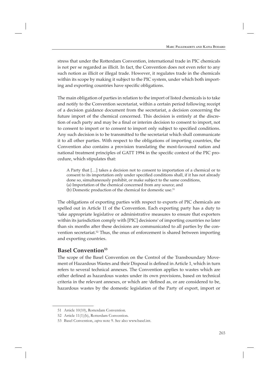stress that under the Rotterdam Convention, international trade in PIC chemicals is not per se regarded as illicit. In fact, the Convention does not even refer to any such notion as illicit or illegal trade. However, it regulates trade in the chemicals within its scope by making it subject to the PIC system, under which both importing and exporting countries have specific obligations.

The main obligation of parties in relation to the import of listed chemicals is to take and notify to the Convention secretariat, within a certain period following receipt of a decision guidance document from the secretariat, a decision concerning the future import of the chemical concerned. This decision is entirely at the discretion of each party and may be a final or interim decision to consent to import, not to consent to import or to consent to import only subject to specified conditions. Any such decision is to be transmitted to the secretariat which shall communicate it to all other parties. With respect to the obligations of importing countries, the Convention also contains a provision translating the most-favoured nation and national treatment principles of GATT 1994 in the specific context of the PIC procedure, which stipulates that:

A Party that […] takes a decision not to consent to importation of a chemical or to consent to its importation only under specified conditions shall, if it has not already done so, simultaneously prohibit, or make subject to the same conditions, (a) Importation of the chemical concerned from any source; and

(b) Domestic production of the chemical for domestic use.<sup>51</sup>

The obligations of exporting parties with respect to exports of PIC chemicals are spelled out in Article 11 of the Convention. Each exporting party has a duty to 'take appropriate legislative or administrative measures to ensure that exporters within its jurisdiction comply with [PIC] decisions' of importing countries no later than six months after these decisions are communicated to all parties by the convention secretariat.<sup>52</sup> Thus, the onus of enforcement is shared between importing and exporting countries.

#### **Basel Convention**<sup>53</sup>

The scope of the Basel Convention on the Control of the Transboundary Movement of Hazardous Wastes and their Disposal is defined in Article 1, which in turn refers to several technical annexes. The Convention applies to wastes which are either defined as hazardous wastes under its own provisions, based on technical criteria in the relevant annexes, or which are 'defined as, or are considered to be, hazardous wastes by the domestic legislation of the Party of export, import or

<sup>51</sup> Article 10(10), Rotterdam Convention.

<sup>52</sup> Article 11(1)(b), Rotterdam Convention.

<sup>53</sup> Basel Convention, *supra* note 9. See also www.basel.int.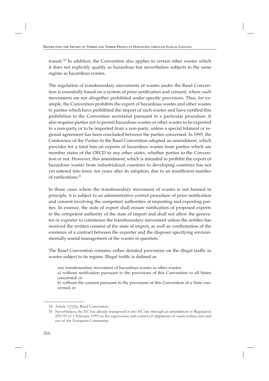transit.' 54 In addition, the Convention also applies to certain other wastes which it does not explicitly qualify as hazardous but nevertheless subjects to the same regime as hazardous wastes.

The regulation of transboundary movements of wastes under the Basel Convention is essentially based on a system of prior notification and consent, where such movements are not altogether prohibited under specific provisions. Thus, for example, the Convention prohibits the export of hazardous wastes and other wastes to parties which have prohibited the import of such wastes and have notified this prohibition to the Convention secretariat pursuant to a particular procedure. It also requires parties not to permit hazardous wastes or other wastes to be exported to a non-party or to be imported from a non-party, unless a special bilateral or regional agreement has been concluded between the parties concerned. In 1995, the Conference of the Parties to the Basel Convention adopted an amendment, which provides for a total ban on exports of hazardous wastes from parties which are member states of the OECD to any other states, whether parties to the Convention or not. However, this amendment, which is intended to prohibit the export of hazardous wastes from industrialized countries to developing countries has not yet entered into force, ten years after its adoption, due to an insufficient number of ratifications.<sup>55</sup>

In those cases where the transboundary movement of wastes is not banned in principle, it is subject to an administrative control procedure of prior notification and consent involving the competent authorities of importing and exporting parties. In essence, the state of export shall ensure notification of proposed exports to the competent authority of the state of import and shall not allow the generator or exporter to commence the transboundary movement unless the notifier has received the written consent of the state of import, as well as 'confirmation of the existence of a contract between the exporter and the disposer specifying environmentally sound management of the wastes in question.'

The Basel Convention contains rather detailed provisions on the illegal traffic in wastes subject to its regime. Illegal traffic is defined as

any transboundary movement of hazardous wastes or other wastes:

a) without notification pursuant to the provisions of this Convention to all States concerned; or

b) without the consent pursuant to the provisions of this Convention of a State concerned; or

<sup>54</sup> Article 1(1)(b), Basel Convention.

<sup>55</sup> Nevertheless, the EC has already transposed it into EC law through an amendment to Regulation 259/93 of 1 February 1993 on the supervision and control of shipments of waste within, into and out of the European Community.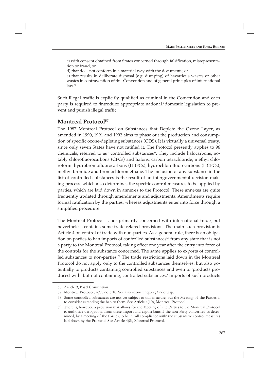c) with consent obtained from States concerned through falsification, misrepresentation or fraud; or

d) that does not conform in a material way with the documents; or

e) that results in deliberate disposal (e.g. dumping) of hazardous wastes or other wastes in contravention of this Convention and of general principles of international  $law<sup>56</sup>$ 

Such illegal traffic is explicitly qualified as criminal in the Convention and each party is required to 'introduce appropriate national/domestic legislation to prevent and punish illegal traffic.'

#### **Montreal Protocol57**

The 1987 Montreal Protocol on Substances that Deplete the Ozone Layer, as amended in 1990, 1991 and 1992 aims to phase out the production and consumption of specific ozone-depleting substances (ODS). It is virtually a universal treaty, since only seven States have not ratified it. The Protocol presently applies to 96 chemicals, referred to as "controlled substances". They include halocarbons, notably chlorofluorocarbons (CFCs) and halons, carbon tetrachloride, methyl chloroform, hydrobromofluorocarbons (HBFCs), hydrochlorofluorocarbons (HCFCs), methyl bromide and bromochloromethane. The inclusion of any substance in the list of controlled substances is the result of an intergovernmental decision-making process, which also determines the specific control measures to be applied by parties, which are laid down in annexes to the Protocol. These annexes are quite frequently updated through amendments and adjustments. Amendments require formal ratification by the parties, whereas adjustments enter into force through a simplified procedure.

The Montreal Protocol is not primarily concerned with international trade, but nevertheless contains some trade-related provisions. The main such provision is Article 4 on control of trade with non-parties. As a general rule, there is an obligation on parties to ban imports of controlled substances<sup>58</sup> from any state that is not a party to the Montreal Protocol, taking effect one year after the entry into force of the controls for the substance concerned. The same applies to exports of controlled substances to non-parties.<sup>59</sup> The trade restrictions laid down in the Montreal Protocol do not apply only to the controlled substances themselves, but also potentially to products containing controlled substances and even to 'products produced with, but not containing, controlled substances.' Imports of such products

<sup>56</sup> Article 9, Basel Convention.

<sup>57</sup> Montreal Protocol, *supra* note 10. See also ozone.unep.org/index.asp.

<sup>58</sup> Some controlled substances are not yet subject to this measure, but the Meeting of the Parties is to consider extending the ban to them. See Article 4(10), Montreal Protocol.

<sup>59</sup> There is, however, a provision that allows for the Meeting of the Parties to the Montreal Protocol to authorize derogations from these import and export bans if the non-Party concerned 'is determined, by a meeting of the Parties, to be in full compliance with' the substantive control measures laid down by the Protocol. See Article 4(8), Montreal Protocol.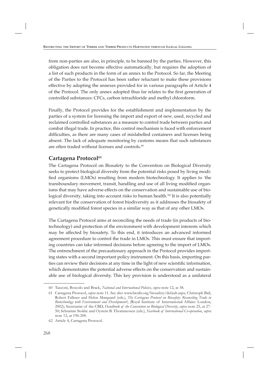from non-parties are also, in principle, to be banned by the parties. However, this obligation does not become effective automatically, but requires the adoption of a list of such products in the form of an annex to the Protocol. So far, the Meeting of the Parties to the Protocol has been rather reluctant to make these provisions effective by adopting the annexes provided for in various paragraphs of Article 4 of the Protocol. The only annex adopted thus far relates to the first generation of controlled substances: CFCs, carbon tetrachloride and methyl chloroform.

Finally, the Protocol provides for the establishment and implementation by the parties of a system for licensing the import and export of new, used, recycled and reclaimed controlled substances as a measure to control trade between parties and combat illegal trade. In practice, this control mechanism is faced with enforcement difficulties, as there are many cases of mislabelled containers and licenses being absent. The lack of adequate monitoring by customs means that such substances are often traded without licenses and controls.<sup>60</sup>

### Cartagena Protocol<sup>61</sup>

The Cartagena Protocol on Biosafety to the Convention on Biological Diversity seeks to protect biological diversity from the potential risks posed by living modified organisms (LMOs) resulting from modern biotechnology. It applies to 'the transboundary movement, transit, handling and use of all living modified organisms that may have adverse effects on the conservation and sustainable use of biological diversity, taking into account risks to human health.' 62 It is also potentially relevant for the conservation of forest biodiversity as it addresses the biosafety of genetically modified forest species in a similar way as that of any other LMOs.

The Cartagena Protocol aims at reconciling the needs of trade (in products of biotechnology) and protection of the environment with development interests which may be affected by biosafety. To this end, it introduces an advanced informed agreement procedure to control the trade in LMOs. This must ensure that importing countries can take informed decisions before agreeing to the import of LMOs. The entrenchment of the precautionary approach in the Protocol provides importing states with a second important policy instrument. On this basis, importing parties can review their decisions at any time in the light of new scientific information, which demonstrates the potential adverse effects on the conservation and sustainable use of biological diversity. This key provision is understood as a unilateral

<sup>60</sup> Tacconi, Boscolo and Brack, *National and International Policies*, *supra* note 12, at 38.

<sup>61</sup> Cartagena Protocol, *supra* note 11. See also www.biodiv.org/biosafety/default.aspx; Christoph Bail, Robert Falkner and Helen Marquard (eds.), *The Cartagena Protocol on Biosafety: Reconciling Trade in Biotechnology with Environment and Development?*, (Royal Institute of International Affairs: London, 2002); Secretariat of the CBD, *Handbook of the Convention on Biological Diversity*, *supra* note 25, at 27- 50; Schramm Stokke and Oystein B. Thommessen (eds.), *Yearbook of International Co-operation*, *supra* note 12, at 196-200.

<sup>62</sup> Article 4, Cartagena Protocol.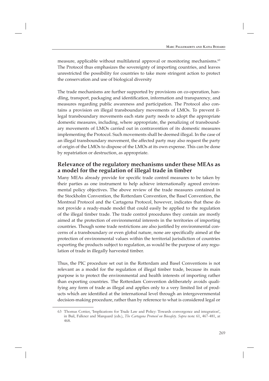measure, applicable without multilateral approval or monitoring mechanisms.<sup>63</sup> The Protocol thus emphasizes the sovereignty of importing countries, and leaves unrestricted the possibility for countries to take more stringent action to protect the conservation and use of biological diversity

The trade mechanisms are further supported by provisions on co-operation, handling, transport, packaging and identification, information and transparency, and measures regarding public awareness and participation. The Protocol also contains a provision on illegal transboundary movements of LMOs. To prevent illegal transboundary movements each state party needs to adopt the appropriate domestic measures, including, where appropriate, the penalizing of transboundary movements of LMOs carried out in contravention of its domestic measures implementing the Protocol. Such movements shall be deemed illegal. In the case of an illegal transboundary movement, the affected party may also request the party of origin of the LMOs to dispose of the LMOs at its own expense. This can be done by repatriation or destruction, as appropriate.

### **Relevance of the regulatory mechanisms under these MEAs as a model for the regulation of illegal trade in timber**

Many MEAs already provide for specific trade control measures to be taken by their parties as one instrument to help achieve internationally agreed environmental policy objectives. The above review of the trade measures contained in the Stockholm Convention, the Rotterdam Convention, the Basel Convention, the Montreal Protocol and the Cartagena Protocol, however, indicates that these do not provide a ready-made model that could easily be applied to the regulation of the illegal timber trade. The trade control procedures they contain are mostly aimed at the protection of environmental interests in the territories of importing countries. Though some trade restrictions are also justified by environmental concerns of a transboundary or even global nature, none are specifically aimed at the protection of environmental values within the territorial jurisdiction of countries exporting the products subject to regulation, as would be the purpose of any regulation of trade in illegally harvested timber.

Thus, the PIC procedure set out in the Rotterdam and Basel Conventions is not relevant as a model for the regulation of illegal timber trade, because its main purpose is to protect the environmental and health interests of importing rather than exporting countries. The Rotterdam Convention deliberately avoids qualifying any form of trade as illegal and applies only to a very limited list of products which are identified at the international level through an intergovernmental decision-making procedure, rather than by reference to what is considered legal or

<sup>63</sup> Thomas Cottier, 'Implications for Trade Law and Policy: Towards convergence and integration', in Bail, Falkner and Marquard (eds.), *The Cartagena Protocol on Biosafety. Supra* note 61, 467-481, at 468.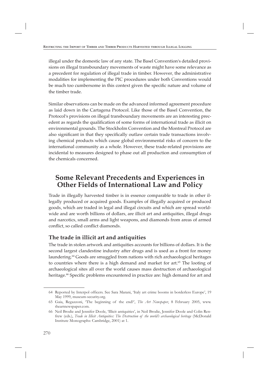illegal under the domestic law of any state. The Basel Convention's detailed provisions on illegal transboundary movements of waste might have some relevance as a precedent for regulation of illegal trade in timber. However, the administrative modalities for implementing the PIC procedures under both Conventions would be much too cumbersome in this context given the specific nature and volume of the timber trade.

Similar observations can be made on the advanced informed agreement procedure as laid down in the Cartagena Protocol. Like those of the Basel Convention, the Protocol's provisions on illegal transboundary movements are an interesting precedent as regards the qualification of some forms of international trade as illicit on environmental grounds. The Stockholm Convention and the Montreal Protocol are also significant in that they specifically outlaw certain trade transactions involving chemical products which cause global environmental risks of concern to the international community as a whole. However, these trade-related provisions are incidental to measures designed to phase out all production and consumption of the chemicals concerned.

# **Some Relevant Precedents and Experiences in Other Fields of International Law and Policy**

Trade in illegally harvested timber is in essence comparable to trade in other illegally produced or acquired goods. Examples of illegally acquired or produced goods, which are traded in legal and illegal circuits and which are spread worldwide and are worth billions of dollars, are illicit art and antiquities, illegal drugs and narcotics, small arms and light weapons, and diamonds from areas of armed conflict, so called conflict diamonds.

### **The trade in illicit art and antiquities**

The trade in stolen artwork and antiquities accounts for billions of dollars. It is the second largest clandestine industry after drugs and is used as a front for money laundering.<sup>64</sup> Goods are smuggled from nations with rich archaeological heritages to countries where there is a high demand and market for art.<sup>65</sup> The looting of archaeological sites all over the world causes mass destruction of archaeological heritage.<sup>66</sup> Specific problems encountered in practice are: high demand for art and

<sup>64</sup> Reported by Interpol officers. See Sara Marani, 'Italy art crime booms in borderless Europe', 19 May 1999, museum-security.org.

<sup>65</sup> Gaia, Regazzoni, 'The beginning of the end?', *The Art Newspaper*, 8 February 2005, www. theartnewspaper.com.

<sup>66</sup> Neil Brodie and Jennifer Doole, 'Illicit antiquities', in Neil Brodie, Jennifer Doole and Colin Renfrew (eds.), *Trade in Illicit Antiquities: The Destruction of the world's archaeological heritage* (McDonald Institute Monographs: Cambridge, 2001) at 1.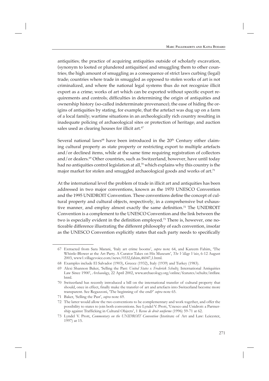antiquities; the practice of acquiring antiquities outside of scholarly excavation, (synonym to looted or plundered antiquities( and smuggling them to other countries; the high amount of smuggling as a consequence of strict laws curbing (legal) trade; countries where trade in smuggled as opposed to stolen works of art is not criminalized, and where the national legal systems thus do not recognize illicit export as a crime; works of art which can be exported without specific export requirements and controls; difficulties in determining the origin of antiquities and ownership history (so-called indeterminate provenance); the ease of hiding the origins of antiquities by stating, for example, that the artefact was dug up on a farm of a local family; wartime situations in an archeologically rich country resulting in inadequate policing of archaeological sites or protection of heritage; and auction sales used as clearing houses for illicit art.<sup>67</sup>

Several national laws<sup>68</sup> have been introduced in the  $20<sup>th</sup>$  Century either claiming cultural property as state property or restricting export to multiple artefacts and/or declined items, while at the same time requiring registration of collectors and/or dealers.<sup>69</sup> Other countries, such as Switzerland, however, have until today had no antiquities control legislation at all, 70 which explains why this country is the major market for stolen and smuggled archaeological goods and works of art.<sup>71</sup>

At the international level the problem of trade in illicit art and antiquities has been addressed in two major conventions, known as the 1970 UNESCO Convention and the 1995 UNIDROIT Convention. These conventions define the concept of cultural property and cultural objects, respectively, in a comprehensive but exhaustive manner, and employ almost exactly the same definition.<sup>72</sup> The UNIDROIT Convention is a complement to the UNESCO Convention and the link between the two is especially evident in the definition employed.<sup>73</sup> There is, however, one noticeable difference illustrating the different philosophy of each convention, insofar as the UNESCO Convention explicitly states that each party needs to specifically

<sup>67</sup> Extracted from Sara Marani, 'Italy art crime booms', *supra* note 64, and Kareem Fahim, 'The Whistle-Blower at the Art Party. A Curator Takes on His Museum', *The Village Voice*, 6-12 August 2003, www1.villagevoice.com/news/0332,fahim,46047,1.html.

<sup>68</sup> Examples include El Salvador (1903), Greece (1932), Italy (1939) and Turkey (1983).

<sup>69</sup> Alexi Shannon Baker, 'Selling the Past: *United States v. Frederick Schultz*. International Antiquities Law Since 1900', *Archaeology*, 22 April 2002, www.archaeology.org/online/features/schultz/intllaw. html.

<sup>70</sup> Switzerland has recently introduced a bill on the international transfer of cultural property that should, once in effect, finally make the transfer of art and artefacts into Switzerland become more transparent. See Regazzoni, 'The beginning of the end?' *supra* note 65.

<sup>71</sup> Baker, 'Selling the Past', *supra* note 69.

<sup>72</sup> The latter would allow the two conventions to be complementary and work together, and offer the possibility to states to join both conventions. See Lyndel V. Prott, 'Unesco and Unidroit: a Partnership against Trafficking in Cultural Objects', 1 *Revue de droit uniforme* (1996) 59-71 at 62.

<sup>73</sup> Lyndel V. Prott, *Commentary on the UNIDROIT Convention* (Institute of Art and Law: Leicester, 1997) at 15.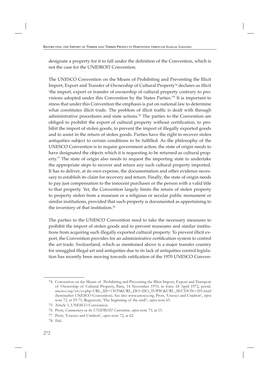designate a property for it to fall under the definition of the Convention, which is not the case for the UNIDROIT Convention.

The UNESCO Convention on the Means of Prohibiting and Preventing the Illicit Import, Export and Transfer of Ownership of Cultural Property<sup>74</sup> declares as illicit 'the import, export or transfer of ownership of cultural property contrary to provisions adopted under this Convention by the States Parties.' 75 It is important to stress that under this Convention the emphasis is put on national law to determine what constitutes illicit trade. The problem of illicit traffic is dealt with through administrative procedures and state actions.76 The parties to the Convention are obliged to prohibit the export of cultural property without certification, to prohibit the import of stolen goods, to prevent the import of illegally exported goods and to assist in the return of stolen goods. Parties have the right to recover stolen antiquities subject to certain conditions to be fulfilled. As the philosophy of the UNESCO Convention is to require government action, the state of origin needs to have designated the objects which it is requesting to be returned as cultural property.<sup>77</sup> The state of origin also needs to request the importing state to undertake the appropriate steps to recover and return any such cultural property imported. It has to deliver, at its own expense, the documentation and other evidence necessary to establish its claim for recovery and return. Finally, the state of origin needs to pay just compensation to the innocent purchaser or the person with a valid title to that property. Yet, the Convention largely limits the return of stolen property to property stolen from a museum or a religious or secular public monument or similar institutions, provided that such property is documented as appertaining to the inventory of that institution.78

The parties to the UNESCO Convention need to take the necessary measures to prohibit the import of stolen goods and to prevent museums and similar institutions from acquiring such illegally exported cultural property. To prevent illicit export, the Convention provides for an administrative certification system to control the art trade. Switzerland, which as mentioned above is a major transfer country for smuggled illegal art and antiquities due to its lack of antiquities control legislation has recently been moving towards ratification of the 1970 UNESCO Conven-

<sup>74</sup> Convention on the Means of Prohibiting and Preventing the Illicit Import, Export and Transport of Ownership of Cultural Property, Paris, 14 November 1970, in force 24 April 1972, portal. unesco.org/en/ev.php-URL\_ID=13039&URL\_DO=DO\_TOPIC&URL\_SECTION=201.html (hereinafter UNESCO Convention). See also www.unesco.org; Prott, 'Unesco and Unidroit', *supra* note 72, at 59-71; Regazzoni, 'The beginning of the end?', *supra* note 65.

<sup>75</sup> Article 3, UNESCO Convention.

<sup>76</sup> Prott, *Commentary on the UNIDROIT Convention*, *supra* note 73, at 15.

<sup>77</sup> Prott, 'Unesco and Unidroit', *supra* note 72, at 62.

<sup>78</sup> *Ibid*..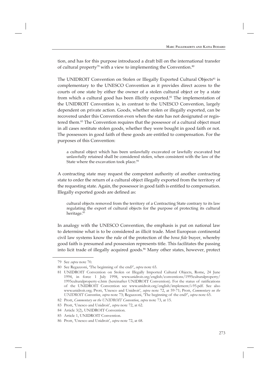tion, and has for this purpose introduced a draft bill on the international transfer of cultural property<sup>79</sup> with a view to implementing the Convention.<sup>80</sup>

The UNIDROIT Convention on Stolen or Illegally Exported Cultural Objects<sup>81</sup> is complementary to the UNESCO Convention as it provides direct access to the courts of one state by either the owner of a stolen cultural object or by a state from which a cultural good has been illicitly exported.<sup>82</sup> The implementation of the UNIDROIT Convention is, in contrast to the UNESCO Convention, largely dependent on private action. Goods, whether stolen or illegally exported, can be recovered under this Convention even when the state has not designated or registered them.<sup>83</sup> The Convention requires that the possessor of a cultural object must in all cases restitute stolen goods, whether they were bought in good faith or not. The possessors in good faith of these goods are entitled to compensation. For the purposes of this Convention:

a cultural object which has been unlawfully excavated or lawfully excavated but unlawfully retained shall be considered stolen, when consistent with the law of the State where the excavation took place.<sup>84</sup>

A contracting state may request the competent authority of another contracting state to order the return of a cultural object illegally exported from the territory of the requesting state. Again, the possessor in good faith is entitled to compensation. Illegally exported goods are defined as:

cultural objects removed from the territory of a Contracting State contrary to its law regulating the export of cultural objects for the purpose of protecting its cultural heritage.<sup>85</sup>

In analogy with the UNESCO Convention, the emphasis is put on national law to determine what is to be considered as illicit trade. Most European continental civil law systems know the rule of the protection of the *bona fide* buyer, whereby good faith is presumed and possession represents title. This facilitates the passing into licit trade of illegally acquired goods.<sup>86</sup> Many other states, however, protect

<sup>79</sup> See *supra* note 70.

<sup>80</sup> See Regazzoni, 'The beginning of the end?', *supra* note 65.

<sup>81</sup> UNIDROIT Convention on Stolen or Illegally Imported Cultural Objects, Rome, 24 June 1994, in force 1 July 1998, www.unidroit.org/english/conventions/1995culturalproperty/ 1995culturalproperty-e.htm (hereinafter UNIDROIT Convention). For the status of ratifications of the UNIDROIT Convention see www.unidroit.org/english/implement/i-95.pdf. See also www.unidroit.org; Prott, 'Unesco and Unidroit', *supra* note 72, at 59-71; Prott, *Commentary on the UNIDROIT Convention*, *supra* note 73; Regazzoni, 'The beginning of the end?', *supra* note 65.

<sup>82</sup> Prott, *Commentary on the UNIDROIT Convention*, *supra* note 73, at 15.

<sup>83</sup> Prott, 'Unesco and Unidroit', *supra* note 72, at 62.

<sup>84</sup> Article 3(2), UNIDROIT Convention.

<sup>85</sup> Article 1, UNIDROIT Convention.

<sup>86</sup> Prott, 'Unesco and Unidroit', *supra* note 72, at 68.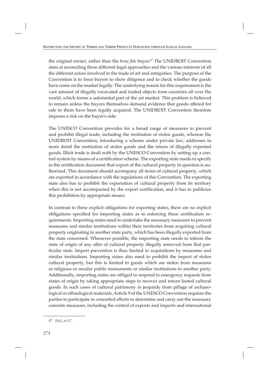the original owner, rather than the *bona fide* buyer.<sup>87</sup> The UNIDROIT Convention aims at reconciling these different legal approaches and the various interests of all the different actors involved in the trade of art and antiquities. The purpose of the Convention is to force buyers to show diligence and to check whether the goods have come on the market legally. The underlying reason for this requirement is the vast amount of illegally excavated and traded objects from countries all over the world, which forms a substantial part of the art market. This problem is believed to remain unless the buyers themselves demand evidence that goods offered for sale to them have been legally acquired. The UNIDROIT Convention therefore imposes a risk on the buyer's side.

The UNESCO Convention provides for a broad range of measures to prevent and prohibit illegal trade, including the restitution of stolen goods, whereas the UNIDROIT Convention, introducing a scheme under private law, addresses in more detail the restitution of stolen goods and the return of illegally exported goods. Illicit trade is dealt with by the UNESCO Convention by setting up a control system by means of a certification scheme. The exporting state needs to specify in the certification document that export of the cultural property in question is authorized. This document should accompany all items of cultural property, which are exported in accordance with the regulations of this Convention. The exporting state also has to prohibit the exportation of cultural property from its territory when this is not accompanied by the export certification, and it has to publicize this prohibition by appropriate means.

In contrast to these explicit obligations for exporting states, there are no explicit obligations specified for importing states as to enforcing these certification requirements. Importing states need to undertake the necessary measures to prevent museums and similar institutions within their territories from acquiring cultural property originating in another state party, which has been illegally exported from the state concerned. Whenever possible, the importing state needs to inform the state of origin of any offer of cultural property illegally removed from that particular state. Import prevention is thus limited to acquisitions by museums and similar institutions. Importing states also need to prohibit the import of stolen cultural property, but this is limited to goods which are stolen from museums or religious or secular public monuments or similar institutions in another party. Additionally, importing states are obliged to respond to emergency requests from states of origin by taking appropriate steps to recover and return looted cultural goods. In such cases of cultural patrimony in jeopardy from pillage of archaeological or ethnological materials, Article 9 of the UNESCO Convention requires the parties to participate in concerted efforts to determine and carry out the necessary concrete measures, including the control of exports and imports and international

<sup>87</sup> *Ibid*., at 67.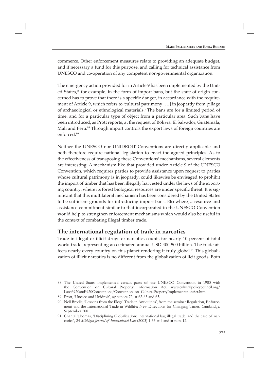commerce. Other enforcement measures relate to providing an adequate budget, and if necessary a fund for this purpose, and calling for technical assistance from UNESCO and co-operation of any competent non-governmental organization.

The emergency action provided for in Article 9 has been implemented by the United States,<sup>88</sup> for example, in the form of import bans, but the state of origin concerned has to prove that there is a specific danger, in accordance with the requirement of Article 9, which refers to 'cultural patrimony […] in jeopardy from pillage of archaeological or ethnological materials.' The bans are for a limited period of time, and for a particular type of object from a particular area. Such bans have been introduced, as Prott reports, at the request of Bolivia, El Salvador, Guatemala, Mali and Peru.<sup>89</sup> Through import controls the export laws of foreign countries are enforced.90

Neither the UNESCO nor UNIDROIT Conventions are directly applicable and both therefore require national legislation to enact the agreed principles. As to the effectiveness of transposing these Conventions' mechanisms, several elements are interesting. A mechanism like that provided under Article 9 of the UNESCO Convention, which requires parties to provide assistance upon request to parties whose cultural patrimony is in jeopardy, could likewise be envisaged to prohibit the import of timber that has been illegally harvested under the laws of the exporting country, where its forest biological resources are under specific threat. It is significant that this multilateral mechanism has been considered by the United States to be sufficient grounds for introducing import bans. Elsewhere, a resource and assistance commitment similar to that incorporated in the UNESCO Convention would help to strengthen enforcement mechanisms which would also be useful in the context of combating illegal timber trade.

### **The international regulation of trade in narcotics**

Trade in illegal or illicit drugs or narcotics counts for nearly 10 percent of total world trade, representing an estimated annual USD 400-500 billion. The trade affects nearly every country on this planet rendering it truly global.<sup>91</sup> This globalization of illicit narcotics is no different from the globalization of licit goods. Both

<sup>88</sup> The United States implemented certain parts of the UNESCO Convention in 1983 with the Convention on Cultural Property Information Act, www.culturalpolicycouncil.org/ Laws%20and%20Conventions/Convention\_on\_CulturalPropertyImplementationAct.htm.

<sup>89</sup> Prott, 'Unesco and Unidroit', *supra* note 72, at 62-63 and 65.

<sup>90</sup> Neil Brodie, 'Lessons from the Illegal Trade in Antiquities', from the seminar Regulation, Enforcement and the International Trade in Wildlife: New Directions for Changing Times, Cambridge, September 2001.

<sup>91</sup> Chantal Thomas, 'Disciplining Globalization: International law, illegal trade, and the case of narcotics', 24 *Michigan Journal of International Law* (2003) 1-33 at 4 and at note 12.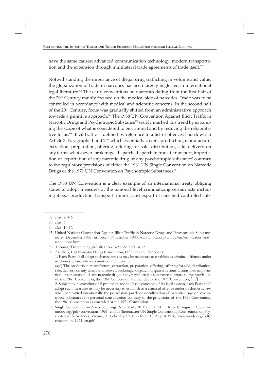have the same causes: advanced communication technology, modern transportation and the expansion through multilateral trade agreements of trade itself.<sup>92</sup>

Notwithstanding the importance of illegal drug trafficking in volume and value, the globalization of trade in narcotics has been largely neglected in international legal literature.<sup>93</sup> The early conventions on narcotics dating from the first half of the 20<sup>th</sup> Century mainly focused on the medical side of narcotics. Trade was to be controlled in accordance with medical and scientific concerns. In the second half of the 20<sup>th</sup> Century, focus was gradually shifted from an administrative approach towards a punitive approach.<sup>94</sup> The 1988 UN Convention Against Illicit Traffic in Narcotic Drugs and Psychotropic Substance<sup>95</sup> visibly marked this trend by expanding the scope of what is considered to be criminal and by reducing the rehabilitative focus.<sup>96</sup> Illicit traffic is defined by reference to a list of offences laid down in Article 3, Paragraphs 1 and 2,<sup>97</sup> which essentially covers 'production, manufacture, extraction, preparation, offering, offering for sale, distribution, sale, delivery on any terms whatsoever, brokerage, dispatch, dispatch in transit, transport, importation or exportation of any narcotic drug or any psychotropic substance' contrary to the regulatory provisions of either the 1961 UN Single Convention on Narcotic Drugs or the 1971 UN Convention on Psychotropic Substances.<sup>98</sup>

The 1988 UN Convention is a clear example of an international treaty obliging states to adopt measures at the national level criminalizing certain acts including illegal production, transport, import, and export of specified controlled sub-

1. Each Party shall adopt such measures as may be necessary to establish as criminal offences under its domestic law, when committed intentionally:

(a)(i) The production, manufacture, extraction, preparation, offering, offering for sale, distribution, sale, delivery on any terms whatsoever, brokerage, dispatch, dispatch in transit, transport, importation or exportation of any narcotic drug or any psychotropic substance contrary to the provisions of the 1961 Convention, the 1961 Convention as amended or the 1971 Convention; […]

2. Subject to its constitutional principles and the basic concepts of its legal system, each Party shall adopt such measures as may be necessary to establish as a criminal offence under its domestic law, when committed intentionally, the possession, purchase or cultivation of narcotic drugs or psychotropic substances for personal consumption contrary to the provisions of the 1961 Convention, the 1961 Convention as amended or the 1971 Convention.

<sup>92</sup> *Ibid*., at 4-6.

<sup>93</sup> *Ibid*., 6.

<sup>94</sup> *Ibid*., 10-12.

<sup>95</sup> United Nations Convention Against Illicit Traffic in Narcotic Drugs and Psychotropic Substances, 20 December 1988, in force 1 November 1990, www.unodc.org/unodc/en/un\_treaties\_and\_ resolutions.html.

<sup>96</sup> Thomas, 'Disciplining globalization', *supra* note 91, at 12.

<sup>97</sup> Article 3, UN Narcotic Drugs Convention, Offences and Sanctions:

<sup>98</sup> Single Convention on Narcotic Drugs, New York, 30 March 1961, in force 8 August 1975, www. unodc.org/pdf/convention\_1961\_en.pdf (hereinafter UN Single Convention); Convention on Psychotropic Substances, Vienna, 21 February 1971, in force 16 August 1976, www.unodc.org/pdf/ convention\_1971\_en.pdf.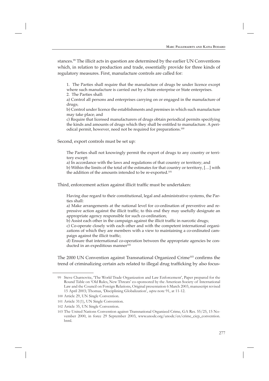stances.<sup>99</sup> The illicit acts in question are determined by the earlier UN Conventions which, in relation to production and trade, essentially provide for three kinds of regulatory measures. First, manufacture controls are called for:

1. The Parties shall require that the manufacture of drugs be under licence except where such manufacture is carried out by a State enterprise or State enterprises. 2. The Parties shall:

a) Control all persons and enterprises carrying on or engaged in the manufacture of drugs;

b) Control under licence the establishments and premises in which such manufacture may take place; and

c) Require that licensed manufacturers of drugs obtain periodical permits specifying the kinds and amounts of drugs which they shall be entitled to manufacture. A periodical permit, however, need not be required for preparations.<sup>100</sup>

Second, export controls must be set up:

The Parties shall not knowingly permit the export of drugs to any country or territory except:

a) In accordance with the laws and regulations of that country or territory; and b) Within the limits of the total of the estimates for that country or territory, […] with the addition of the amounts intended to be re-exported.<sup>101</sup>

Third, enforcement action against illicit traffic must be undertaken:

Having due regard to their constitutional, legal and administrative systems, the Parties shall:

a) Make arrangements at the national level for co-ordination of preventive and repressive action against the illicit traffic; to this end they may usefully designate an appropriate agency responsible for such co-ordination;

b) Assist each other in the campaign against the illicit traffic in narcotic drugs;

c) Co-operate closely with each other and with the competent international organizations of which they are members with a view to maintaining a co-ordinated campaign against the illicit traffic;

d) Ensure that international co-operation between the appropriate agencies be conducted in an expeditious manner<sup>102</sup>

The 2000 UN Convention against Transnational Organized Crime<sup>103</sup> confirms the trend of criminalizing certain acts related to illegal drug trafficking by also focus-

<sup>99</sup> Steve Charnovitz, 'The World Trade Organization and Law Enforcement', Paper prepared for the Round Table on 'Old Rules, New Threats' co-sponsored by the American Society of International Law and the Council on Foreign Relations, Original presentation 6 March 2003, manuscript revised 15 April 2003; Thomas, 'Disciplining Globalization', *supra* note 91, at 11-12.

<sup>100</sup> Article 29, UN Single Convention.

<sup>101</sup> Article 31(1), UN Single Convention.

<sup>102</sup> Article 35, UN Single Convention.

<sup>103</sup> The United Nations Convention against Transnational Organized Crime, GA Res. 55/25, 15 November 2000, in force 29 September 2003, www.unodc.org/unodc/en/crime\_cicp\_convention. html.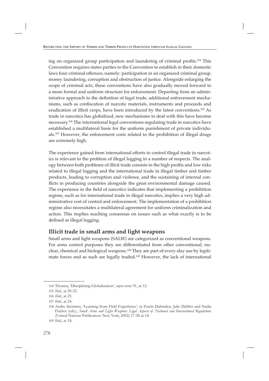ing on organized group participation and laundering of criminal profits.<sup>104</sup> This Convention requires states parties to the Convention to establish in their domestic laws four criminal offences, namely: participation in an organized criminal group, money laundering, corruption and obstruction of justice. Alongside enlarging the scope of criminal acts, these conventions have also gradually moved forward to a more formal and uniform structure for enforcement. Departing from an administrative approach to the definition of legal trade, additional enforcement mechanisms, such as confiscation of narcotic materials, instruments and proceeds and eradication of illicit crops, have been introduced by the latest conventions.105 As trade in narcotics has globalized, new mechanisms to deal with this have become necessary.106 The international legal conventions regulating trade in narcotics have established a multilateral basis for the uniform punishment of private individuals.107 However, the enforcement costs related to the prohibition of illegal drugs are extremely high.

The experience gained from international efforts to control illegal trade in narcotics is relevant to the problem of illegal logging in a number of respects. The analogy between both problems of illicit trade consists in the high profits and low risks related to illegal logging and the international trade in illegal timber and timber products, leading to corruption and violence, and the sustaining of internal conflicts in producing countries alongside the great environmental damage caused. The experience in the field of narcotics indicates that implementing a prohibition regime, such as for international trade in illegal narcotics, implies a very high administrative cost of control and enforcement. The implementation of a prohibition regime also necessitates a multilateral agreement for uniform criminalization and action. This implies reaching consensus on issues such as what exactly is to be defined as illegal logging.

#### **Illicit trade in small arms and light weapons**

Small arms and light weapons (SALW) are categorized as conventional weapons. For arms control purposes they are differentiated from other conventional, nuclear, chemical and biological weapons.108 They are part of every-day use by legitimate forces and as such are legally traded.109 However, the lack of international

<sup>104</sup> Thomas, 'Disciplining Globalization', *supra* note 91, at 12.

<sup>105</sup> *Ibid*., at 20-22.

<sup>106</sup> *Ibid*., at 25.

<sup>107</sup> *Ibid*., at 24.

<sup>108</sup> Andre Stemmet, 'Learning from Field Experience', in Erwin Dahinden, Julie Dahlitz and Nadia Fischer (eds.), *Small Arms and Light Weapons: Legal Aspects of National and International Regulations* (United Nations Publication: New York, 2002) 17-28 at 18.

<sup>109</sup> *Ibid*., at 18.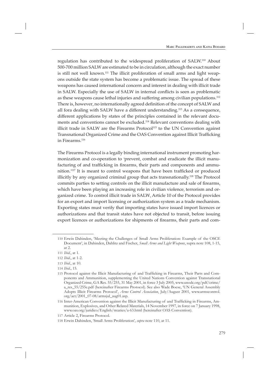regulation has contributed to the widespread proliferation of SALW.110 About 500-700 million SALW are estimated to be in circulation, although the exact number is still not well known.<sup>111</sup> The illicit proliferation of small arms and light weapons outside the state system has become a problematic issue. The spread of these weapons has caused international concern and interest in dealing with illicit trade in SALW. Especially the use of SALW in internal conflicts is seen as problematic as these weapons cause lethal injuries and suffering among civilian populations.<sup>112</sup> There is, however, no internationally agreed definition of the concept of SALW and all fora dealing with SALW have a different understanding.113 As a consequence, different applications by states of the principles contained in the relevant documents and conventions cannot be excluded.114 Relevant conventions dealing with illicit trade in SALW are the Firearms Protocol $115$  to the UN Convention against Transnational Organized Crime and the OAS Convention against Illicit Trafficking in Firearms.<sup>116</sup>

The Firearms Protocol is a legally binding international instrument promoting harmonization and co-operation to 'prevent, combat and eradicate the illicit manufacturing of and trafficking in firearms, their parts and components and ammunition.<sup>2117</sup> It is meant to control weapons that have been trafficked or produced illicitly by any organized criminal group that acts transnationally.118 The Protocol commits parties to setting controls on the illicit manufacture and sale of firearms, which have been playing an increasing role in civilian violence, terrorism and organized crime. To control illicit trade in SALW, Article 10 of the Protocol provides for an export and import licensing or authorization system as a trade mechanism. Exporting states must verify that importing states have issued import licences or authorizations and that transit states have not objected to transit, before issuing export licences or authorizations for shipments of firearms, their parts and com-

<sup>110</sup> Erwin Dahinden, 'Meeting the Challenges of Small Arms Proliferation: Example of the OSCE Document', in Dahinden, Dahlitz and Fischer, *Small Arms and Light Weapons*, supra note 108, 1-15, at 2.

<sup>111</sup> *Ibid*., at 1.

<sup>112</sup> *Ibid*., at 1-2.

<sup>113</sup> *Ibid*., at 10.

<sup>114</sup> *Ibid*., 15.

<sup>115</sup> Protocol against the Illicit Manufacturing of and Trafficking in Firearms, Their Parts and Components and Ammunition, supplementing the United Nations Convention against Transnational Organized Crime, GA Res. 55/255, 31 May 2001, in force 3 July 2005, www.unodc.org/pdf/crime/ a\_res\_55/255e.pdf (hereinafter Firearms Protocol). See also Wade Boese, 'UN General Assembly Adopts Illicit Firearms Protocol', *Arms Control Association*, July/August 2001, www.armscontrol. org/act/2001\_07-08/armsjul\_aug01.asp.

<sup>116</sup> Inter-American Convention against the Illicit Manufacturing of and Trafficking in Firearms, Ammunition, Explosives, and Other Related Materials, 14 November 1997, in force on 7 January 1998, www.oas.org/juridico/English/treaties/a-63.html (hereinafter OAS Convention).

<sup>117</sup> Article 2, Firearms Protocol.

<sup>118</sup> Erwin Dahinden, 'Small Arms Proliferation', *supra* note 110, at 11.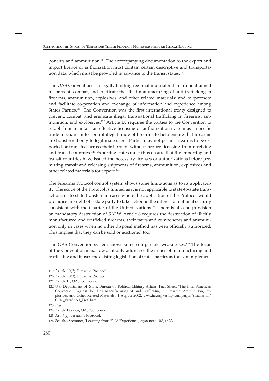ponents and ammunition.<sup>119</sup> The accompanying documentation to the export and import licence or authorization must contain certain descriptive and transportation data, which must be provided in advance to the transit states.<sup>120</sup>

The OAS Convention is a legally binding regional multilateral instrument aimed to 'prevent, combat, and eradicate the illicit manufacturing of and trafficking in firearms, ammunition, explosives, and other related materials' and to 'promote and facilitate co-peration and exchange of information and experience among States Parties.<sup>121</sup> The Convention was the first international treaty designed to prevent, combat, and eradicate illegal transnational trafficking in firearms, ammunition, and explosives.122 Article IX requires the parties to the Convention to establish or maintain an effective licensing or authorization system as a specific trade mechanism to control illegal trade of firearms to help ensure that firearms are transferred only to legitimate users. Parties may not permit firearms to be exported or transited across their borders without proper licensing from receiving and transit countries.123 Exporting states must thus ensure that the importing and transit countries have issued the necessary licenses or authorizations before permitting transit and releasing shipments of firearms, ammunition, explosives and other related materials for export.124

The Firearms Protocol control system shows some limitations as to its applicability. The scope of the Protocol is limited as it is not applicable to state-to-state transactions or to state transfers in cases where the application of the Protocol would prejudice the right of a state party to take action in the interest of national security consistent with the Charter of the United Nations.125 There is also no provision on mandatory destruction of SALW. Article 6 requires the destruction of illicitly manufactured and trafficked firearms, their parts and components and ammunition only in cases when no other disposal method has been officially authorized. This implies that they can be sold or auctioned too.

The OAS Convention system shows some comparable weaknesses.<sup>126</sup> The focus of the Convention is narrow as it only addresses the issues of manufacturing and trafficking and it uses the existing legislation of states parties as tools of implemen-

<sup>119</sup> Article 10(2), Firearms Protocol.

<sup>120</sup> Article 10(3), Firearms Protocol.

<sup>121</sup> Article II, OAS Convention.

<sup>122</sup> U.S. Department of State, Bureau of Political-Military Affairs, Fact Sheet, 'The Inter-American Convention Against the Illicit Manufacturing of and Trafficking in Firearms, Ammunition, Explosives, and Other Related Materials', 1 August 2002, www.fas.org/asmp/campaigns/smallarms/ Cifta\_FactSheet\_DoS.htm.

<sup>123</sup> *Ibid*.

<sup>124</sup> Article IX(2-3), OAS Convention.

<sup>125</sup> Art. 4(2), Firearms Protocol.

<sup>126</sup> See also Stemmet, 'Learning from Field Experience', *supra* note 108, at 22.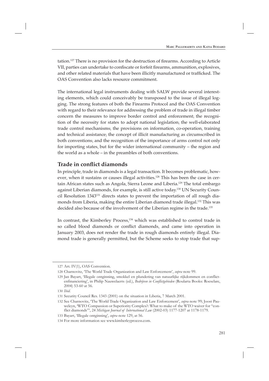tation.<sup>127</sup> There is no provision for the destruction of firearms. According to Article VII, parties can undertake to confiscate or forfeit firearms, ammunition, explosives, and other related materials that have been illicitly manufactured or trafficked. The OAS Convention also lacks resource commitment.

The international legal instruments dealing with SALW provide several interesting elements, which could conceivably be transposed to the issue of illegal logging. The strong features of both the Firearms Protocol and the OAS Convention with regard to their relevance for addressing the problem of trade in illegal timber concern the measures to improve border control and enforcement; the recognition of the necessity for states to adopt national legislation; the well-elaborated trade control mechanisms; the provisions on information, co-operation, training and technical assistance; the concept of illicit manufacturing as circumscribed in both conventions; and the recognition of the importance of arms control not only for importing states, but for the wider international community – the region and the world as a whole – in the preambles of both conventions.

### **Trade in conflict diamonds**

In principle, trade in diamonds is a legal transaction. It becomes problematic, however, when it sustains or causes illegal activities.<sup>128</sup> This has been the case in certain African states such as Angola, Sierra Leone and Liberia.129 The total embargo against Liberian diamonds, for example, is still active today.130 UN Security Council Resolution 1343131 directs states to prevent the importation of all rough diamonds from Liberia, making the entire Liberian diamond trade illegal.<sup>132</sup> This was decided also because of the involvement of the Liberian regime in the trade.<sup>133</sup>

In contrast, the Kimberley Process, 134 which was established to control trade in so called blood diamonds or conflict diamonds, and came into operation in January 2003, does not render the trade in rough diamonds entirely illegal. Diamond trade is generally permitted, but the Scheme seeks to stop trade that sup-

<sup>127</sup> Art. IV(1), OAS Convention.

<sup>128</sup> Charnovitz, 'The World Trade Organization and Law Enforcement', *supra* note 99.

<sup>129</sup> Jan Bayart, 'Illegale ontginning, smokkel en plundering van natuurlijke rijkdommen en conflictenfinanciering', in Philip Nauwelaerts (ed.), *Bedrijven in Conflictgebieden* (Roularta Books: Roeselare, 2004) 53-60 at 56.

<sup>130</sup> *Ibid*.

<sup>131</sup> Security Council Res. 1343 (2001) on the situation in Liberia, 7 March 2001.

<sup>132</sup> See Charnovitz, 'The World Trade Organization and Law Enforcement', *supra* note 99; Joost Pauweleyn, 'WTO Compassion or Superiority Complex?: What to make of the WTO waiver for "conflict diamonds"', 24 *Michigan Journal of International Law* (2002-03) 1177-1207 at 1178-1179.

<sup>133</sup> Bayart, 'Illegale ontginning', *supra* note 129, at 56.

<sup>134</sup> For more information see www.kimberleyprocess.com.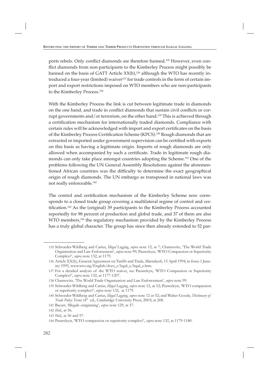ports rebels. Only conflict diamonds are therefore banned.<sup>135</sup> However, even conflict diamonds from non-participants to the Kimberley Process might possibly be banned on the basis of GATT Article XX(b), 136 although the WTO has recently introduced a four-year (limited) waiver<sup>137</sup> for trade controls in the form of certain import and export restrictions imposed on WTO members who are non-participants to the Kimberley Process.138

With the Kimberley Process the link is cut between legitimate trade in diamonds on the one hand, and trade in conflict diamonds that sustain civil conflicts or corrupt governments and/or terrorism, on the other hand.<sup>139</sup> This is achieved through a certification mechanism for internationally traded diamonds. Compliance with certain rules will be acknowledged with import and export certificates on the basis of the Kimberley Process Certification Scheme (KPCS).<sup>140</sup> Rough diamonds that are extracted or imported under government supervision can be certified with exports on this basis as having a legitimate origin. Imports of rough diamonds are only allowed when accompanied by such a certificate. Trade in legitimate rough diamonds can only take place amongst countries adopting the Scheme.<sup>141</sup> One of the problems following the UN General Assembly Resolutions against the aforementioned African countries was the difficulty to determine the exact geographical origin of rough diamonds. The UN embargo as transposed in national laws was not really enforceable.142

The control and certification mechanism of the Kimberley Scheme now corresponds to a closed trade group covering a multilateral regime of control and certification.<sup>143</sup> As the (original) 39 participants to the Kimberley Process accounted reportedly for 98 percent of production and global trade, and 37 of them are also WTO members,<sup>144</sup> the regulatory mechanism provided by the Kimberley Process has a truly global character. The group has since then already extended to 52 par-

<sup>135</sup> Schroeder-Wildberg and Carius, *Illegal Logging*, *supra* note 12, at 7; Charnovitz, 'The World Trade Organization and Law Enforcement', *supra* note 99; Pauweleyn, 'WTO Compassion or Superiority Complex?', *supra* note 132, at 1179.

<sup>136</sup> Article XX(b), General Agreement on Tariffs and Trade, Marrakesh, 15 April 1994, in force 1 January 1995, www.wto.org/English/docs\_e/legal\_e/legal\_e.htm.

<sup>137</sup> For a detailed analysis of the WTO waiver, see Pauweleyn, 'WTO Compassion or Superiority Complex?', *supra* note 132, at 1177-1207.

<sup>138</sup> Charnovitz, 'The World Trade Organization and Law Enforcement', *supra* note 99.

<sup>139</sup> Schroeder-Wildberg and Carius, *Illegal Logging*, *supra* note 12, at 52; Pauweleyn, 'WTO compassion or superiority complex?', *supra* note 132, at 1179.

<sup>140</sup> Schroeder-Wildberg and Carius, *Illegal Logging*, *supra* note 12 at 52; and Walter Goode, *Dictionary of Trade Policy Terms* (4<sup>th</sup> ed., Cambridge University Press, 2003) at 208.

<sup>141</sup> Bayart, 'Illegale ontginning', *supra* note 129, at 57.

<sup>142</sup> *Ibid*., at 56.

<sup>143</sup> *Ibid*., at 56 and 57.

<sup>144</sup> Pauweleyn, 'WTO compassion or superiority complex?', *supra* note 132, at 1179-1180.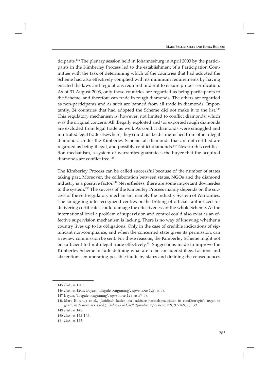ticipants.145 The plenary session held in Johannesburg in April 2003 by the participants in the Kimberley Process led to the establishment of a Participation Committee with the task of determining which of the countries that had adopted the Scheme had also effectively complied with its minimum requirements by having enacted the laws and regulations required under it to ensure proper certification. As of 31 August 2003, only those countries are regarded as being participants to the Scheme, and therefore can trade in rough diamonds. The others are regarded as non-participants and as such are banned from all trade in diamonds. Importantly, 24 countries that had adopted the Scheme did not make it to the list.<sup>146</sup> This regulatory mechanism is, however, not limited to conflict diamonds, which was the original concern. All illegally exploited and/or exported rough diamonds are excluded from legal trade as well. As conflict diamonds were smuggled and infiltrated legal trade elsewhere, they could not be distinguished from other illegal diamonds. Under the Kimberley Scheme, all diamonds that are not certified are regarded as being illegal, and possibly conflict diamonds.<sup>147</sup> Next to this certification mechanism, a system of warranties guarantees the buyer that the acquired diamonds are conflict free.<sup>148</sup>

The Kimberley Process can be called successful because of the number of states taking part. Moreover, the collaboration between states, NGOs and the diamond industry is a positive factor.149 Nevertheless, there are some important downsides to the system.150 The success of the Kimberley Process mainly depends on the success of the self-regulatory mechanism, namely the Industry System of Warranties. The smuggling into recognized centres or the bribing of officials authorized for delivering certificates could damage the effectiveness of the whole Scheme. At the international level a problem of supervision and control could also exist as an effective supervision mechanism is lacking. There is no way of knowing whether a country lives up to its obligations. Only in the case of credible indications of significant non-compliance, and when the concerned state gives its permission, can a review commission be sent. For these reasons, the Kimberley Scheme might not be sufficient to limit illegal trade effectively.<sup>151</sup> Suggestions made to improve the Kimberley Scheme include defining what are to be considered illegal actions and abstentions, enumerating possible faults by states and defining the consequences

<sup>145</sup> *Ibid*., at 1205.

<sup>146</sup> *Ibid*., at 1205; Bayart, 'Illegale ontginning', *supra* note 129, at 58.

<sup>147</sup> Bayart, 'Illegale ontginning', *supra* note 129, at 57-58.

<sup>148</sup> Marc Botenga et al., 'Juridisch kader om laakbare handelspraktijken in conflictregio's tegen te gaan', in Nauwelaerts (ed.), *Bedrijven in Conflictgebieden*, *supra* note 129, 97-169, at 139.

<sup>149</sup> *Ibid*., at 142.

<sup>150</sup> *Ibid*., at 142-143.

<sup>151</sup> *Ibid*., at 143.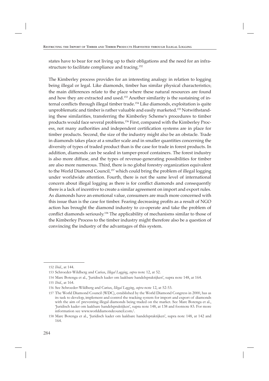states have to bear for not living up to their obligations and the need for an infrastructure to facilitate compliance and tracing.152

The Kimberley process provides for an interesting analogy in relation to logging being illegal or legal. Like diamonds, timber has similar physical characteristics; the main differences relate to the place where these natural resources are found and how they are extracted and used.<sup>153</sup> Another similarity is the sustaining of internal conflicts through illegal timber trade.<sup>154</sup> Like diamonds, exploitation is quite unproblematic and timber is rather valuable and easily marketed.<sup>155</sup> Notwithstanding these similarities, transferring the Kimberley Scheme's procedures to timber products would face several problems.156 First, compared with the Kimberley Process, not many authorities and independent certification systems are in place for timber products. Second, the size of the industry might also be an obstacle. Trade in diamonds takes place at a smaller scale and in smaller quantities concerning the diversity of types of traded product than is the case for trade in forest products. In addition, diamonds can be sealed in tamper-proof containers. The forest industry is also more diffuse, and the types of revenue-generating possibilities for timber are also more numerous. Third, there is no global forestry organization equivalent to the World Diamond Council, 157 which could bring the problem of illegal logging under worldwide attention. Fourth, there is not the same level of international concern about illegal logging as there is for conflict diamonds and consequently there is a lack of incentive to create a similar agreement on import and export rules. As diamonds have an emotional value, consumers are much more concerned with this issue than is the case for timber. Fearing decreasing profits as a result of NGO action has brought the diamond industry to co-operate and take the problem of conflict diamonds seriously.<sup>158</sup> The applicability of mechanisms similar to those of the Kimberley Process to the timber industry might therefore also be a question of convincing the industry of the advantages of this system.

<sup>152</sup> *Ibid*., at 144.

<sup>153</sup> Schroeder-Wildberg and Carius, *Illegal Logging*, *supra* note 12, at 52.

<sup>154</sup> Marc Botenga et al., 'Juridisch kader om laakbare handelspraktijken', supra note 148, at 164. 155 *Ibid*., at 164.

<sup>156</sup> See Schroeder-Wildberg and Carius, *Illegal Logging*, *supra* note 12, at 52-53.

<sup>157</sup> The World Diamond Council (WDC), established by the World Diamond Congress in 2000, has as its task to develop, implement and control the tracking system for import and export of diamonds with the aim of preventing illegal diamonds being traded on the market. See Marc Botenga et al., 'Juridisch kader om laakbare handelspraktijken', supra note 148, at 138 and footnote 83. For more information see www.worlddiamondcouncil.com/.

<sup>158</sup> Marc Botenga et al., 'Juridisch kader om laakbare handelspraktijken', supra note 148, at 142 and 164.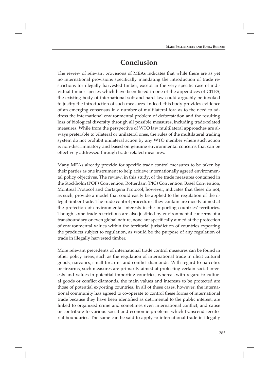# **Conclusion**

The review of relevant provisions of MEAs indicates that while there are as yet no international provisions specifically mandating the introduction of trade restrictions for illegally harvested timber, except in the very specific case of individual timber species which have been listed in one of the appendices of CITES, the existing body of international soft and hard law could arguably be invoked to justify the introduction of such measures. Indeed, this body provides evidence of an emerging consensus in a number of multilateral fora as to the need to address the international environmental problem of deforestation and the resulting loss of biological diversity through all possible measures, including trade-related measures. While from the perspective of WTO law multilateral approaches are always preferable to bilateral or unilateral ones, the rules of the multilateral trading system do not prohibit unilateral action by any WTO member where such action is non-discriminatory and based on genuine environmental concerns that can be effectively addressed through trade-related measures.

Many MEAs already provide for specific trade control measures to be taken by their parties as one instrument to help achieve internationally agreed environmental policy objectives. The review, in this study, of the trade measures contained in the Stockholm (POP) Convention, Rotterdam (PIC) Convention, Basel Convention, Montreal Protocol and Cartagena Protocol, however, indicates that these do not, as such, provide a model that could easily be applied to the regulation of the illegal timber trade. The trade control procedures they contain are mostly aimed at the protection of environmental interests in the importing countries' territories. Though some trade restrictions are also justified by environmental concerns of a transboundary or even global nature, none are specifically aimed at the protection of environmental values within the territorial jurisdiction of countries exporting the products subject to regulation, as would be the purpose of any regulation of trade in illegally harvested timber.

More relevant precedents of international trade control measures can be found in other policy areas, such as the regulation of international trade in illicit cultural goods, narcotics, small firearms and conflict diamonds. With regard to narcotics or firearms, such measures are primarily aimed at protecting certain social interests and values in potential importing countries, whereas with regard to cultural goods or conflict diamonds, the main values and interests to be protected are those of potential exporting countries. In all of these cases, however, the international community has agreed to co-operate to control these forms of international trade because they have been identified as detrimental to the public interest, are linked to organized crime and sometimes even international conflict, and cause or contribute to various social and economic problems which transcend territorial boundaries. The same can be said to apply to international trade in illegally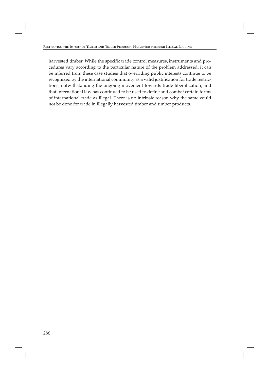harvested timber. While the specific trade control measures, instruments and procedures vary according to the particular nature of the problem addressed, it can be inferred from these case studies that overriding public interests continue to be recognized by the international community as a valid justification for trade restrictions, notwithstanding the ongoing movement towards trade liberalization, and that international law has continued to be used to define and combat certain forms of international trade as illegal. There is no intrinsic reason why the same could not be done for trade in illegally harvested timber and timber products.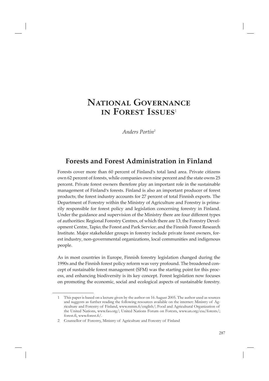# **National Governance in Forest Issues**<sup>1</sup>

### *Anders Portin2*

# **Forests and Forest Administration in Finland**

Forests cover more than 60 percent of Finland's total land area. Private citizens own 62 percent of forests, while companies own nine percent and the state owns 25 percent. Private forest owners therefore play an important role in the sustainable management of Finland's forests. Finland is also an important producer of forest products; the forest industry accounts for 27 percent of total Finnish exports. The Department of Forestry within the Ministry of Agriculture and Forestry is primarily responsible for forest policy and legislation concerning forestry in Finland. Under the guidance and supervision of the Ministry there are four different types of authorities: Regional Forestry Centres, of which there are 13; the Forestry Development Centre, Tapio; the Forest and Park Service; and the Finnish Forest Research Institute. Major stakeholder groups in forestry include private forest owners, forest industry, non-governmental organizations, local communities and indigenous people.

As in most countries in Europe, Finnish forestry legislation changed during the 1990s and the Finnish forest policy reform was very profound. The broadened concept of sustainable forest management (SFM) was the starting point for this process, and enhancing biodiversity is its key concept. Forest legislation now focuses on promoting the economic, social and ecological aspects of sustainable forestry.

<sup>1</sup> This paper is based on a lecture given by the author on 16 August 2005. The author used as sources and suggests as further reading the following resources available on the internet: Ministry of Agriculture and Forestry of Finland, www.mmm.fi /english/; Food and Agricultural Organization of the United Nations, www.fao.org/; United Nations Forum on Forests, www.un.org/esa/forests/; forest.fi, www.forest.fi/.

<sup>2</sup> Counsellor of Forestry, Ministry of Agriculture and Forestry of Finland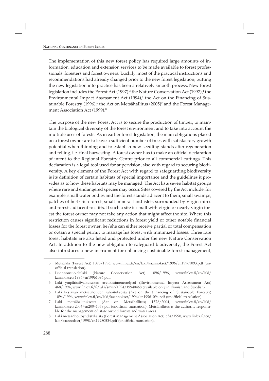The implementation of this new forest policy has required large amounts of information, education and extension services to be made available to forest professionals, foresters and forest owners. Luckily, most of the practical instructions and recommendations had already changed prior to the new forest legislation; putting the new legislation into practice has been a relatively smooth process. New forest legislation includes the Forest Act (1997),<sup>3</sup> the Nature Conservation Act (1997),<sup>4</sup> the Environmental Impact Assessment Act (1994), 5 the Act on the Financing of Sustainable Forestry (1996),<sup>6</sup> the Act on Metsähallitus (2005)<sup>7</sup> and the Forest Management Association Act (1999).<sup>8</sup>

The purpose of the new Forest Act is to secure the production of timber, to maintain the biological diversity of the forest environment and to take into account the multiple uses of forests. As in earlier forest legislation, the main obligations placed on a forest owner are to leave a sufficient number of trees with satisfactory growth potential when thinning and to establish new seedling stands after regeneration and felling, i.e. final harvesting. A forest owner has to make an official declaration of intent to the Regional Forestry Centre prior to all commercial cuttings. This declaration is a legal tool used for supervision, also with regard to securing biodiversity. A key element of the Forest Act with regard to safeguarding biodiversity is its definition of certain habitats of special importance and the guidelines it provides as to how these habitats may be managed. The Act lists seven habitat groups where rare and endangered species may occur. Sites covered by the Act include, for example, small water bodies and the forest stands adjacent to them, small swamps, patches of herb-rich forest, small mineral land islets surrounded by virgin mires and forests adjacent to cliffs. If such a site is small with virgin or nearly virgin forest the forest owner may not take any action that might affect the site. Where this restriction causes significant reductions in forest yield or other notable financial losses for the forest owner, he/she can either receive partial or total compensation or obtain a special permit to manage his forest with minimized losses. Three rare forest habitats are also listed and protected under the new Nature Conservation Act. In addition to the new obligation to safeguard biodiversity, the Forest Act also introduces a new instrument for enhancing sustainable forest management,

<sup>3</sup> Metsälaki (Forest Act) 1093/1996, www.finlex.fi/en/laki/kaannokset/1996/en19961093.pdf (unofficial translation).

<sup>4</sup> Luonnonsuojelulaki (Nature Conservation Act) 1096/1996, www.finlex.fi/en/laki/ kaannokset/1996/en19961096.pdf.

<sup>5</sup> Laki ympäristövaikutusten arviointimenettelystä (Environmental Impact Assessment Act) 468/1994, www.finlex.fi/fi/laki/smur/1994/19940468 (available only in Finnish and Swedish).

<sup>6</sup> Laki kestävän metsätalouden rahoituksesta (Act on the Financing of Sustainable Forestry) 1094/1996, www.fi nlex.fi /en/laki/kaannokset/1996/en19961094.pdf (unofficial translation).

<sup>7</sup> Laki metsähallituksesta (Act on Metsähallitus) 1378/2004, www.finlex.fi/en/laki/ kaannokset/2004/en20041378.pdf (unofficial translation). Metsähallitus is the authority responsible for the management of state owned forests and water areas.

Laki metsänhoitoyhdistyksistä (Forest Management Association Act) 534/1998, www.finlex.fi/en/ laki/kaannokset/1998/en19980534.pdf (unofficial translation).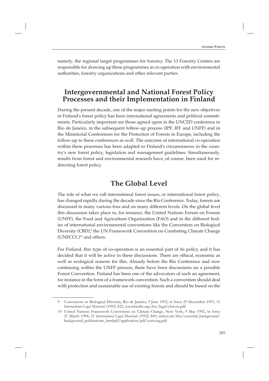namely, the regional target programmes for forestry. The 13 Forestry Centres are responsible for drawing up these programmes in co-operation with environmental authorities, forestry organizations and other relevant parties.

# **Intergovernmental and National Forest Policy Processes and their Implementation in Finland**

During the present decade, one of the major starting points for the new objectives in Finland's forest policy has been international agreements and political commitments. Particularly important are those agreed upon in the UNCED conference in Rio de Janeiro, in the subsequent follow-up process (IPF, IFF and UNFF) and in the Ministerial Conferences for the Protection of Forests in Europe, including the follow-up to these conferences as well. The outcome of international co-operation within these processes has been adapted to Finland's circumstances in the country's new forest policy, legislation and management guidelines. Simultaneously, results from forest and environmental research have, of course, been used for redirecting forest policy.

### **The Global Level**

The role of what we call international forest issues, or international forest policy, has changed rapidly during the decade since the Rio Conference. Today, forests are discussed in many various fora and on many different levels. On the global level this discussion takes place in, for instance, the United Nations Forum on Forests (UNFF), the Food and Agriculture Organization (FAO) and in the different bodies of international environmental conventions like the Convention on Biological Diversity (CBD),<sup>9</sup> the UN Framework Convention on Combating Climate Change  $(UNFCCC)^{10}$  and others.

For Finland, this type of co-operation is an essential part of its policy and it has decided that it will be active in these discussions. There are ethical, economic as well as ecological reasons for this. Already before the Rio Conference and now continuing within the UNFF process, there have been discussions on a possible Forest Convention. Finland has been one of the advocators of such an agreement, for instance in the form of a framework convention. Such a convention should deal with protection and sustainable use of existing forests and should be based on the

<sup>9</sup> Convention on Biological Diversity, Rio de Janeiro, 5 June 1992, in force 29 December 1993, 31 *International Legal Materials* (1992) 822, www.biodiv.org/doc/legal/cbd-en.pdf.

<sup>10</sup> United Nations Framework Convention on Climate Change, New York, 9 May 1992, in force 21 March 1994, 31 *International Legal Materials* (1992) 849, unfccc.int/files/essential\_background/ background\_publications\_htmlpdf/application/pdf/conveng.pdf.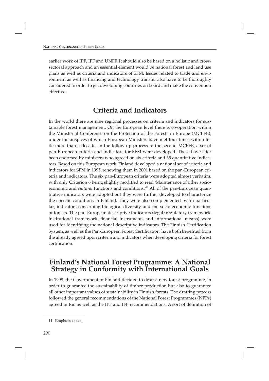earlier work of IPF, IFF and UNFF. It should also be based on a holistic and crosssectoral approach and an essential element would be national forest and land use plans as well as criteria and indicators of SFM. Issues related to trade and environment as well as financing and technology transfer also have to be thoroughly considered in order to get developing countries on board and make the convention effective.

# **Criteria and Indicators**

In the world there are nine regional processes on criteria and indicators for sustainable forest management. On the European level there is co-operation within the Ministerial Conference on the Protection of the Forests in Europe (MCPFE), under the auspices of which European Ministers have met four times within little more than a decade. In the follow-up process to the second MCPFE, a set of pan-European criteria and indicators for SFM were developed. These have later been endorsed by ministers who agreed on six criteria and 35 quantitative indicators. Based on this European work, Finland developed a national set of criteria and indicators for SFM in 1995, renewing them in 2001 based on the pan-European criteria and indicators. The six pan-European criteria were adopted almost verbatim, with only Criterion 6 being slightly modified to read 'Maintenance of other socioeconomic and *cultural* functions and conditions.' 11 All of the pan-European quantitative indicators were adopted but they were further developed to characterize the specific conditions in Finland. They were also complemented by, in particular, indicators concerning biological diversity and the socio-economic functions of forests. The pan-European descriptive indicators (legal/regulatory framework, institutional framework, financial instruments and informational means) were used for identifying the national descriptive indicators. The Finnish Certification System, as well as the Pan-European Forest Certification, have both benefited from the already agreed upon criteria and indicators when developing criteria for forest certification.

### **Finland's National Forest Programme: A National Strategy in Conformity with International Goals**

In 1998, the Government of Finland decided to draft a new forest programme, in order to guarantee the sustainability of timber production but also to guarantee all other important values of sustainability in Finnish forests. The drafting process followed the general recommendations of the National Forest Programmes (NFPs) agreed in Rio as well as the IPF and IFF recommendations. A sort of definition of

<sup>11</sup> Emphasis added.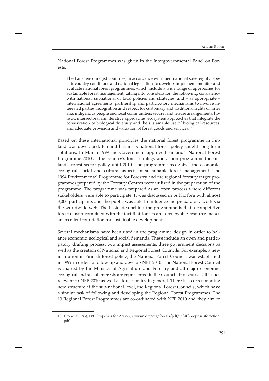National Forest Programmes was given in the Intergovernmental Panel on Forests:

The Panel encouraged countries, in accordance with their national sovereignty, specific country conditions and national legislation, to develop, implement, monitor and evaluate national forest programmes, which include a wide range of approaches for sustainable forest management, taking into consideration the following: consistency with national, subnational or local policies and strategies, and – as appropriate – international agreements; partnership and participatory mechanisms to involve interested parties; recognition and respect for customary and traditional rights of, inter alia, indigenous people and local communities; secure land tenure arrangements; holistic, intersectoral and iterative approaches; ecosystem approaches that integrate the conservation of biological diversity and the sustainable use of biological resources; and adequate provision and valuation of forest goods and services.<sup>12</sup>

Based on these international principles the national forest programme in Finland was developed. Finland has in its national forest policy sought long term solutions. In March 1999 the Government approved Finland's National Forest Programme 2010 as the country's forest strategy and action programme for Finland's forest sector policy until 2010. The programme recognizes the economic, ecological, social and cultural aspects of sustainable forest management. The 1994 Environmental Programme for Forestry and the regional forestry target programmes prepared by the Forestry Centres were utilized in the preparation of the programme. The programme was prepared as an open process where different stakeholders were able to participate. It was discussed in public fora with almost 3,000 participants and the public was able to influence the preparatory work via the worldwide web. The basic idea behind the programme is that a competitive forest cluster combined with the fact that forests are a renewable resource makes an excellent foundation for sustainable development.

Several mechanisms have been used in the programme design in order to balance economic, ecological and social demands. These include an open and participatory drafting process, two impact assessments, three government decisions as well as the creation of National and Regional Forest Councils. For example, a new institution in Finnish forest policy, the National Forest Council, was established in 1999 in order to follow up and develop NFP 2010. The National Forest Council is chaired by the Minister of Agriculture and Forestry and all major economic, ecological and social interests are represented in the Council. It discusses all issues relevant to NFP 2010 as well as forest policy in general. There is a corresponding new structure at the sub-national level, the Regional Forest Councils, which have a similar task of following and developing the Regional Forest Programmes. The 13 Regional Forest Programmes are co-ordinated with NFP 2010 and they aim to

<sup>12</sup> Proposal 17(a), IPF Proposals for Action, www.un.org/esa/forests/pdf/ipf-iff-proposalsforaction. pdf.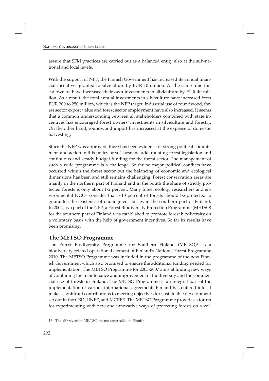assure that SFM practices are carried out as a balanced entity also at the sub-national and local levels.

With the support of NFP, the Finnish Government has increased its annual financial incentives granted to silviculture by EUR 10 million. At the same time forest owners have increased their own investments in silviculture by EUR 40 million. As a result, the total annual investments in silviculture have increased from EUR 200 to 250 million, which is the NFP target. Industrial use of roundwood, forest sector export value and forest sector employment have also increased. It seems that a common understanding between all stakeholders combined with state incentives has encouraged forest owners' investments in silviculture and forestry. On the other hand, roundwood import has increased at the expense of domestic harvesting.

Since the NFP was approved, there has been evidence of strong political commitment and action in this policy area. These include updating forest legislation and continuous and steady budget funding for the forest sector. The management of such a wide programme is a challenge. So far no major political conflicts have occurred within the forest sector but the balancing of economic and ecological dimensions has been and still remains challenging. Forest conservation areas are mainly in the northern part of Finland and in the South the share of strictly protected forests is only about 1-2 percent. Many forest ecology researchers and environmental NGOs consider that 5-10 percent of forests should be protected to guarantee the existence of endangered species in the southern part of Finland. In 2002, as a part of the NFP, a Forest Biodiversity Protection Programme (METSO) for the southern part of Finland was established to promote forest biodiversity on a voluntary basis with the help of government incentives. So far its results have been promising.

#### **The METSO Programme**

The Forest Biodiversity Programme for Southern Finland (METSO)<sup>13</sup> is a biodiversity-related operational element of Finland's National Forest Programme 2010. The METSO Programme was included in the programme of the new Finnish Government which also promised to ensure the additional funding needed for implementation. The METSO Programme for 2003-2007 aims at finding new ways of combining the maintenance and improvement of biodiversity and the commercial use of forests in Finland. The METSO Programme is an integral part of the implementation of various international agreements Finland has entered into. It makes significant contributions to meeting objectives for sustainable development set out in the CBD, UNFF, and MCPFE. The METSO Programme provides a forum for experimenting with new and innovative ways of protecting forests on a vol-

<sup>13</sup> The abbreviation METSO means capercaillie in Finnish.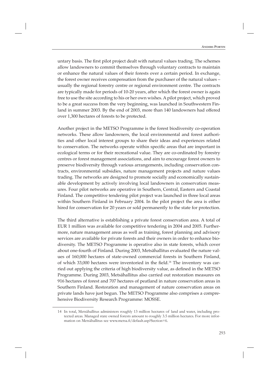untary basis. The first pilot project dealt with natural values trading. The schemes allow landowners to commit themselves through voluntary contracts to maintain or enhance the natural values of their forests over a certain period. In exchange, the forest owner receives compensation from the purchaser of the natural values – usually the regional forestry centre or regional environment centre. The contracts are typically made for periods of 10-20 years, after which the forest owner is again free to use the site according to his or her own wishes. A pilot project, which proved to be a great success from the very beginning, was launched in Southwestern Finland in summer 2003. By the end of 2003, more than 140 landowners had offered over 1,300 hectares of forests to be protected.

Another project in the METSO Programme is the forest biodiversity co-operation networks. These allow landowners, the local environmental and forest authorities and other local interest groups to share their ideas and experiences related to conservation. The networks operate within specific areas that are important in ecological terms or for their recreational value. They are co-ordinated by forestry centres or forest management associations, and aim to encourage forest owners to preserve biodiversity through various arrangements, including conservation contracts, environmental subsidies, nature management projects and nature values trading. The networks are designed to promote socially and economically sustainable development by actively involving local landowners in conservation measures. Four pilot networks are operative in Southern, Central, Eastern and Coastal Finland. The competitive tendering pilot project was launched in three local areas within Southern Finland in February 2004. In the pilot project the area is either hired for conservation for 20 years or sold permanently to the state for protection.

The third alternative is establishing a private forest conservation area. A total of EUR 1 million was available for competitive tendering in 2004 and 2005. Furthermore, nature management areas as well as training, forest planning and advisory services are available for private forests and their owners in order to enhance biodiversity. The METSO Programme is operative also in state forests, which cover about one-fourth of Finland. During 2003, Metsähallitus evaluated the nature values of 160,000 hectares of state-owned commercial forests in Southern Finland, of which  $33,000$  hectares were inventoried in the field.<sup>14</sup> The inventory was carried out applying the criteria of high biodiversity value, as defined in the METSO Programme. During 2003, Metsähallitus also carried out restoration measures on 916 hectares of forest and 707 hectares of peatland in nature conservation areas in Southern Finland. Restoration and management of nature conservation areas on private lands have just begun. The METSO Programme also comprises a comprehensive Biodiversity Research Programme: MOSSE.

<sup>14</sup> In total, Metsähallitus administers roughly 13 million hectares of land and water, including protected areas. Managed state owned forests amount to roughly 3.5 million hectares. For more information on Metsähallitus see www.metsa.fi/default.asp?Section=6.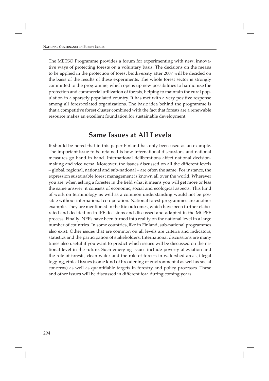The METSO Programme provides a forum for experimenting with new, innovative ways of protecting forests on a voluntary basis. The decisions on the means to be applied in the protection of forest biodiversity after 2007 will be decided on the basis of the results of these experiments. The whole forest sector is strongly committed to the programme, which opens up new possibilities to harmonize the protection and commercial utilization of forests, helping to maintain the rural population in a sparsely populated country. It has met with a very positive response among all forest-related organizations. The basic idea behind the programme is that a competitive forest cluster combined with the fact that forests are a renewable resource makes an excellent foundation for sustainable development.

### **Same Issues at All Levels**

It should be noted that in this paper Finland has only been used as an example. The important issue to be retained is how international discussions and national measures go hand in hand. International deliberations affect national decisionmaking and vice versa. Moreover, the issues discussed on all the different levels – global, regional, national and sub-national – are often the same. For instance, the expression sustainable forest management is known all over the world. Wherever you are, when asking a forester in the field what it means you will get more or less the same answer: it consists of economic, social and ecological aspects. This kind of work on terminology as well as a common understanding would not be possible without international co-operation. National forest programmes are another example. They are mentioned in the Rio outcomes, which have been further elaborated and decided on in IPF decisions and discussed and adapted in the MCPFE process. Finally, NFPs have been turned into reality on the national level in a large number of countries. In some countries, like in Finland, sub-national programmes also exist. Other issues that are common on all levels are criteria and indicators, statistics and the participation of stakeholders. International discussions are many times also useful if you want to predict which issues will be discussed on the national level in the future. Such emerging issues include poverty alleviation and the role of forests, clean water and the role of forests in watershed areas, illegal logging, ethical issues (some kind of broadening of environmental as well as social concerns) as well as quantifiable targets in forestry and policy processes. These and other issues will be discussed in different fora during coming years.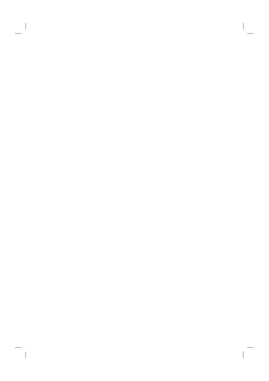$\frac{1}{\sqrt{2}} \int_{-\infty}^{\infty} \frac{1}{\sqrt{2}} \, d \mu \, d \mu \, d \mu$  $\frac{1}{2}$  $\begin{array}{c} - \\ | \end{array}$  $\frac{1}{\sqrt{2}}$